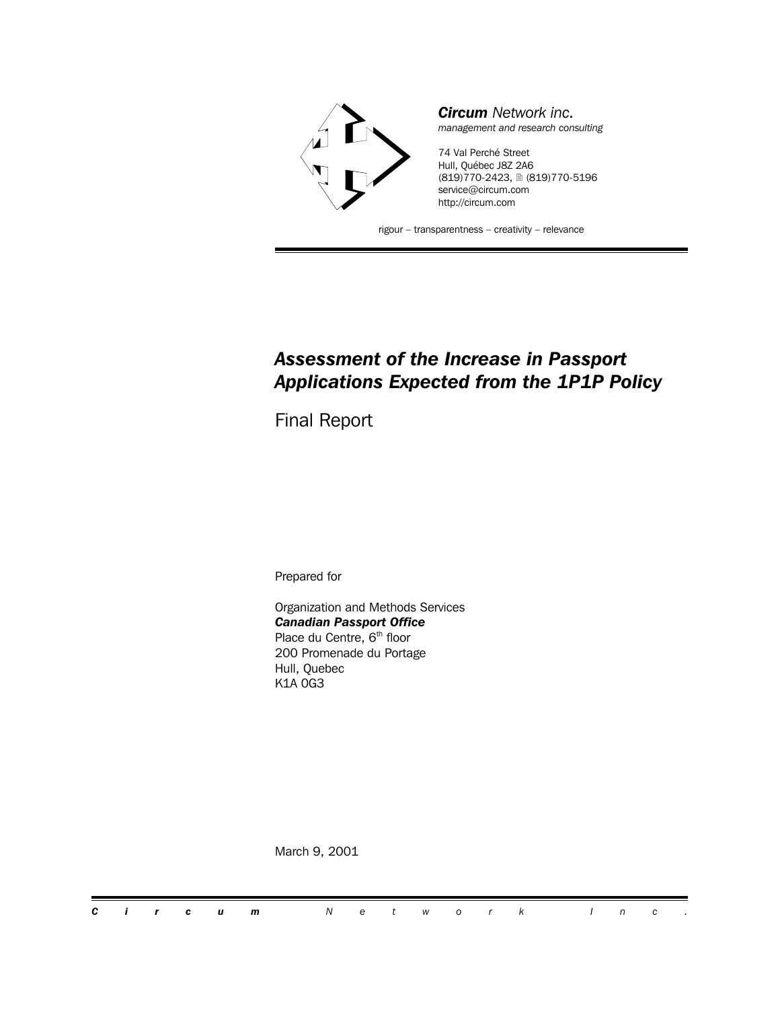

### *Assessment of the Increase in Passport Applications Expected from the 1P1P Policy*

Final Report

Prepared for

Organization and Methods Services *Canadian Passport Office* Place du Centre, 6<sup>th</sup> floor 200 Promenade du Portage Hull, Quebec K1A 0G3

March 9, 2001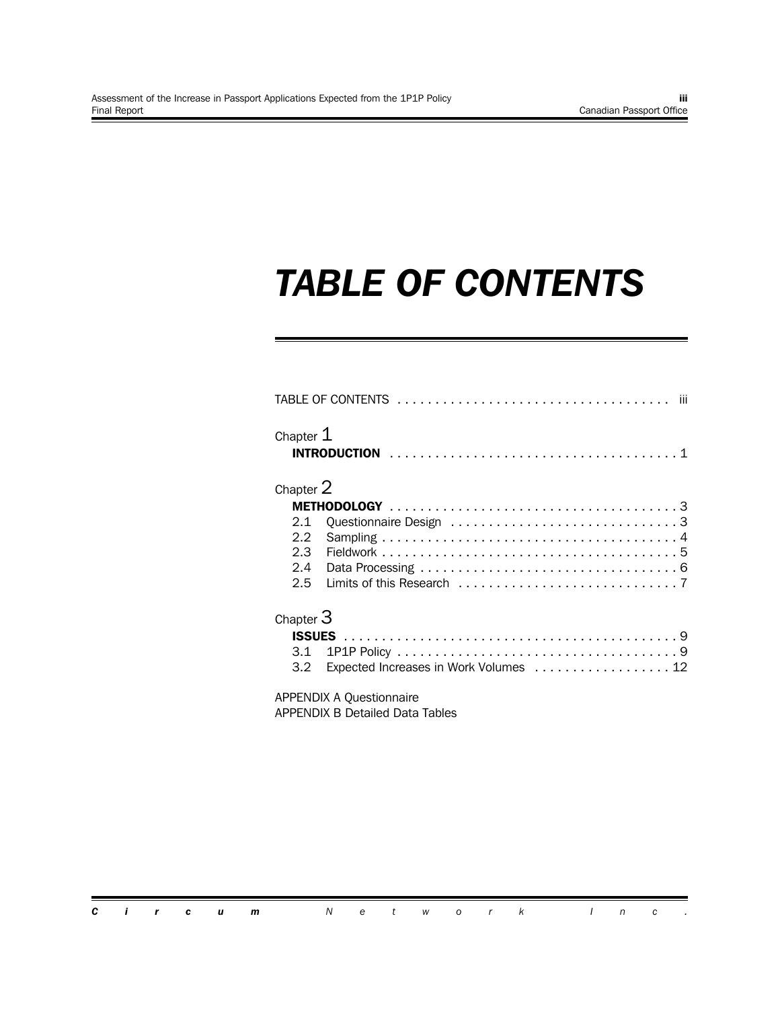## *TABLE OF CONTENTS*

| Chapter $\mathtt{1}$ |                                        |
|----------------------|----------------------------------------|
| Chapter $2\,$        |                                        |
|                      |                                        |
| 2.1                  |                                        |
|                      |                                        |
|                      |                                        |
|                      |                                        |
|                      |                                        |
| Chapter $3\,$        |                                        |
|                      |                                        |
|                      |                                        |
| 3.2                  | Expected Increases in Work Volumes  12 |
|                      | <b>APPENDIX A Questionnaire</b>        |
|                      | APPENDIX B Detailed Data Tables        |

*Circum Network Inc .*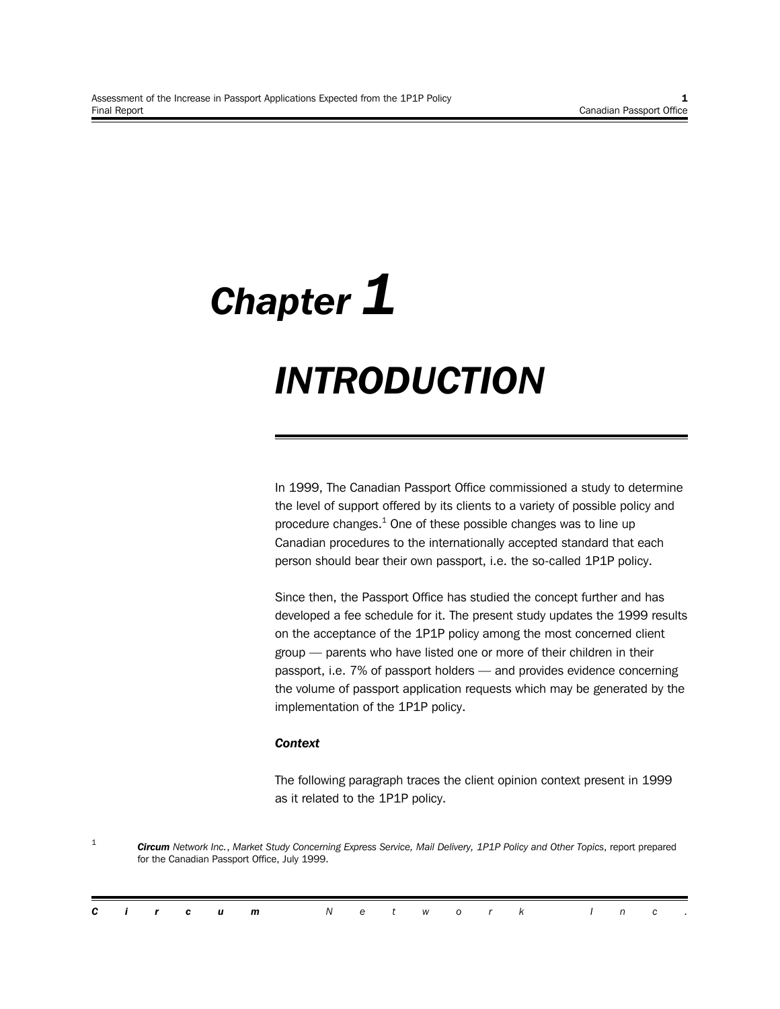# *Chapter 1 INTRODUCTION*

In 1999, The Canadian Passport Office commissioned a study to determine the level of support offered by its clients to a variety of possible policy and procedure changes. $^1$  One of these possible changes was to line up Canadian procedures to the internationally accepted standard that each person should bear their own passport, i.e. the so-called 1P1P policy.

Since then, the Passport Office has studied the concept further and has developed a fee schedule for it. The present study updates the 1999 results on the acceptance of the 1P1P policy among the most concerned client group — parents who have listed one or more of their children in their passport, i.e. 7% of passport holders — and provides evidence concerning the volume of passport application requests which may be generated by the implementation of the 1P1P policy.

#### *Context*

The following paragraph traces the client opinion context present in 1999 as it related to the 1P1P policy.

1 *Circum Network Inc.*, *Market Study Concerning Express Service, Mail Delivery, 1P1P Policy and Other Topics*, report prepared for the Canadian Passport Office, July 1999.

|  |  | <b>Circum</b> Network Inc. |  |  |  |  |  |  |
|--|--|----------------------------|--|--|--|--|--|--|
|  |  |                            |  |  |  |  |  |  |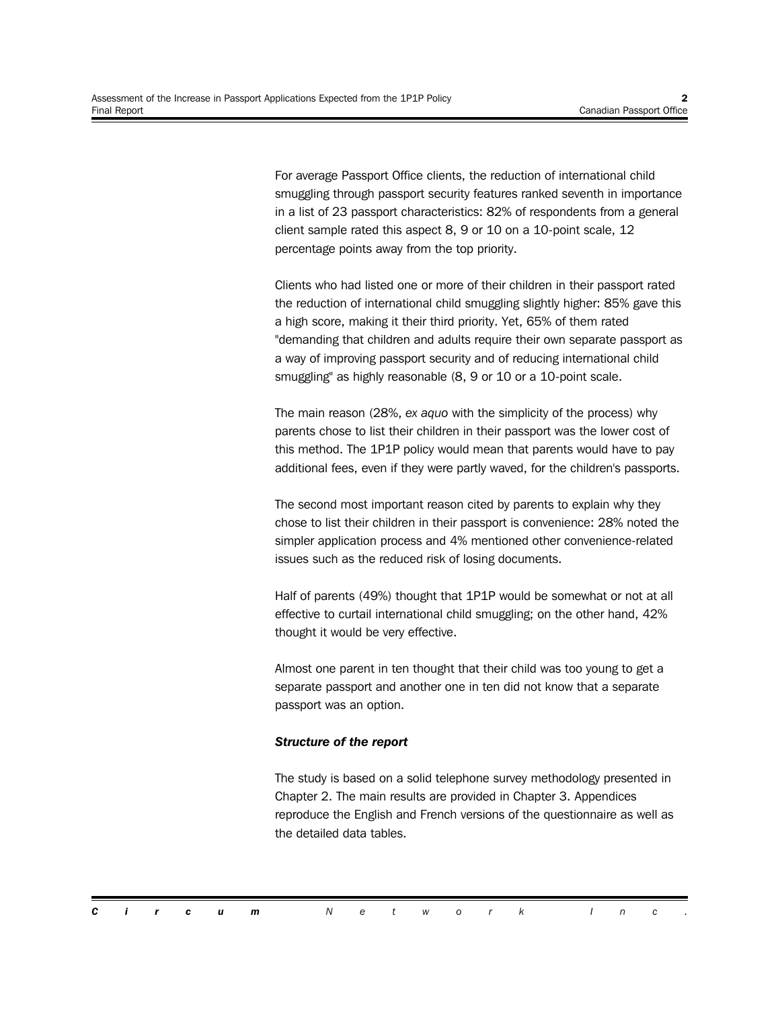For average Passport Office clients, the reduction of international child smuggling through passport security features ranked seventh in importance in a list of 23 passport characteristics: 82% of respondents from a general client sample rated this aspect 8, 9 or 10 on a 10-point scale, 12 percentage points away from the top priority.

Clients who had listed one or more of their children in their passport rated the reduction of international child smuggling slightly higher: 85% gave this a high score, making it their third priority. Yet, 65% of them rated "demanding that children and adults require their own separate passport as a way of improving passport security and of reducing international child smuggling" as highly reasonable (8, 9 or 10 or a 10-point scale.

The main reason (28%, *ex aquo* with the simplicity of the process) why parents chose to list their children in their passport was the lower cost of this method. The 1P1P policy would mean that parents would have to pay additional fees, even if they were partly waved, for the children's passports.

The second most important reason cited by parents to explain why they chose to list their children in their passport is convenience: 28% noted the simpler application process and 4% mentioned other convenience-related issues such as the reduced risk of losing documents.

Half of parents (49%) thought that 1P1P would be somewhat or not at all effective to curtail international child smuggling; on the other hand, 42% thought it would be very effective.

Almost one parent in ten thought that their child was too young to get a separate passport and another one in ten did not know that a separate passport was an option.

#### *Structure of the report*

The study is based on a solid telephone survey methodology presented in Chapter 2. The main results are provided in Chapter 3. Appendices reproduce the English and French versions of the questionnaire as well as the detailed data tables.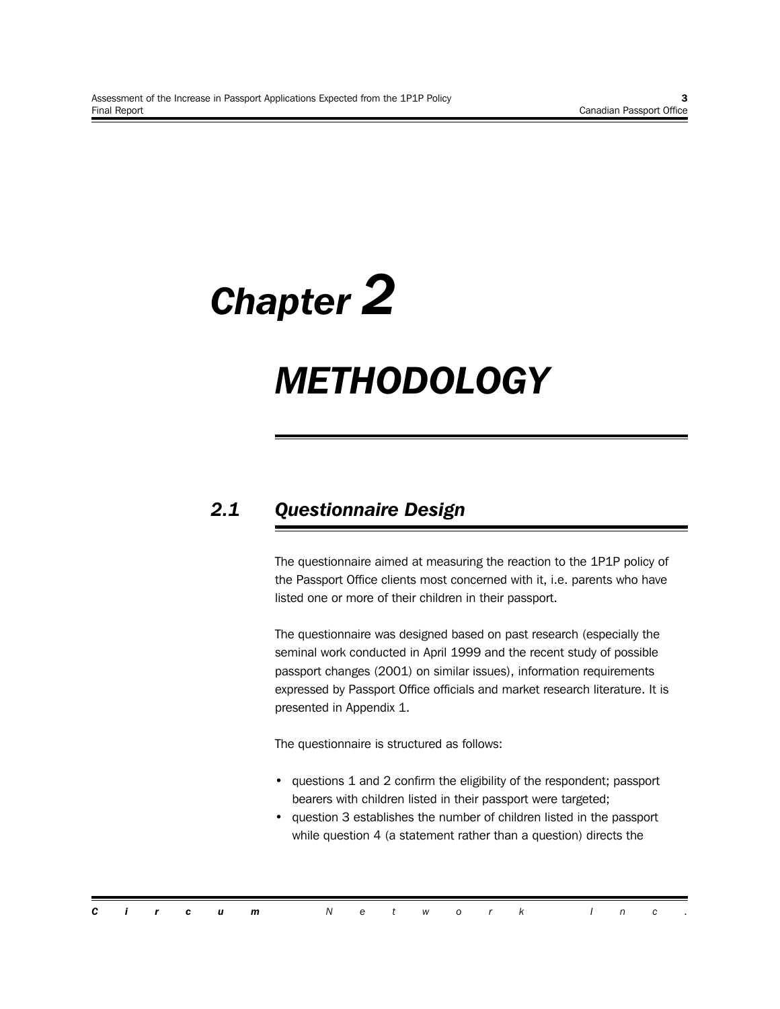# *Chapter 2*

## *METHODOLOGY*

## *2.1 Questionnaire Design*

The questionnaire aimed at measuring the reaction to the 1P1P policy of the Passport Office clients most concerned with it, i.e. parents who have listed one or more of their children in their passport.

The questionnaire was designed based on past research (especially the seminal work conducted in April 1999 and the recent study of possible passport changes (2001) on similar issues), information requirements expressed by Passport Office officials and market research literature. It is presented in Appendix 1.

The questionnaire is structured as follows:

- questions 1 and 2 confirm the eligibility of the respondent; passport bearers with children listed in their passport were targeted;
- question 3 establishes the number of children listed in the passport while question 4 (a statement rather than a question) directs the

|  |  | <b>Circum</b> Network Inc. |  |  |  |  |  |  |
|--|--|----------------------------|--|--|--|--|--|--|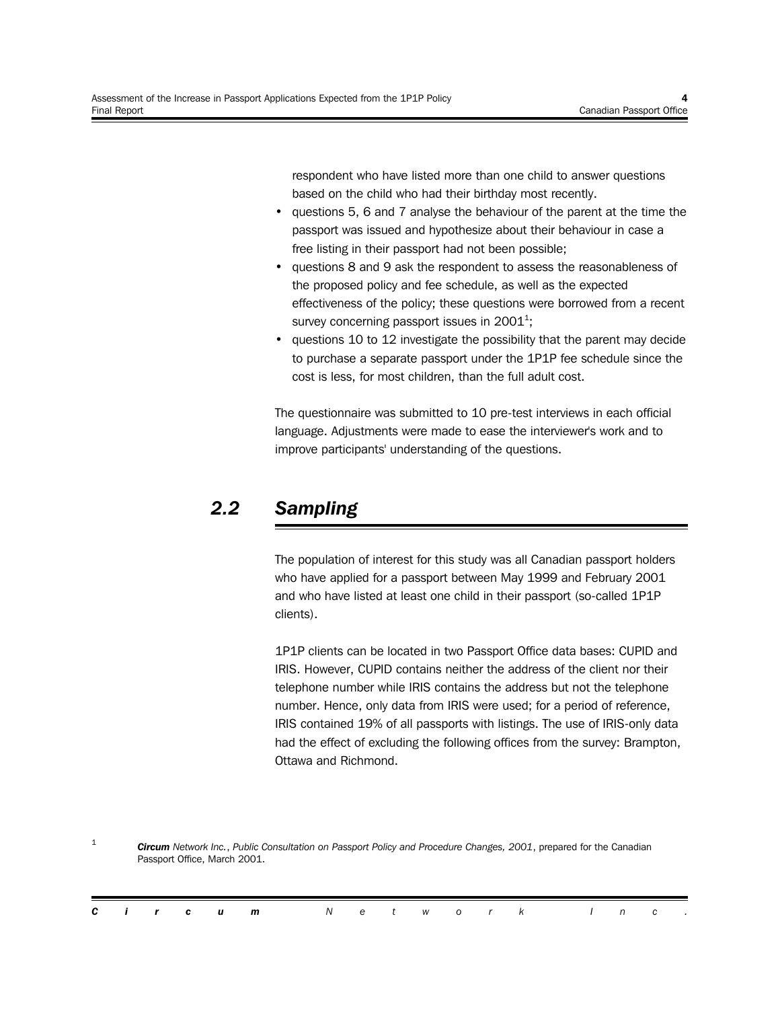respondent who have listed more than one child to answer questions based on the child who had their birthday most recently.

- questions 5, 6 and 7 analyse the behaviour of the parent at the time the passport was issued and hypothesize about their behaviour in case a free listing in their passport had not been possible;
- questions 8 and 9 ask the respondent to assess the reasonableness of the proposed policy and fee schedule, as well as the expected effectiveness of the policy; these questions were borrowed from a recent survey concerning passport issues in 2001<sup>1</sup>;
- questions 10 to 12 investigate the possibility that the parent may decide to purchase a separate passport under the 1P1P fee schedule since the cost is less, for most children, than the full adult cost.

The questionnaire was submitted to 10 pre-test interviews in each official language. Adjustments were made to ease the interviewer's work and to improve participants' understanding of the questions.

## *2.2 Sampling*

The population of interest for this study was all Canadian passport holders who have applied for a passport between May 1999 and February 2001 and who have listed at least one child in their passport (so-called 1P1P clients).

1P1P clients can be located in two Passport Office data bases: CUPID and IRIS. However, CUPID contains neither the address of the client nor their telephone number while IRIS contains the address but not the telephone number. Hence, only data from IRIS were used; for a period of reference, IRIS contained 19% of all passports with listings. The use of IRIS-only data had the effect of excluding the following offices from the survey: Brampton, Ottawa and Richmond.

1 *Circum Network Inc.*, *Public Consultation on Passport Policy and Procedure Changes, 2001*, prepared for the Canadian Passport Office, March 2001.

|  |  | <b>Circum</b> Network Inc. |  |  |  |  |  |  |
|--|--|----------------------------|--|--|--|--|--|--|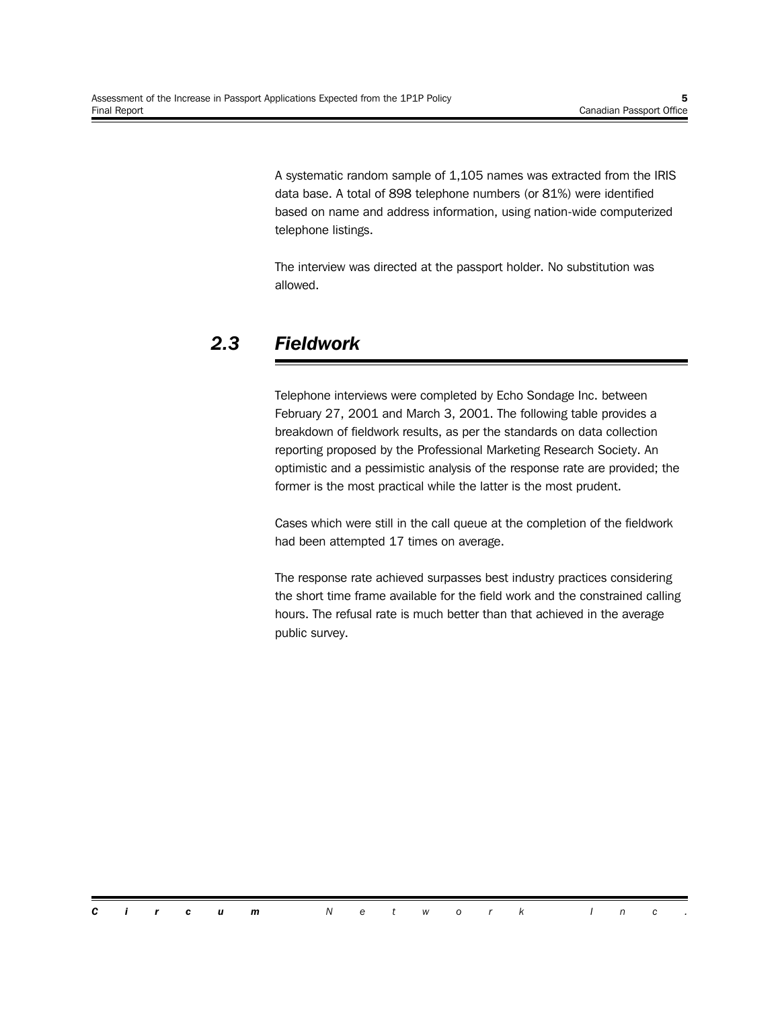A systematic random sample of 1,105 names was extracted from the IRIS data base. A total of 898 telephone numbers (or 81%) were identified based on name and address information, using nation-wide computerized telephone listings.

The interview was directed at the passport holder. No substitution was allowed.

## *2.3 Fieldwork*

Telephone interviews were completed by Echo Sondage Inc. between February 27, 2001 and March 3, 2001. The following table provides a breakdown of fieldwork results, as per the standards on data collection reporting proposed by the Professional Marketing Research Society. An optimistic and a pessimistic analysis of the response rate are provided; the former is the most practical while the latter is the most prudent.

Cases which were still in the call queue at the completion of the fieldwork had been attempted 17 times on average.

The response rate achieved surpasses best industry practices considering the short time frame available for the field work and the constrained calling hours. The refusal rate is much better than that achieved in the average public survey.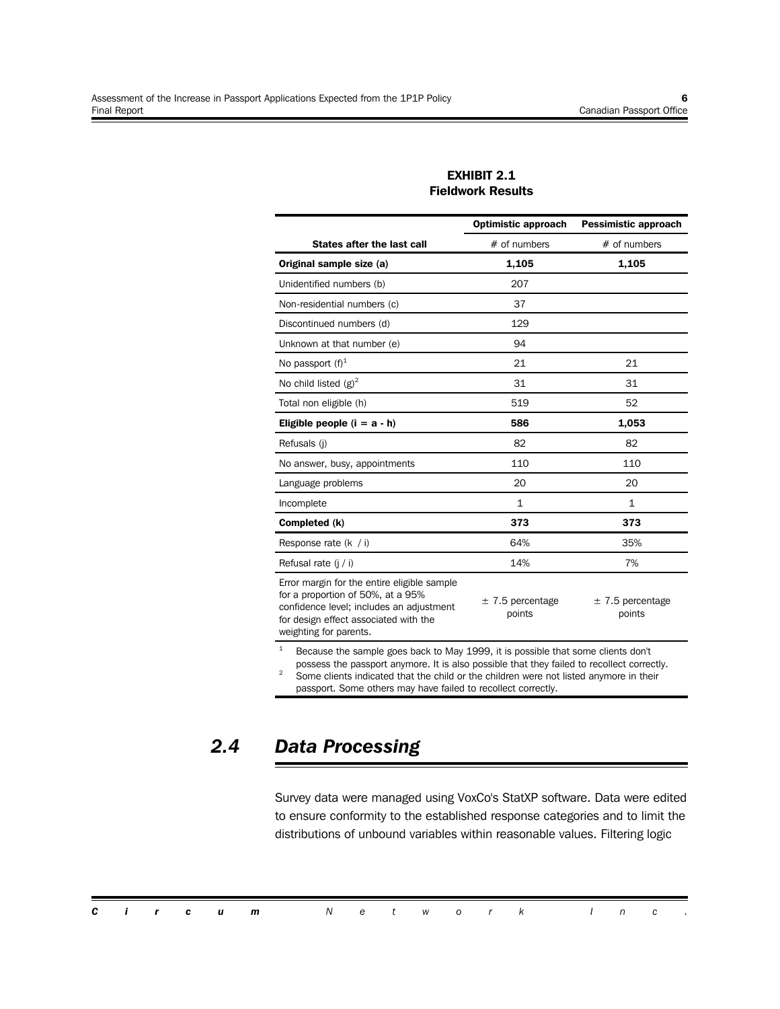#### **EXHIBIT 2.1 Fieldwork Results**

|                                                                                                                                                                                                 | <b>Optimistic approach</b>     | <b>Pessimistic approach</b>    |  |  |
|-------------------------------------------------------------------------------------------------------------------------------------------------------------------------------------------------|--------------------------------|--------------------------------|--|--|
| <b>States after the last call</b>                                                                                                                                                               | $#$ of numbers                 | $#$ of numbers                 |  |  |
| Original sample size (a)                                                                                                                                                                        | 1,105                          | 1,105                          |  |  |
| Unidentified numbers (b)                                                                                                                                                                        | 207                            |                                |  |  |
| Non-residential numbers (c)                                                                                                                                                                     | 37                             |                                |  |  |
| Discontinued numbers (d)                                                                                                                                                                        | 129                            |                                |  |  |
| Unknown at that number (e)                                                                                                                                                                      | 94                             |                                |  |  |
| No passport $(f)^1$                                                                                                                                                                             | 21                             | 21                             |  |  |
| No child listed $(g)^2$                                                                                                                                                                         | 31                             | 31                             |  |  |
| Total non eligible (h)                                                                                                                                                                          | 519                            | 52                             |  |  |
| Eligible people $(i = a - h)$                                                                                                                                                                   | 586                            | 1,053                          |  |  |
| Refusals (i)                                                                                                                                                                                    | 82                             | 82                             |  |  |
| No answer, busy, appointments                                                                                                                                                                   | 110                            | 110                            |  |  |
| Language problems                                                                                                                                                                               | 20                             | 20                             |  |  |
| Incomplete                                                                                                                                                                                      | $\mathbf{1}$                   | $\mathbf{1}$                   |  |  |
| Completed (k)                                                                                                                                                                                   | 373                            | 373                            |  |  |
| Response rate $(k / i)$                                                                                                                                                                         | 64%                            | 35%                            |  |  |
| Refusal rate (j / i)                                                                                                                                                                            | 14%                            | 7%                             |  |  |
| Error margin for the entire eligible sample<br>for a proportion of 50%, at a 95%<br>confidence level; includes an adjustment<br>for design effect associated with the<br>weighting for parents. | $\pm$ 7.5 percentage<br>points | $\pm$ 7.5 percentage<br>points |  |  |
| $\mathbf{1}$<br>Because the sample goes back to May 1999, it is possible that some clients don't                                                                                                |                                |                                |  |  |

possess the passport anymore. It is also possible that they failed to recollect correctly.

<sup>2</sup> Some clients indicated that the child or the children were not listed anymore in their passport. Some others may have failed to recollect correctly.

### *2.4 Data Processing*

Survey data were managed using VoxCo's StatXP software. Data were edited to ensure conformity to the established response categories and to limit the distributions of unbound variables within reasonable values. Filtering logic

*Circum Network Inc .*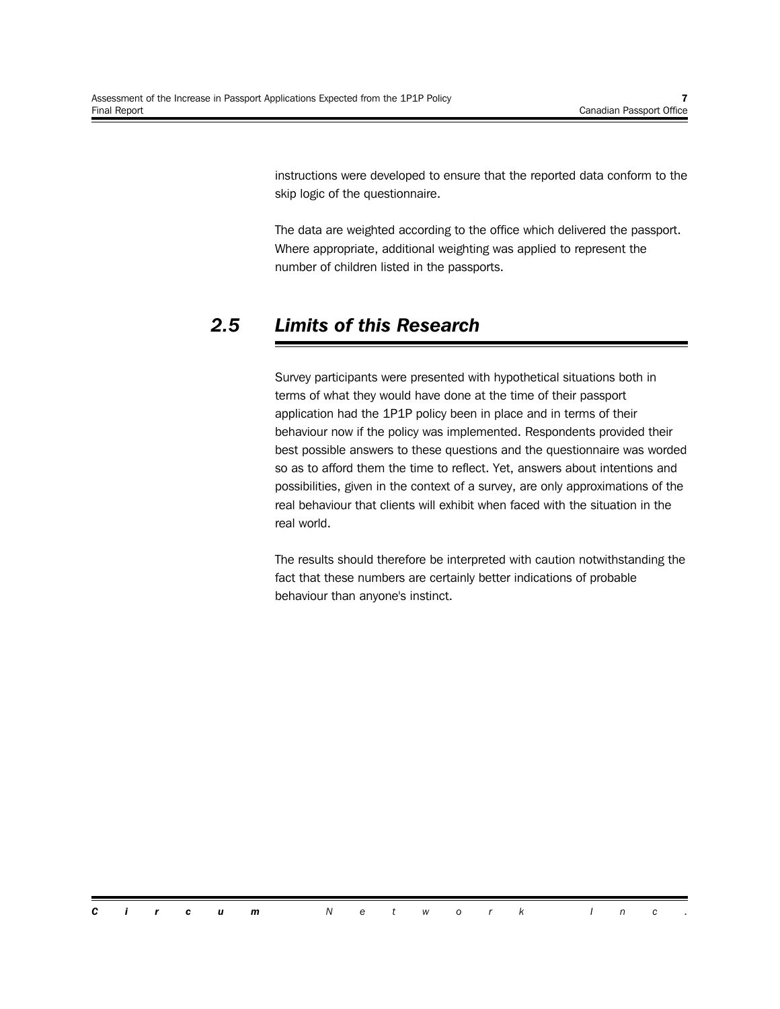instructions were developed to ensure that the reported data conform to the skip logic of the questionnaire.

The data are weighted according to the office which delivered the passport. Where appropriate, additional weighting was applied to represent the number of children listed in the passports.

### *2.5 Limits of this Research*

Survey participants were presented with hypothetical situations both in terms of what they would have done at the time of their passport application had the 1P1P policy been in place and in terms of their behaviour now if the policy was implemented. Respondents provided their best possible answers to these questions and the questionnaire was worded so as to afford them the time to reflect. Yet, answers about intentions and possibilities, given in the context of a survey, are only approximations of the real behaviour that clients will exhibit when faced with the situation in the real world.

The results should therefore be interpreted with caution notwithstanding the fact that these numbers are certainly better indications of probable behaviour than anyone's instinct.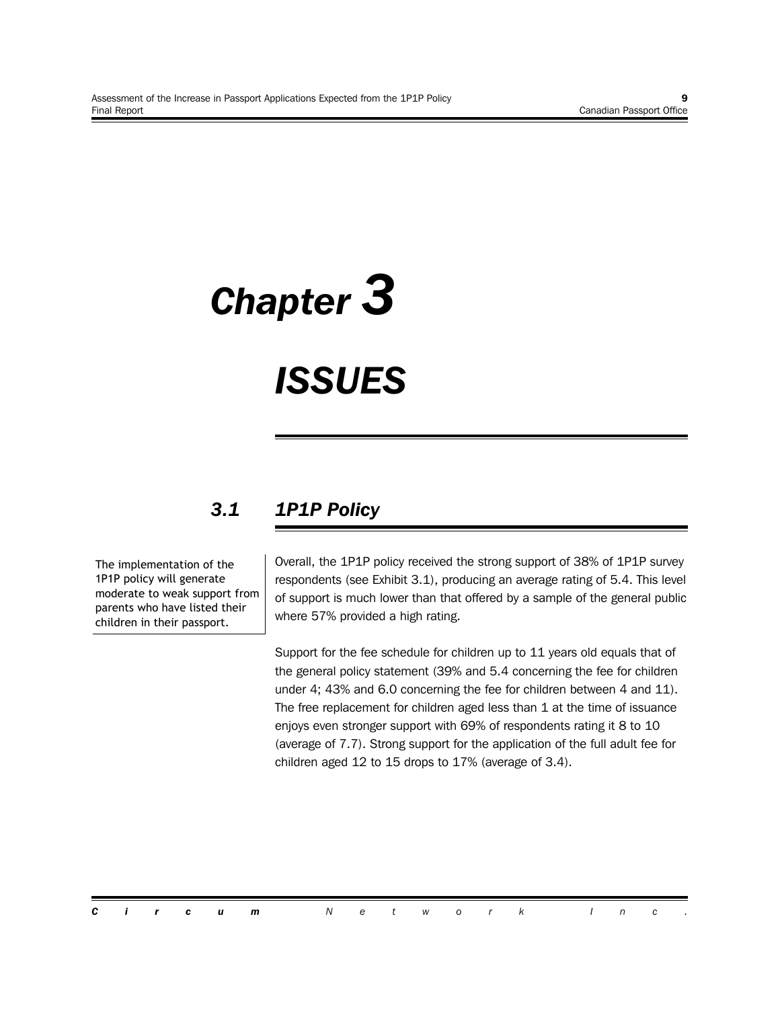# *Chapter 3*

## *ISSUES*

## *3.1 1P1P Policy*

The implementation of the 1P1P policy will generate moderate to weak support from parents who have listed their children in their passport.

Overall, the 1P1P policy received the strong support of 38% of 1P1P survey respondents (see Exhibit 3.1), producing an average rating of 5.4. This level of support is much lower than that offered by a sample of the general public where 57% provided a high rating.

Support for the fee schedule for children up to 11 years old equals that of the general policy statement (39% and 5.4 concerning the fee for children under 4; 43% and 6.0 concerning the fee for children between 4 and 11). The free replacement for children aged less than 1 at the time of issuance enjoys even stronger support with 69% of respondents rating it 8 to 10 (average of 7.7). Strong support for the application of the full adult fee for children aged 12 to 15 drops to 17% (average of 3.4).

*Circum Network Inc .*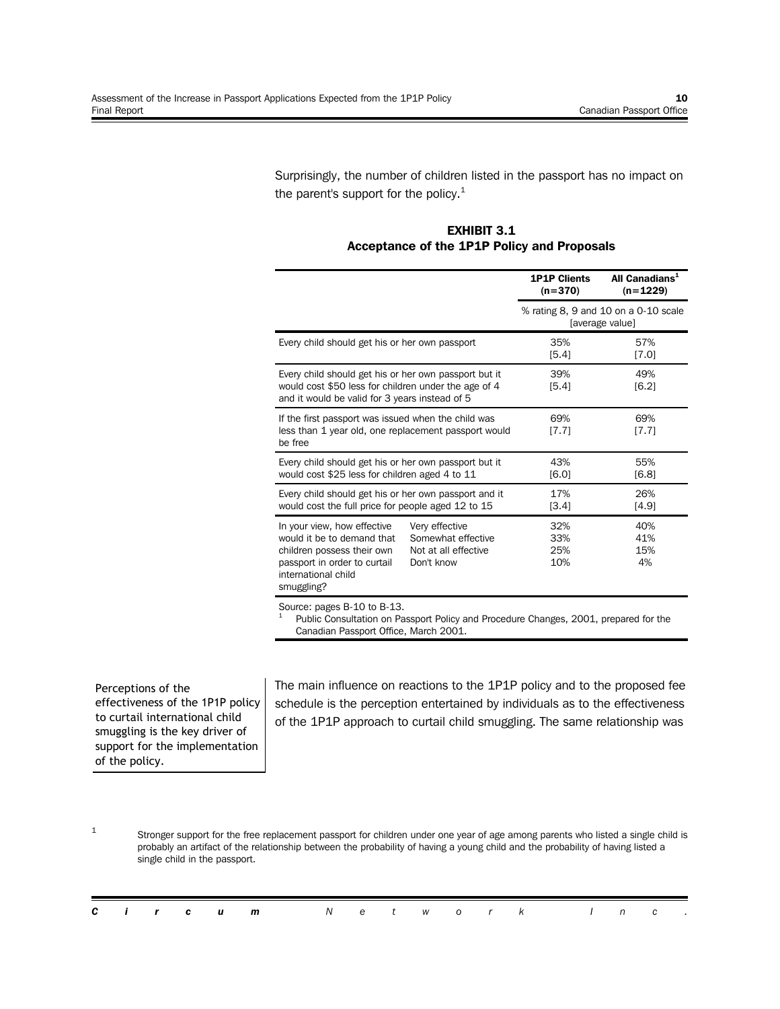Surprisingly, the number of children listed in the passport has no impact on the parent's support for the policy. $1$ 

**EXHIBIT 3.1 Acceptance of the 1P1P Policy and Proposals**

|                                                                                                                                                                 |                          | All Canadians <sup>1</sup><br><b>1P1P Clients</b><br>$(n=1229)$<br>$(n=370)$ |                                                         |  |  |  |
|-----------------------------------------------------------------------------------------------------------------------------------------------------------------|--------------------------|------------------------------------------------------------------------------|---------------------------------------------------------|--|--|--|
|                                                                                                                                                                 |                          |                                                                              | % rating 8, 9 and 10 on a 0-10 scale<br>[average value] |  |  |  |
| Every child should get his or her own passport                                                                                                                  |                          | 35%<br>[5.4]                                                                 | 57%<br>[7.0]                                            |  |  |  |
| Every child should get his or her own passport but it<br>would cost \$50 less for children under the age of 4<br>and it would be valid for 3 years instead of 5 |                          | 39%<br>[5.4]                                                                 | 49%<br>[6.2]                                            |  |  |  |
| If the first passport was issued when the child was<br>less than 1 year old, one replacement passport would<br>be free                                          | 69%<br>[7.7]             | 69%<br>[7.7]                                                                 |                                                         |  |  |  |
| Every child should get his or her own passport but it<br>would cost \$25 less for children aged 4 to 11                                                         |                          | 43%<br>[6.0]                                                                 | 55%<br>[6.8]                                            |  |  |  |
| Every child should get his or her own passport and it<br>would cost the full price for people aged 12 to 15                                                     |                          | 17%<br>[3.4]                                                                 | 26%<br>[4.9]                                            |  |  |  |
| In your view, how effective<br>would it be to demand that<br>children possess their own<br>passport in order to curtail<br>international child<br>smuggling?    | 32%<br>33%<br>25%<br>10% | 40%<br>41%<br>15%<br>4%                                                      |                                                         |  |  |  |

Source: pages B-10 to B-13.

1 Public Consultation on Passport Policy and Procedure Changes, 2001, prepared for the Canadian Passport Office, March 2001.

Perceptions of the effectiveness of the 1P1P policy to curtail international child smuggling is the key driver of support for the implementation of the policy.

The main influence on reactions to the 1P1P policy and to the proposed fee schedule is the perception entertained by individuals as to the effectiveness of the 1P1P approach to curtail child smuggling. The same relationship was

<sup>1</sup> Stronger support for the free replacement passport for children under one year of age among parents who listed a single child is probably an artifact of the relationship between the probability of having a young child and the probability of having listed a single child in the passport.

|  |  | <b>Circum</b> Network Inc. |  |  |  |  |  |  |
|--|--|----------------------------|--|--|--|--|--|--|
|  |  |                            |  |  |  |  |  |  |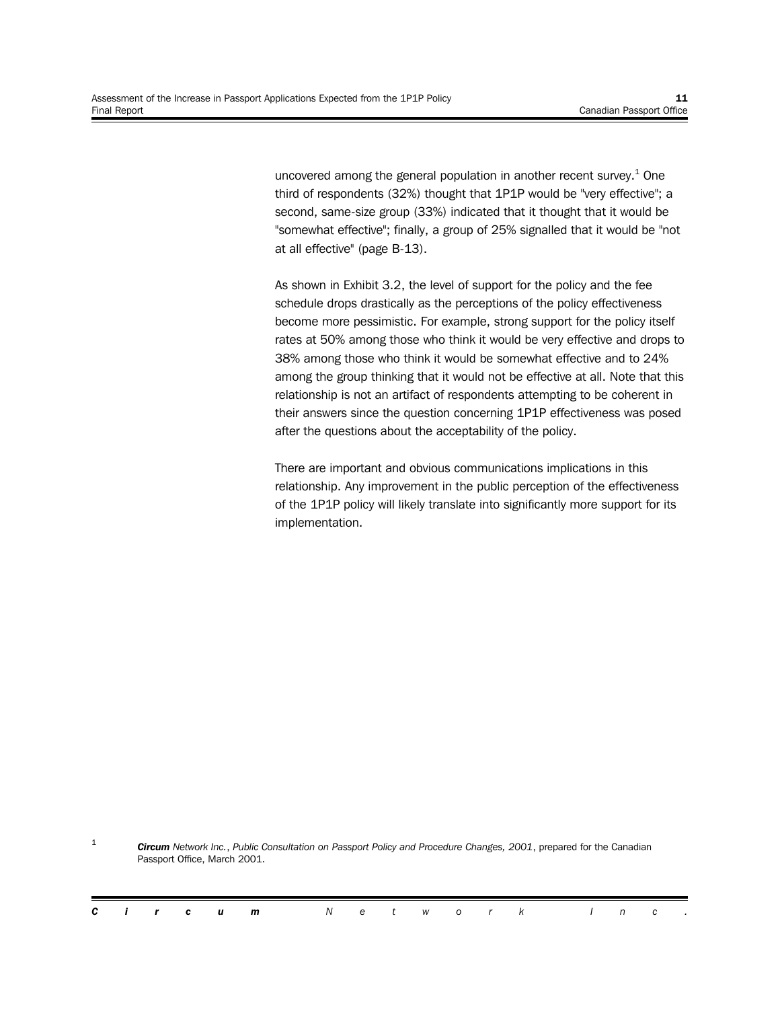uncovered among the general population in another recent survey. $^{1}$  One third of respondents (32%) thought that 1P1P would be "very effective"; a second, same-size group (33%) indicated that it thought that it would be "somewhat effective"; finally, a group of 25% signalled that it would be "not at all effective" (page B-13).

As shown in Exhibit 3.2, the level of support for the policy and the fee schedule drops drastically as the perceptions of the policy effectiveness become more pessimistic. For example, strong support for the policy itself rates at 50% among those who think it would be very effective and drops to 38% among those who think it would be somewhat effective and to 24% among the group thinking that it would not be effective at all. Note that this relationship is not an artifact of respondents attempting to be coherent in their answers since the question concerning 1P1P effectiveness was posed after the questions about the acceptability of the policy.

There are important and obvious communications implications in this relationship. Any improvement in the public perception of the effectiveness of the 1P1P policy will likely translate into significantly more support for its implementation.

1 *Circum Network Inc.*, *Public Consultation on Passport Policy and Procedure Changes, 2001*, prepared for the Canadian Passport Office, March 2001.

|  |  | <b>Circum</b> Network Inc. |  |  |  |  |  |  |
|--|--|----------------------------|--|--|--|--|--|--|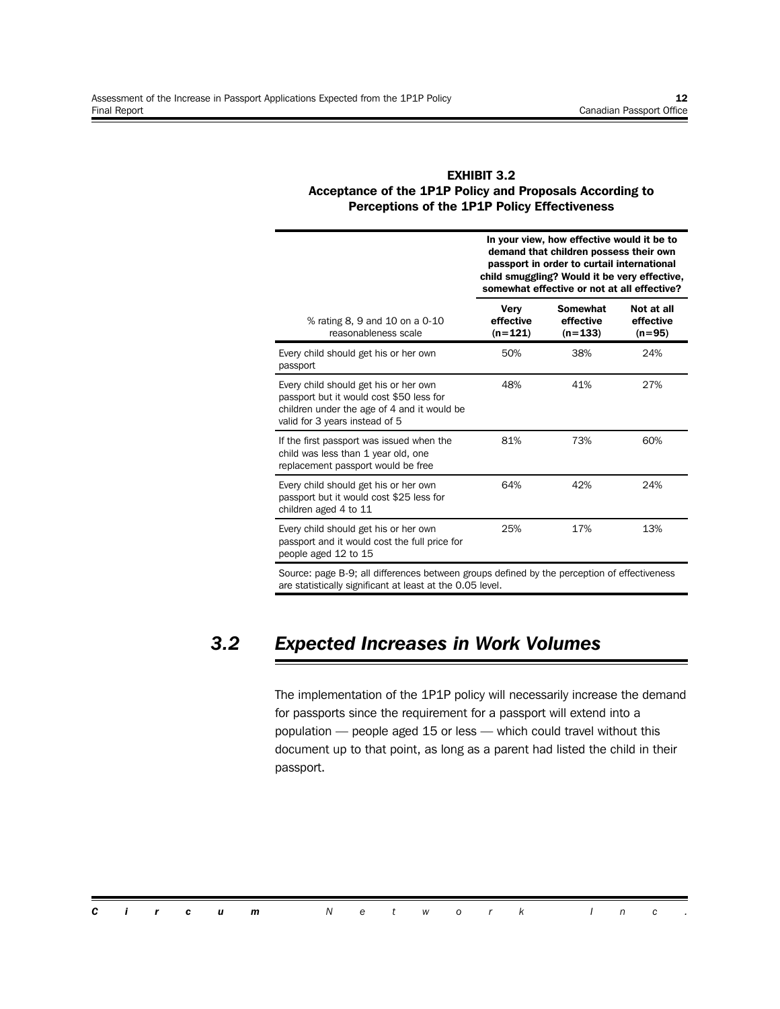#### **EXHIBIT 3.2 Acceptance of the 1P1P Policy and Proposals According to Perceptions of the 1P1P Policy Effectiveness**

|                                                                                                                                                                    | In your view, how effective would it be to<br>demand that children possess their own<br>passport in order to curtail international<br>child smuggling? Would it be very effective,<br>somewhat effective or not at all effective? |                                    |                                     |  |  |  |  |  |  |  |
|--------------------------------------------------------------------------------------------------------------------------------------------------------------------|-----------------------------------------------------------------------------------------------------------------------------------------------------------------------------------------------------------------------------------|------------------------------------|-------------------------------------|--|--|--|--|--|--|--|
| % rating 8, 9 and 10 on a 0-10<br>reasonableness scale                                                                                                             | Very<br>effective<br>$(n=121)$                                                                                                                                                                                                    | Somewhat<br>effective<br>$(n=133)$ | Not at all<br>effective<br>$(n=95)$ |  |  |  |  |  |  |  |
| Every child should get his or her own<br>passport                                                                                                                  | 50%                                                                                                                                                                                                                               | 38%                                | 24%                                 |  |  |  |  |  |  |  |
| Every child should get his or her own<br>passport but it would cost \$50 less for<br>children under the age of 4 and it would be<br>valid for 3 years instead of 5 | 48%                                                                                                                                                                                                                               | 41%                                | 27%                                 |  |  |  |  |  |  |  |
| If the first passport was issued when the<br>child was less than 1 year old, one<br>replacement passport would be free                                             | 81%                                                                                                                                                                                                                               | 73%                                | 60%                                 |  |  |  |  |  |  |  |
| Every child should get his or her own<br>passport but it would cost \$25 less for<br>children aged 4 to 11                                                         | 64%                                                                                                                                                                                                                               | 42%                                | 24%                                 |  |  |  |  |  |  |  |
| Every child should get his or her own<br>passport and it would cost the full price for<br>people aged 12 to 15                                                     | 25%                                                                                                                                                                                                                               | 17%                                | 13%                                 |  |  |  |  |  |  |  |

Source: page B-9; all differences between groups defined by the perception of effectiveness are statistically significant at least at the 0.05 level.

## *3.2 Expected Increases in Work Volumes*

The implementation of the 1P1P policy will necessarily increase the demand for passports since the requirement for a passport will extend into a population — people aged 15 or less — which could travel without this document up to that point, as long as a parent had listed the child in their passport.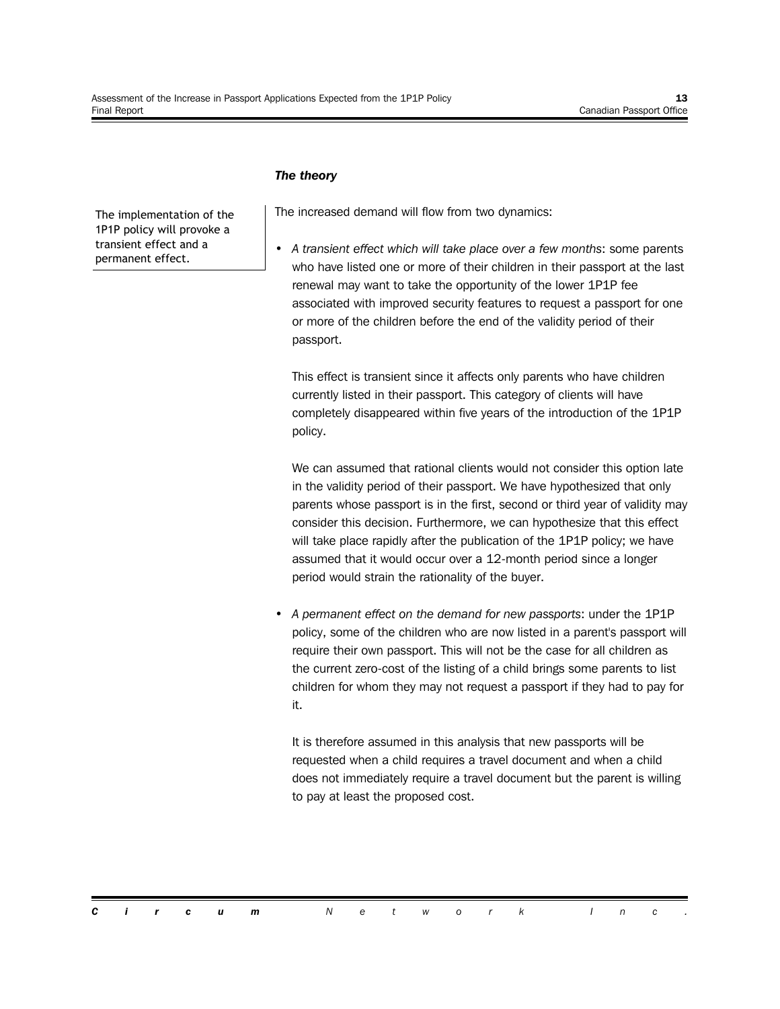#### *The theory*

The implementation of the 1P1P policy will provoke a transient effect and a permanent effect.

The increased demand will flow from two dynamics:

• *A transient effect which will take place over a few months*: some parents who have listed one or more of their children in their passport at the last renewal may want to take the opportunity of the lower 1P1P fee associated with improved security features to request a passport for one or more of the children before the end of the validity period of their passport.

This effect is transient since it affects only parents who have children currently listed in their passport. This category of clients will have completely disappeared within five years of the introduction of the 1P1P policy.

We can assumed that rational clients would not consider this option late in the validity period of their passport. We have hypothesized that only parents whose passport is in the first, second or third year of validity may consider this decision. Furthermore, we can hypothesize that this effect will take place rapidly after the publication of the 1P1P policy; we have assumed that it would occur over a 12-month period since a longer period would strain the rationality of the buyer.

• *A permanent effect on the demand for new passports*: under the 1P1P policy, some of the children who are now listed in a parent's passport will require their own passport. This will not be the case for all children as the current zero-cost of the listing of a child brings some parents to list children for whom they may not request a passport if they had to pay for it.

It is therefore assumed in this analysis that new passports will be requested when a child requires a travel document and when a child does not immediately require a travel document but the parent is willing to pay at least the proposed cost.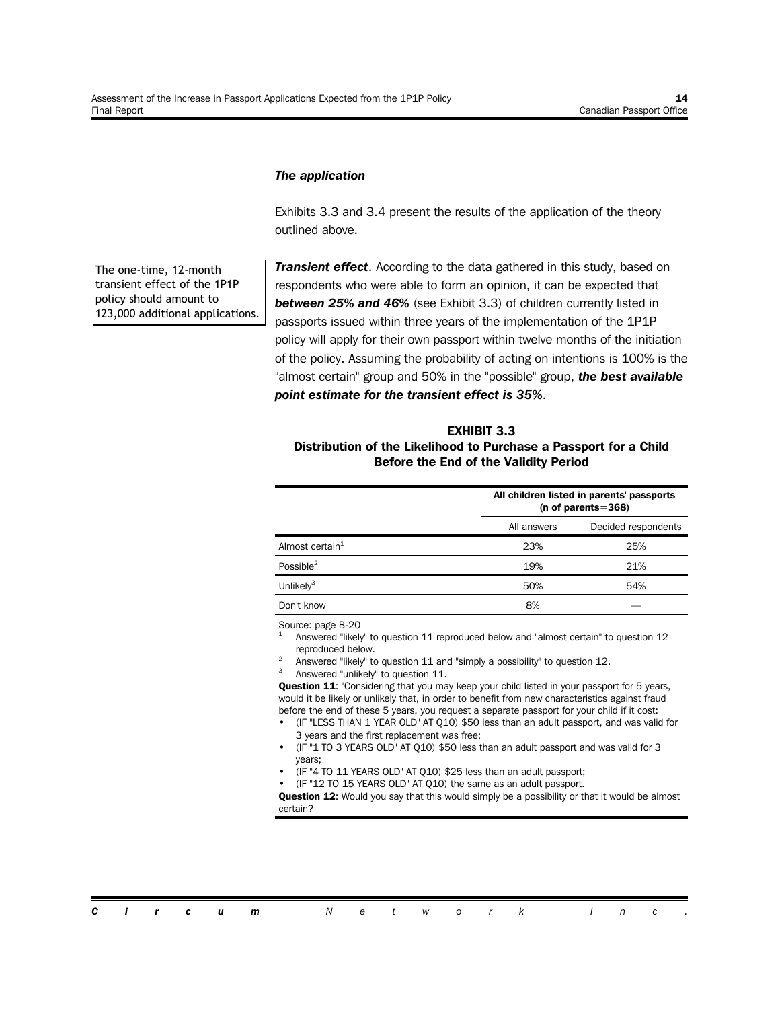#### *The application*

Exhibits 3.3 and 3.4 present the results of the application of the theory outlined above.

The one-time, 12-month transient effect of the 1P1P policy should amount to 123,000 additional applications.

*Transient effect*. According to the data gathered in this study, based on respondents who were able to form an opinion, it can be expected that *between 25% and 46%* (see Exhibit 3.3) of children currently listed in passports issued within three years of the implementation of the 1P1P policy will apply for their own passport within twelve months of the initiation of the policy. Assuming the probability of acting on intentions is 100% is the "almost certain" group and 50% in the "possible" group, *the best available point estimate for the transient effect is 35%*.

#### **EXHIBIT 3.3 Distribution of the Likelihood to Purchase a Passport for a Child Before the End of the Validity Period**

|                             |             | All children listed in parents' passports<br>(n of parents= $368$ ) |
|-----------------------------|-------------|---------------------------------------------------------------------|
|                             | All answers | Decided respondents                                                 |
| Almost certain <sup>1</sup> | 23%         | 25%                                                                 |
| Possible <sup>2</sup>       | 19%         | 21%                                                                 |
| Unlikel $v^3$               | 50%         | 54%                                                                 |
| Don't know                  | 8%          |                                                                     |

Source: page B-20

- 1 Answered "likely" to question 11 reproduced below and "almost certain" to question 12 reproduced below.
- 2 Answered "likely" to question 11 and "simply a possibility" to question 12.
- 3 Answered "unlikely" to question 11.

**Question 11**: "Considering that you may keep your child listed in your passport for 5 years, would it be likely or unlikely that, in order to benefit from new characteristics against fraud before the end of these 5 years, you request a separate passport for your child if it cost:

- (IF "LESS THAN 1 YEAR OLD" AT Q10) \$50 less than an adult passport, and was valid for 3 years and the first replacement was free;
- (IF "1 TO 3 YEARS OLD" AT Q10) \$50 less than an adult passport and was valid for 3 years;
- (IF "4 TO 11 YEARS OLD" AT Q10) \$25 less than an adult passport;
- (IF "12 TO 15 YEARS OLD" AT Q10) the same as an adult passport.

**Question 12:** Would you say that this would simply be a possibility or that it would be almost certain?

| <b>Circum</b> Network Inc. |
|----------------------------|
|----------------------------|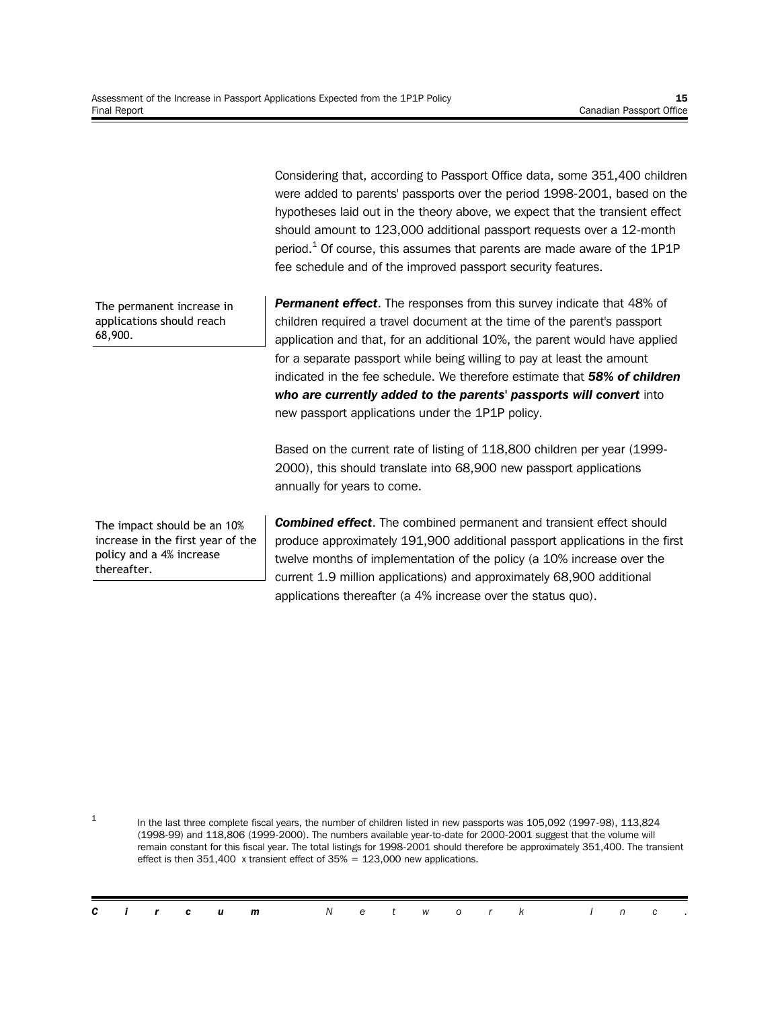Considering that, according to Passport Office data, some 351,400 children were added to parents' passports over the period 1998-2001, based on the hypotheses laid out in the theory above, we expect that the transient effect should amount to 123,000 additional passport requests over a 12-month period.<sup>1</sup> Of course, this assumes that parents are made aware of the 1P1P fee schedule and of the improved passport security features.

The permanent increase in applications should reach 68,900.

The impact should be an 10% increase in the first year of the policy and a 4% increase thereafter.

1

**Permanent effect.** The responses from this survey indicate that 48% of children required a travel document at the time of the parent's passport application and that, for an additional 10%, the parent would have applied for a separate passport while being willing to pay at least the amount indicated in the fee schedule. We therefore estimate that *58% of children who are currently added to the parents' passports will convert* into new passport applications under the 1P1P policy.

Based on the current rate of listing of 118,800 children per year (1999- 2000), this should translate into 68,900 new passport applications annually for years to come.

*Combined effect*. The combined permanent and transient effect should produce approximately 191,900 additional passport applications in the first twelve months of implementation of the policy (a 10% increase over the current 1.9 million applications) and approximately 68,900 additional applications thereafter (a 4% increase over the status quo).

In the last three complete fiscal years, the number of children listed in new passports was 105,092 (1997-98), 113,824 (1998-99) and 118,806 (1999-2000). The numbers available year-to-date for 2000-2001 suggest that the volume will remain constant for this fiscal year. The total listings for 1998-2001 should therefore be approximately 351,400. The transient effect is then 351,400 x transient effect of 35% = 123,000 new applications.

|  |  | <b>Circum</b> Network Inc. |  |  |  |  |  |  |
|--|--|----------------------------|--|--|--|--|--|--|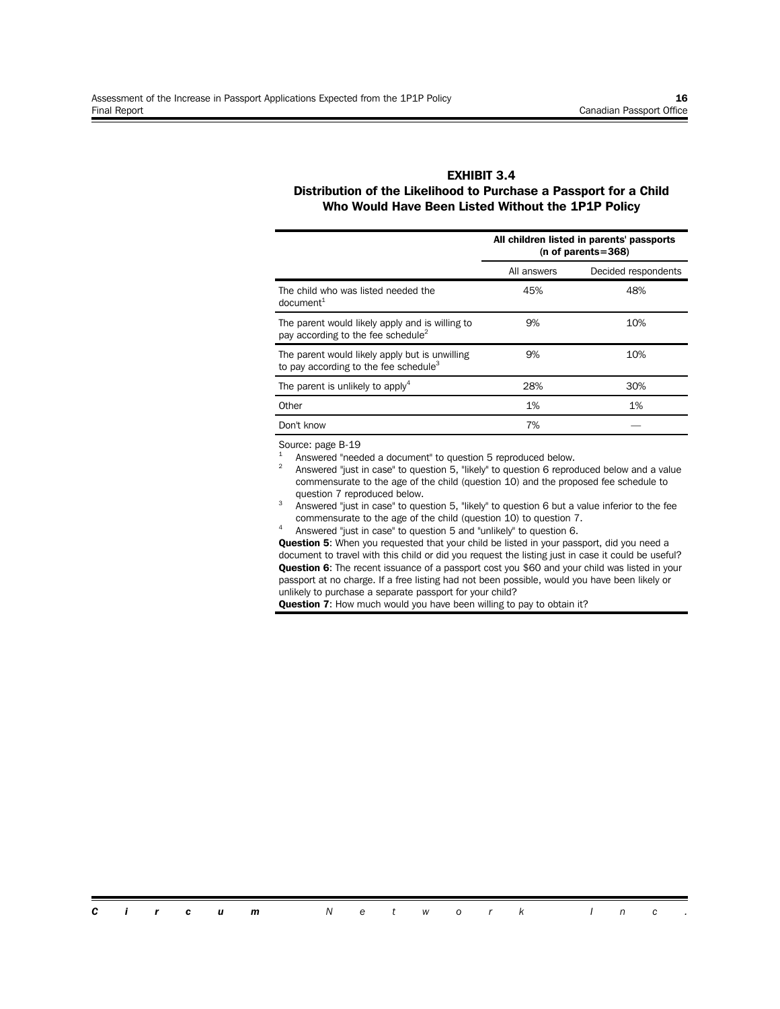#### **EXHIBIT 3.4 Distribution of the Likelihood to Purchase a Passport for a Child Who Would Have Been Listed Without the 1P1P Policy**

|                                                                                                     |             | All children listed in parents' passports<br>(n of parents= $368$ ) |
|-----------------------------------------------------------------------------------------------------|-------------|---------------------------------------------------------------------|
|                                                                                                     | All answers | Decided respondents                                                 |
| The child who was listed needed the<br>document <sup>1</sup>                                        | 45%         | 48%                                                                 |
| The parent would likely apply and is willing to<br>pay according to the fee schedule <sup>2</sup>   | 9%          | 10%                                                                 |
| The parent would likely apply but is unwilling<br>to pay according to the fee schedule <sup>3</sup> | 9%          | 10%                                                                 |
| The parent is unlikely to apply <sup>4</sup>                                                        | 28%         | 30%                                                                 |
| Other                                                                                               | 1%          | 1%                                                                  |
| Don't know                                                                                          | 7%          |                                                                     |

Source: page B-19

1 Answered "needed a document" to question 5 reproduced below.

 $\overline{2}$ Answered "just in case" to question 5, "likely" to question 6 reproduced below and a value commensurate to the age of the child (question 10) and the proposed fee schedule to question 7 reproduced below.

- 3 Answered "just in case" to question 5, "likely" to question 6 but a value inferior to the fee commensurate to the age of the child (question 10) to question 7.
- 4 Answered "just in case" to question 5 and "unlikely" to question 6.

**Question 5**: When you requested that your child be listed in your passport, did you need a document to travel with this child or did you request the listing just in case it could be useful? **Question 6**: The recent issuance of a passport cost you \$60 and your child was listed in your passport at no charge. If a free listing had not been possible, would you have been likely or unlikely to purchase a separate passport for your child?

**Question 7**: How much would you have been willing to pay to obtain it?

*Circum Network Inc .*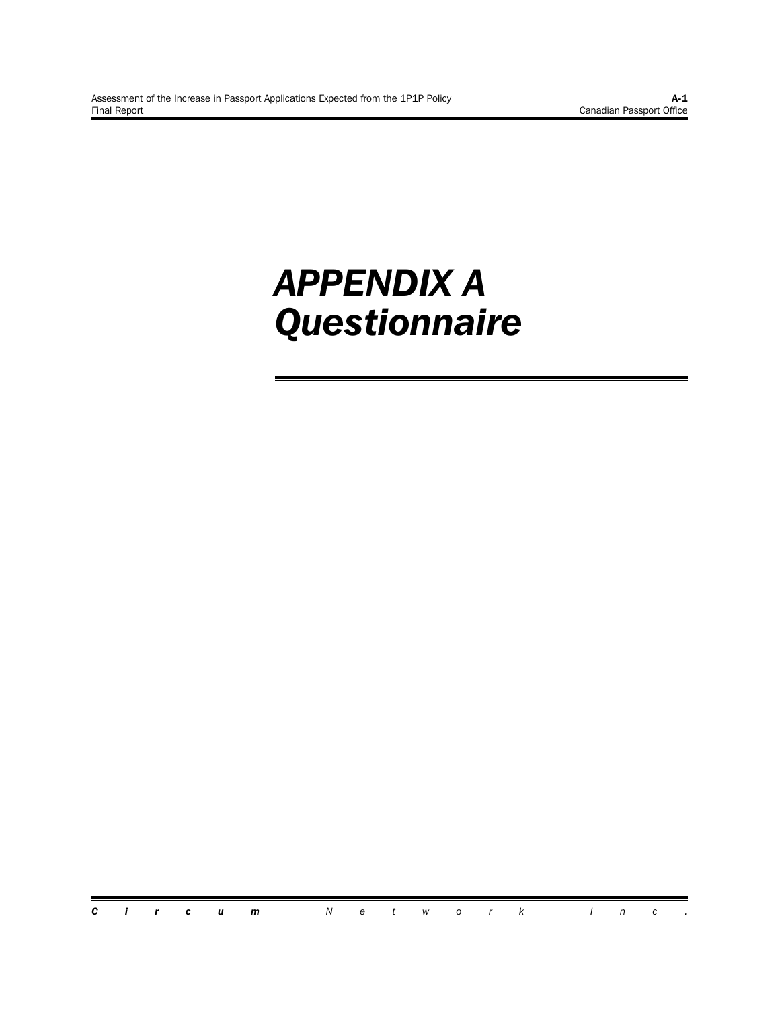## *APPENDIX A Questionnaire*

*Circum Network Inc .*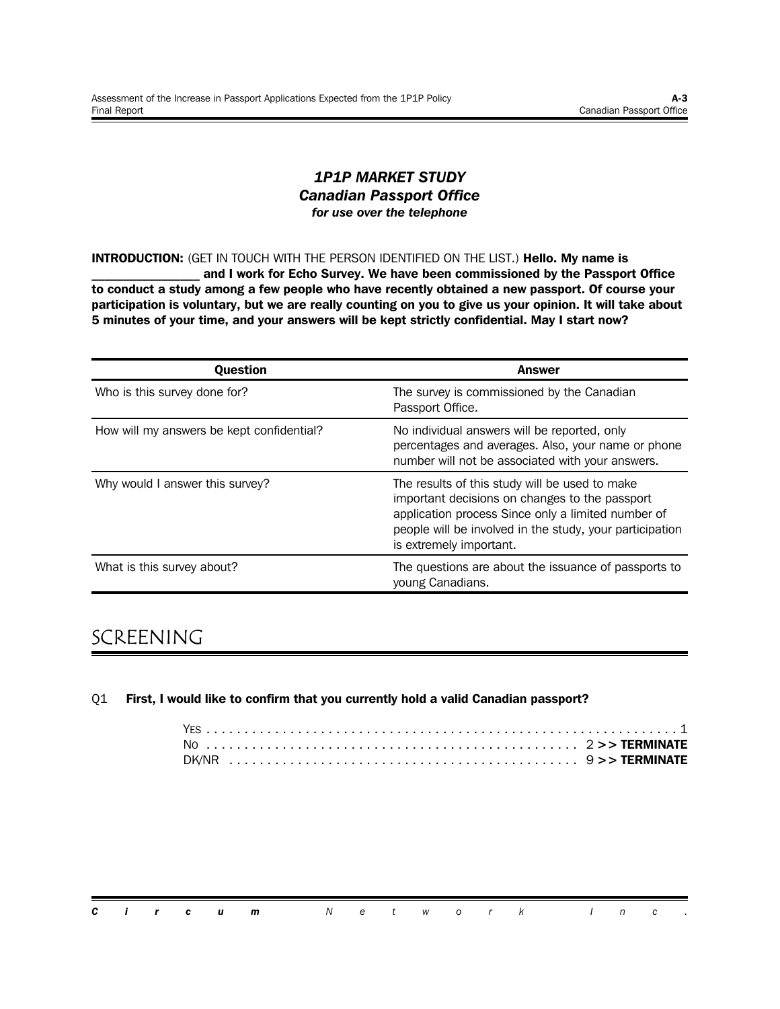#### *1P1P MARKET STUDY Canadian Passport Office for use over the telephone*

**INTRODUCTION:** (GET IN TOUCH WITH THE PERSON IDENTIFIED ON THE LIST.) **Hello. My name is**

and I work for Echo Survey. We have been commissioned by the Passport Office **to conduct a study among a few people who have recently obtained a new passport. Of course your participation is voluntary, but we are really counting on you to give us your opinion. It will take about 5 minutes of your time, and your answers will be kept strictly confidential. May I start now?**

| <b>Ouestion</b>                           | <b>Answer</b>                                                                                                                                                                                                                                 |
|-------------------------------------------|-----------------------------------------------------------------------------------------------------------------------------------------------------------------------------------------------------------------------------------------------|
| Who is this survey done for?              | The survey is commissioned by the Canadian<br>Passport Office.                                                                                                                                                                                |
| How will my answers be kept confidential? | No individual answers will be reported, only<br>percentages and averages. Also, your name or phone<br>number will not be associated with your answers.                                                                                        |
| Why would I answer this survey?           | The results of this study will be used to make<br>important decisions on changes to the passport<br>application process Since only a limited number of<br>people will be involved in the study, your participation<br>is extremely important. |
| What is this survey about?                | The questions are about the issuance of passports to<br>young Canadians.                                                                                                                                                                      |

## SCREENING

#### Q1 **First, I would like to confirm that you currently hold a valid Canadian passport?**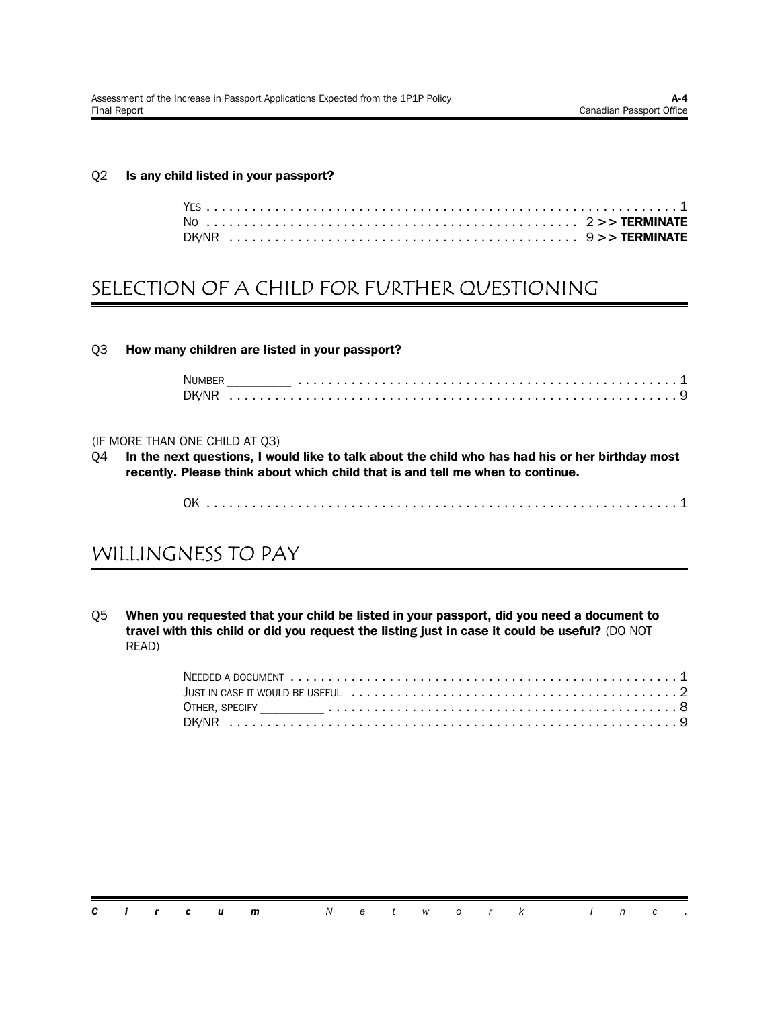#### Q2 **Is any child listed in your passport?**

## SELECTION OF A CHILD FOR FURTHER QUESTIONING

Q3 **How many children are listed in your passport?**

| <b>NIIMB</b> |  |  |  |  |  |  |  |  |  |  |  |  |  |  |  |  |  |  |  |
|--------------|--|--|--|--|--|--|--|--|--|--|--|--|--|--|--|--|--|--|--|
|              |  |  |  |  |  |  |  |  |  |  |  |  |  |  |  |  |  |  |  |

#### (IF MORE THAN ONE CHILD AT Q3)

Q4 **In the next questions, I would like to talk about the child who has had his or her birthday most recently. Please think about which child that is and tell me when to continue.**

### WILLINGNESS TO PAY

Q5 **When you requested that your child be listed in your passport, did you need a document to travel with this child or did you request the listing just in case it could be useful?** (DO NOT READ)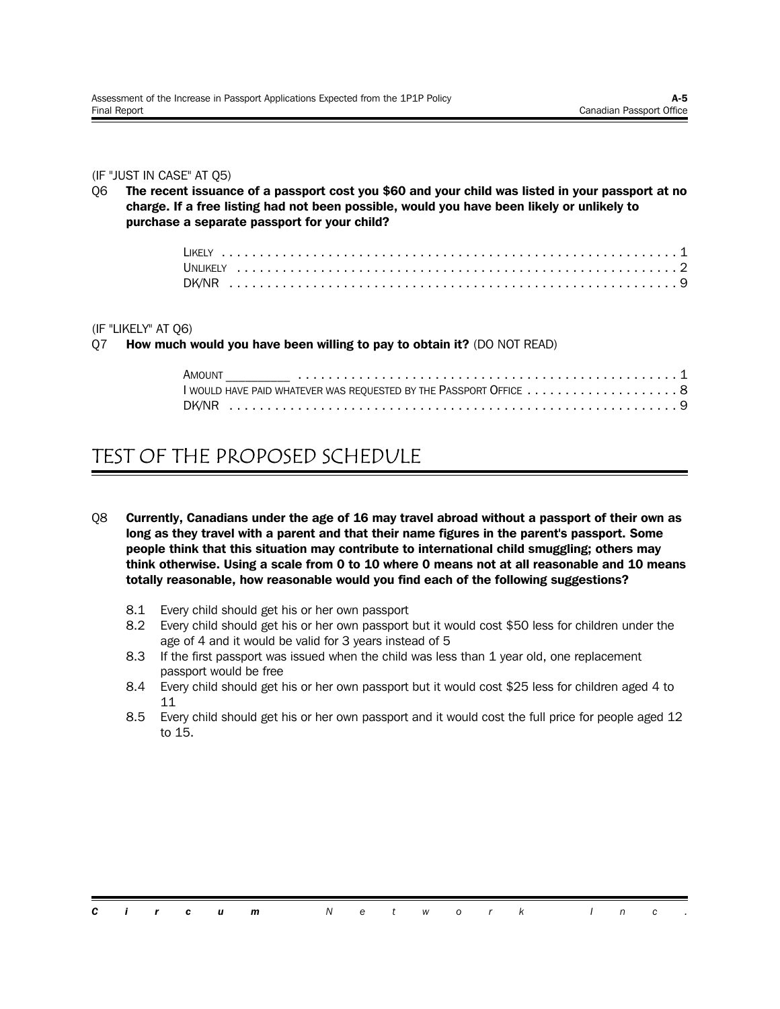#### (IF "JUST IN CASE" AT Q5)

Q6 **The recent issuance of a passport cost you \$60 and your child was listed in your passport at no charge. If a free listing had not been possible, would you have been likely or unlikely to purchase a separate passport for your child?**

#### (IF "LIKELY" AT Q6)

Q7 **How much would you have been willing to pay to obtain it?** (DO NOT READ)

| AMOUNT                                                             |  |  |  |  |
|--------------------------------------------------------------------|--|--|--|--|
| I WOULD HAVE PAID WHATEVER WAS REQUESTED BY THE PASSPORT OFFICE  8 |  |  |  |  |
|                                                                    |  |  |  |  |

## TEST OF THE PROPOSED SCHEDULE

- Q8 **Currently, Canadians under the age of 16 may travel abroad without a passport of their own as long as they travel with a parent and that their name figures in the parent's passport. Some people think that this situation may contribute to international child smuggling; others may think otherwise. Using a scale from 0 to 10 where 0 means not at all reasonable and 10 means totally reasonable, how reasonable would you find each of the following suggestions?**
	- 8.1 Every child should get his or her own passport
	- 8.2 Every child should get his or her own passport but it would cost \$50 less for children under the age of 4 and it would be valid for 3 years instead of 5
	- 8.3 If the first passport was issued when the child was less than 1 year old, one replacement passport would be free
	- 8.4 Every child should get his or her own passport but it would cost \$25 less for children aged 4 to 11
	- 8.5 Every child should get his or her own passport and it would cost the full price for people aged 12 to 15.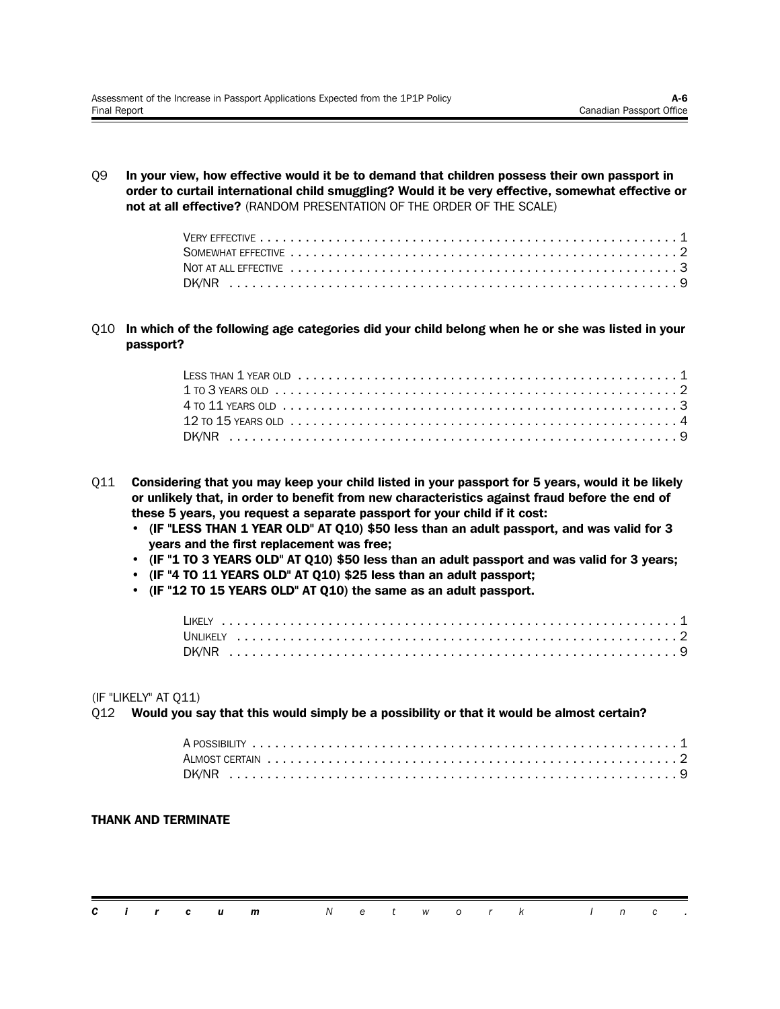Q9 **In your view, how effective would it be to demand that children possess their own passport in order to curtail international child smuggling? Would it be very effective, somewhat effective or not at all effective?** (RANDOM PRESENTATION OF THE ORDER OF THE SCALE)

Q10 **In which of the following age categories did your child belong when he or she was listed in your passport?**

| $1$ to 3 years old $\dots\dots\dots\dots\dots\dots\dots\dots\dots\dots\dots\dots\dots\dots\dots\dots\dots\dots$ |  |
|-----------------------------------------------------------------------------------------------------------------|--|
| $4$ to $11$ years old $\dots\dots\dots\dots\dots\dots\dots\dots\dots\dots\dots\dots\dots\dots\dots\dots\dots$   |  |
|                                                                                                                 |  |
|                                                                                                                 |  |

- Q11 **Considering that you may keep your child listed in your passport for 5 years, would it be likely or unlikely that, in order to benefit from new characteristics against fraud before the end of these 5 years, you request a separate passport for your child if it cost:**
	- **• (IF "LESS THAN 1 YEAR OLD" AT Q10) \$50 less than an adult passport, and was valid for 3 years and the first replacement was free;**
	- **• (IF "1 TO 3 YEARS OLD" AT Q10) \$50 less than an adult passport and was valid for 3 years;**
	- **• (IF "4 TO 11 YEARS OLD" AT Q10) \$25 less than an adult passport;**
	- **• (IF "12 TO 15 YEARS OLD" AT Q10) the same as an adult passport.**

(IF "LIKELY" AT Q11)

#### Q12 **Would you say that this would simply be a possibility or that it would be almost certain?**

#### **THANK AND TERMINATE**

|  |  | <b>Circum</b> Network Inc. |  |  |  |  |  |  |
|--|--|----------------------------|--|--|--|--|--|--|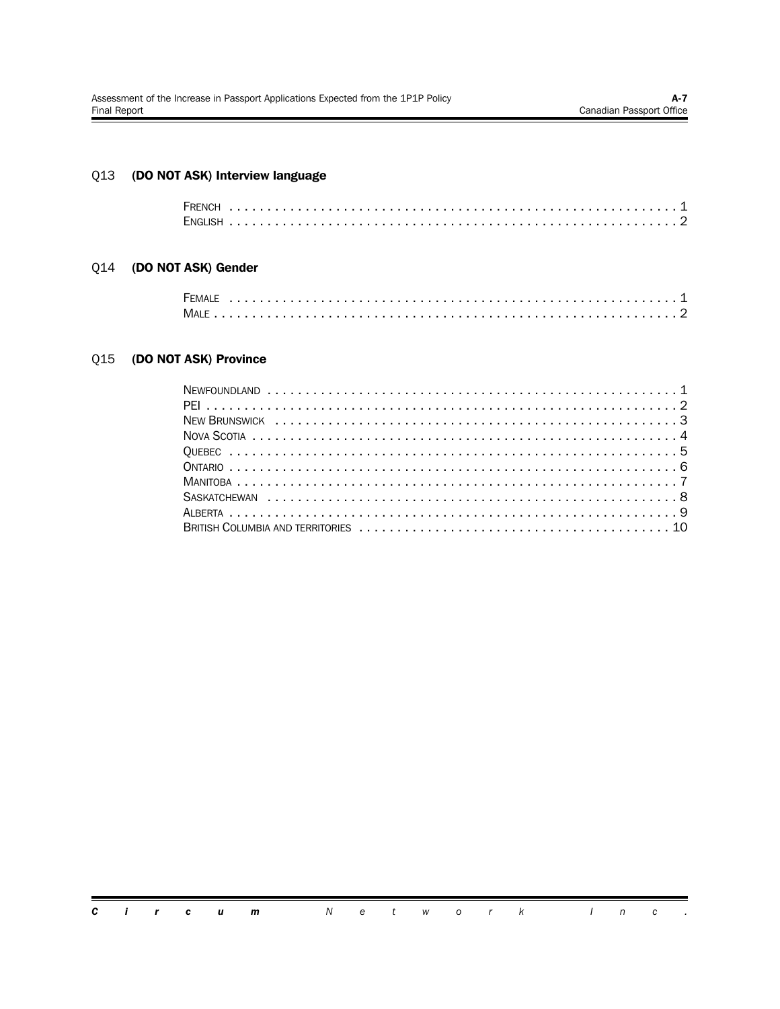#### $Q13$ (DO NOT ASK) Interview language

#### Q14 (DO NOT ASK) Gender

| <b>FEMALE</b> |  |  |  |  |  |  |  |  |  |  |  |  |  |  |  |  |  |  |  |  |  |  |
|---------------|--|--|--|--|--|--|--|--|--|--|--|--|--|--|--|--|--|--|--|--|--|--|
|               |  |  |  |  |  |  |  |  |  |  |  |  |  |  |  |  |  |  |  |  |  |  |

#### Q15 (DO NOT ASK) Province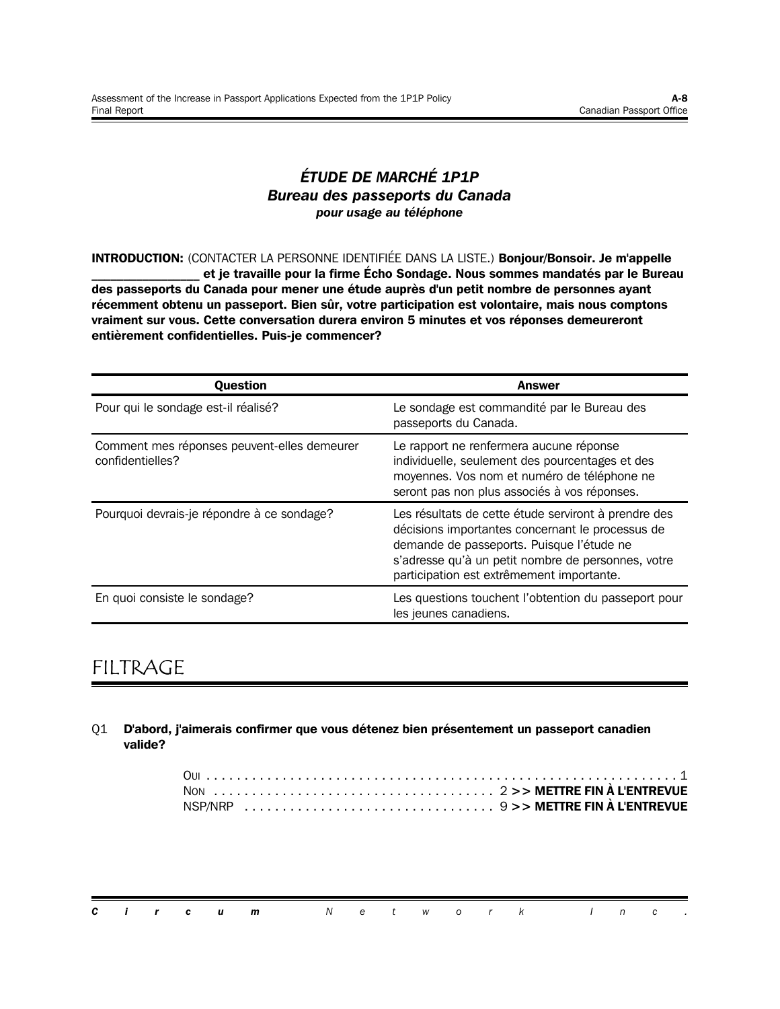#### *ÉTUDE DE MARCHÉ 1P1P Bureau des passeports du Canada pour usage au téléphone*

**INTRODUCTION:** (CONTACTER LA PERSONNE IDENTIFIÉE DANS LA LISTE.) **Bonjour/Bonsoir. Je m'appelle \_\_\_\_\_\_\_\_\_\_\_\_\_\_\_\_\_ et je travaille pour la firme Écho Sondage. Nous sommes mandatés par le Bureau des passeports du Canada pour mener une étude auprès d'un petit nombre de personnes ayant récemment obtenu un passeport. Bien sûr, votre participation est volontaire, mais nous comptons vraiment sur vous. Cette conversation durera environ 5 minutes et vos réponses demeureront entièrement confidentielles. Puis-je commencer?**

| <b>Question</b>                                                 | <b>Answer</b>                                                                                                                                                                                                                                            |
|-----------------------------------------------------------------|----------------------------------------------------------------------------------------------------------------------------------------------------------------------------------------------------------------------------------------------------------|
| Pour qui le sondage est-il réalisé?                             | Le sondage est commandité par le Bureau des<br>passeports du Canada.                                                                                                                                                                                     |
| Comment mes réponses peuvent-elles demeurer<br>confidentielles? | Le rapport ne renfermera aucune réponse<br>individuelle, seulement des pourcentages et des<br>moyennes. Vos nom et numéro de téléphone ne<br>seront pas non plus associés à vos réponses.                                                                |
| Pourquoi devrais-je répondre à ce sondage?                      | Les résultats de cette étude serviront à prendre des<br>décisions importantes concernant le processus de<br>demande de passeports. Puisque l'étude ne<br>s'adresse qu'à un petit nombre de personnes, votre<br>participation est extrêmement importante. |
| En quoi consiste le sondage?                                    | Les questions touchent l'obtention du passeport pour<br>les jeunes canadiens.                                                                                                                                                                            |

## FILTRAGE

Q1 **D'abord, j'aimerais confirmer que vous détenez bien présentement un passeport canadien valide?**

|  |  | <b>Circum</b> Network Inc. |  |  |  |  |  |  |
|--|--|----------------------------|--|--|--|--|--|--|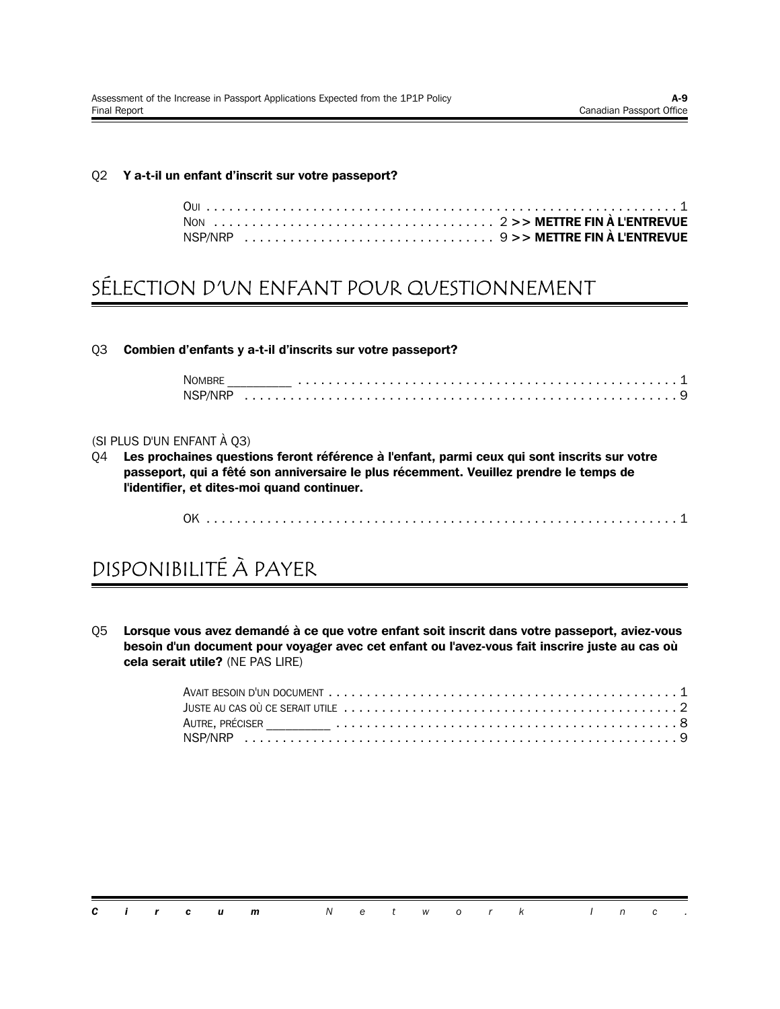#### Q2 **Y a-t-il un enfant d'inscrit sur votre passeport?**

## SÉLECTION D'UN ENFANT POUR QUESTIONNEMENT

#### Q3 **Combien d'enfants y a-t-il d'inscrits sur votre passeport?**

| <b>NOMBRL</b> |  |  |  |  |
|---------------|--|--|--|--|
| NSP/NRP       |  |  |  |  |

#### (SI PLUS D'UN ENFANT À Q3)

Q4 **Les prochaines questions feront référence à l'enfant, parmi ceux qui sont inscrits sur votre passeport, qui a fêté son anniversaire le plus récemment. Veuillez prendre le temps de l'identifier, et dites-moi quand continuer.**

OK .............................................................. 1

## DISPONIBILITÉ À PAYER

Q5 **Lorsque vous avez demandé à ce que votre enfant soit inscrit dans votre passeport, aviez-vous besoin d'un document pour voyager avec cet enfant ou l'avez-vous fait inscrire juste au cas où cela serait utile?** (NE PAS LIRE)

| JUSTE AU CAS OÙ CE SERAIT UTILE $\dots\dots\dots\dots\dots\dots\dots\dots\dots\dots\dots\dots\dots\dots\dots\dots$ |  |
|--------------------------------------------------------------------------------------------------------------------|--|
|                                                                                                                    |  |
|                                                                                                                    |  |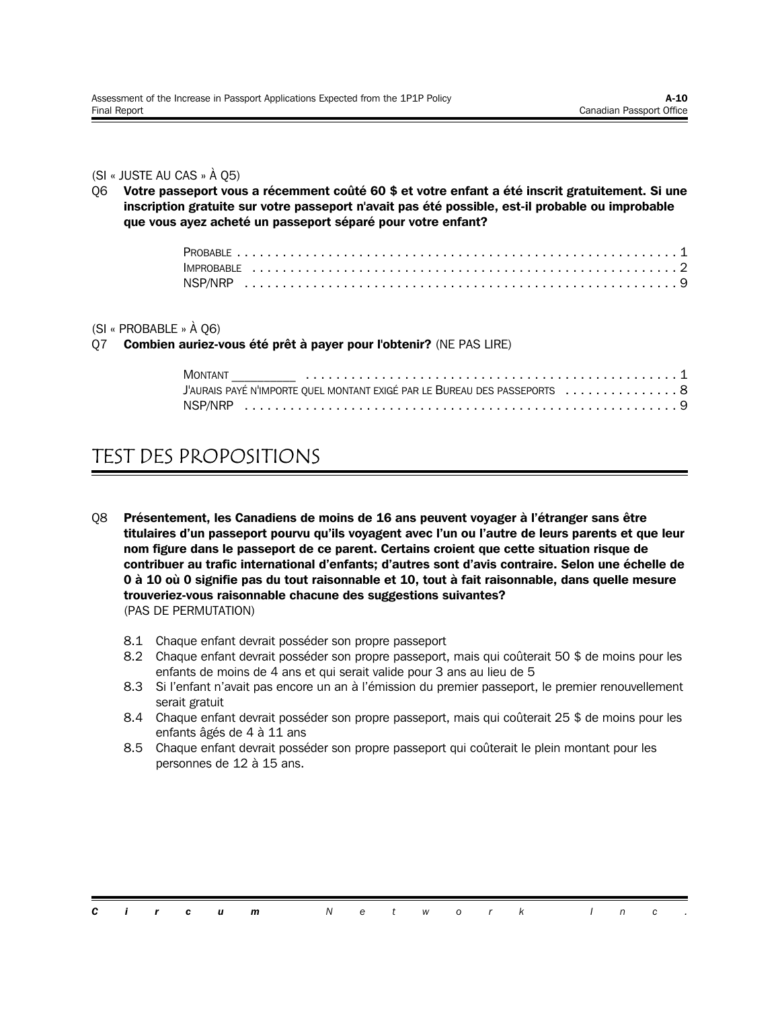#### (SI « JUSTE AU CAS » À Q5)

Q6 **Votre passeport vous a récemment coûté 60 \$ et votre enfant a été inscrit gratuitement. Si une inscription gratuite sur votre passeport n'avait pas été possible, est-il probable ou improbable que vous ayez acheté un passeport séparé pour votre enfant?**

#### (SI « PROBABLE » À Q6)

Q7 **Combien auriez-vous été prêt à payer pour l'obtenir?** (NE PAS LIRE)

| <b>MONTANT</b>                                                             |  |  |
|----------------------------------------------------------------------------|--|--|
| J'AURAIS PAYÉ N'IMPORTE QUEL MONTANT EXIGÉ PAR LE BUREAU DES PASSEPORTS  8 |  |  |
|                                                                            |  |  |

## TEST DES PROPOSITIONS

- Q8 **Présentement, les Canadiens de moins de 16 ans peuvent voyager à l'étranger sans être titulaires d'un passeport pourvu qu'ils voyagent avec l'un ou l'autre de leurs parents et que leur nom figure dans le passeport de ce parent. Certains croient que cette situation risque de contribuer au trafic international d'enfants; d'autres sont d'avis contraire. Selon une échelle de 0 à 10 où 0 signifie pas du tout raisonnable et 10, tout à fait raisonnable, dans quelle mesure trouveriez-vous raisonnable chacune des suggestions suivantes?** (PAS DE PERMUTATION)
	- 8.1 Chaque enfant devrait posséder son propre passeport
	- 8.2 Chaque enfant devrait posséder son propre passeport, mais qui coûterait 50 \$ de moins pour les enfants de moins de 4 ans et qui serait valide pour 3 ans au lieu de 5
	- 8.3 Si l'enfant n'avait pas encore un an à l'émission du premier passeport, le premier renouvellement serait gratuit
	- 8.4 Chaque enfant devrait posséder son propre passeport, mais qui coûterait 25 \$ de moins pour les enfants âgés de 4 à 11 ans
	- 8.5 Chaque enfant devrait posséder son propre passeport qui coûterait le plein montant pour les personnes de 12 à 15 ans.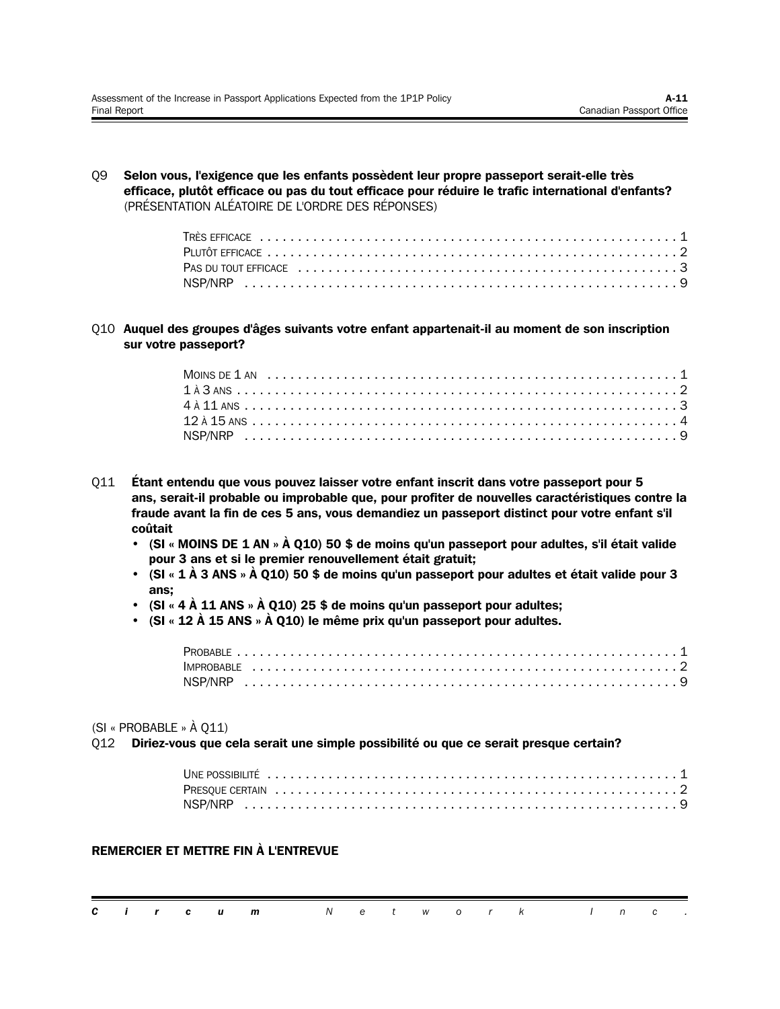Q9 **Selon vous, l'exigence que les enfants possèdent leur propre passeport serait-elle très efficace, plutôt efficace ou pas du tout efficace pour réduire le trafic international d'enfants?** (PRÉSENTATION ALÉATOIRE DE L'ORDRE DES RÉPONSES)

Q10 **Auquel des groupes d'âges suivants votre enfant appartenait-il au moment de son inscription sur votre passeport?**

- Q11 **Étant entendu que vous pouvez laisser votre enfant inscrit dans votre passeport pour 5 ans, serait-il probable ou improbable que, pour profiter de nouvelles caractéristiques contre la fraude avant la fin de ces 5 ans, vous demandiez un passeport distinct pour votre enfant s'il coûtait** 
	- **• (SI « MOINS DE 1 AN » À Q10) 50 \$ de moins qu'un passeport pour adultes, s'il était valide pour 3 ans et si le premier renouvellement était gratuit;**
	- **• (SI « 1 À 3 ANS » À Q10) 50 \$ de moins qu'un passeport pour adultes et était valide pour 3 ans;**
	- **• (SI « 4 À 11 ANS » À Q10) 25 \$ de moins qu'un passeport pour adultes;**
	- **• (SI « 12 À 15 ANS » À Q10) le même prix qu'un passeport pour adultes.**

#### (SI « PROBABLE » À Q11)

Q12 **Diriez-vous que cela serait une simple possibilité ou que ce serait presque certain?**

#### **REMERCIER ET METTRE FIN À L'ENTREVUE**

|  |  | <b>Circum</b> Network Inc. |  |  |  |  |  |  |
|--|--|----------------------------|--|--|--|--|--|--|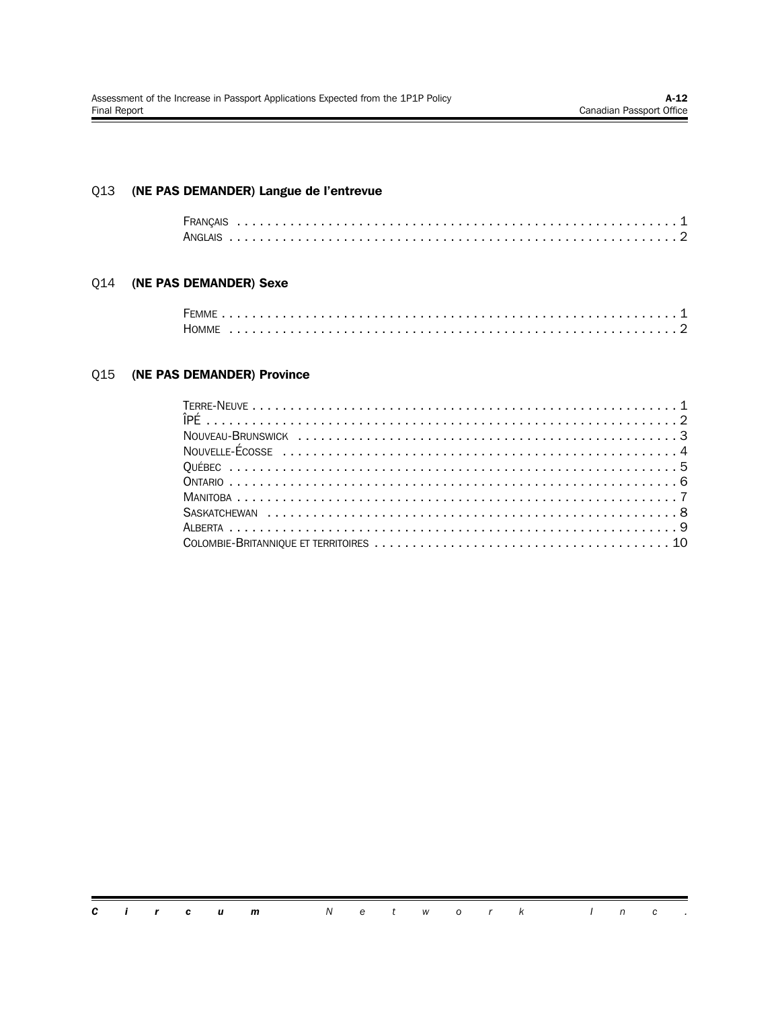#### Q13 **(NE PAS DEMANDER) Langue de l'entrevue**

#### Q14 **(NE PAS DEMANDER) Sexe**

| HOMME |  |  |  |  |  |  |  |  |  |  |  |  |  |  |  |  |  |  |  |  |  |
|-------|--|--|--|--|--|--|--|--|--|--|--|--|--|--|--|--|--|--|--|--|--|

#### Q15 **(NE PAS DEMANDER) Province**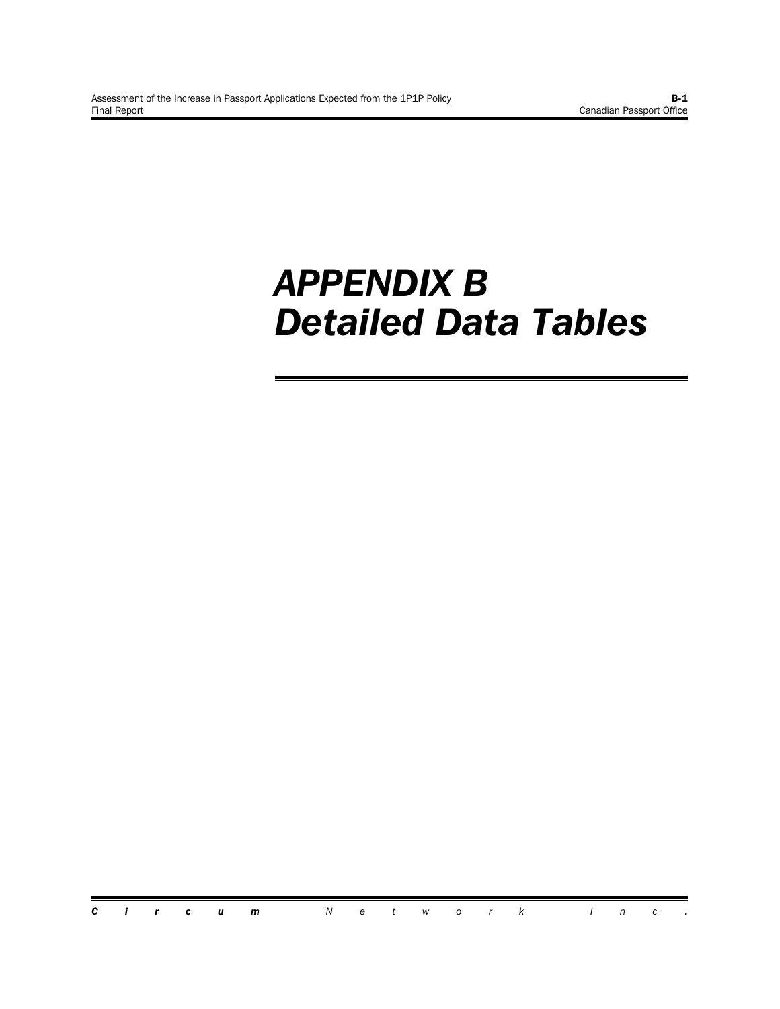## *APPENDIX B Detailed Data Tables*

*Circum Network Inc .*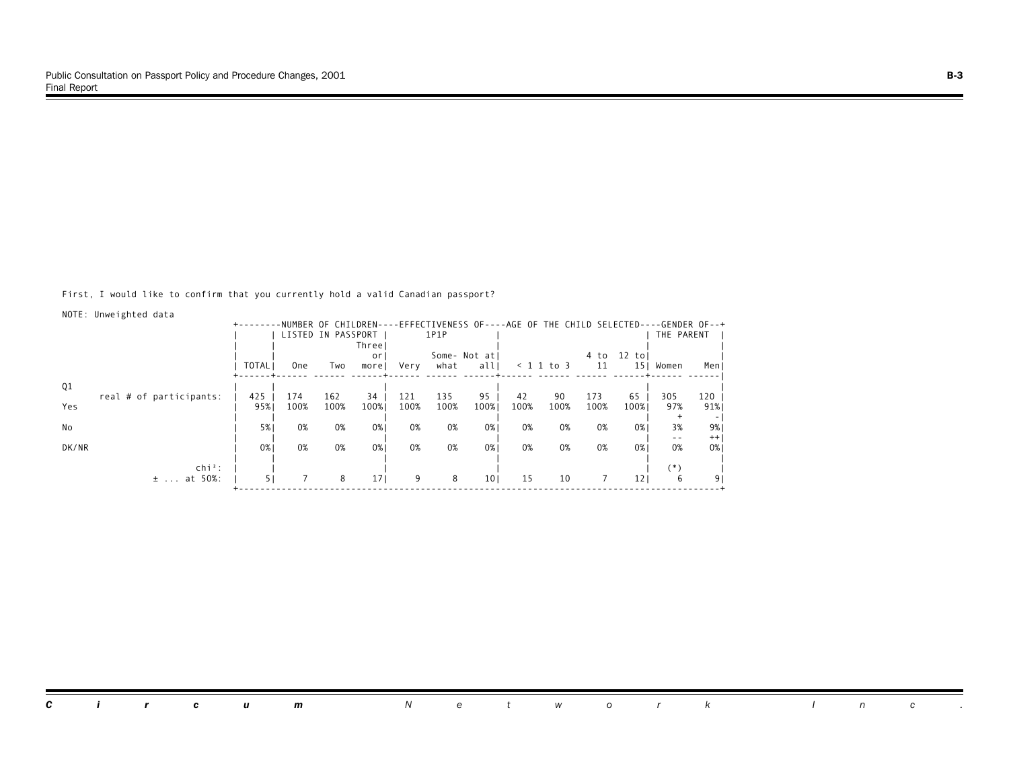First, I would like to confirm that you currently hold a valid Canadian passport?

| NOTE: Unweighted data   |              |            |                    |                 |      |      |                                                                                      |      |              |      |                 |               |         |
|-------------------------|--------------|------------|--------------------|-----------------|------|------|--------------------------------------------------------------------------------------|------|--------------|------|-----------------|---------------|---------|
|                         |              |            |                    |                 |      |      | -NUMBER OF CHILDREN----EFFECTIVENESS OF----AGE OF THE CHILD SELECTED----GENDER OF--+ |      |              |      |                 |               |         |
|                         |              |            | LISTED IN PASSPORT |                 |      | 1P1P |                                                                                      |      |              |      |                 | THE PARENT    |         |
|                         |              |            |                    | Threel          |      |      |                                                                                      |      |              |      |                 |               |         |
|                         |              |            |                    | or              |      |      | Some- Not atl                                                                        |      |              | 4 to | 12 tol          |               |         |
|                         | <b>TOTAL</b> | <b>One</b> | Two                | morel           | Very | what | allı                                                                                 |      | $< 1$ 1 to 3 | 11   | 15 <sub>1</sub> | Women         | Men J   |
| Q1                      |              |            |                    |                 |      |      |                                                                                      |      |              |      |                 |               |         |
| real # of participants: | 425          | 174        | 162                | 34              | 121  | 135  | 95                                                                                   | 42   | 90           | 173  | 65              | 305           | 120     |
| Yes                     | 95%          | 100%       | 100%               | 100%            | 100% | 100% | 100%                                                                                 | 100% | 100%         | 100% | 100%            | 97%           | 91%     |
|                         |              |            |                    |                 |      |      |                                                                                      |      |              |      |                 |               | ۰.      |
| No                      | 5%           | 0%         | 0%                 | 0%              | 0%   | 0%   | 0%                                                                                   | 0%   | 0%           | 0%   | 0%              | 3%            | 9%      |
|                         |              |            |                    |                 |      |      |                                                                                      |      |              |      |                 | $- -$         | $^{++}$ |
| DK/NR                   | 0%           | 0%         | 0%                 | 0%              | 0%   | 0%   | 0%1                                                                                  | 0%   | 0%           | 0%   | 0%1             | 0%            | 0%      |
|                         |              |            |                    |                 |      |      |                                                                                      |      |              |      |                 |               |         |
| $\ch{i}^2$ :<br>at 50%: | 51           |            | 8                  | 17 <sub>1</sub> | 9    | 8    | 10 <sub>1</sub>                                                                      | 15   | 10           |      | 121             | $^{(*)}$<br>6 |         |
| $\pm$                   |              |            |                    |                 |      |      |                                                                                      |      |              |      |                 |               | 9       |

*Circum Network Inc .*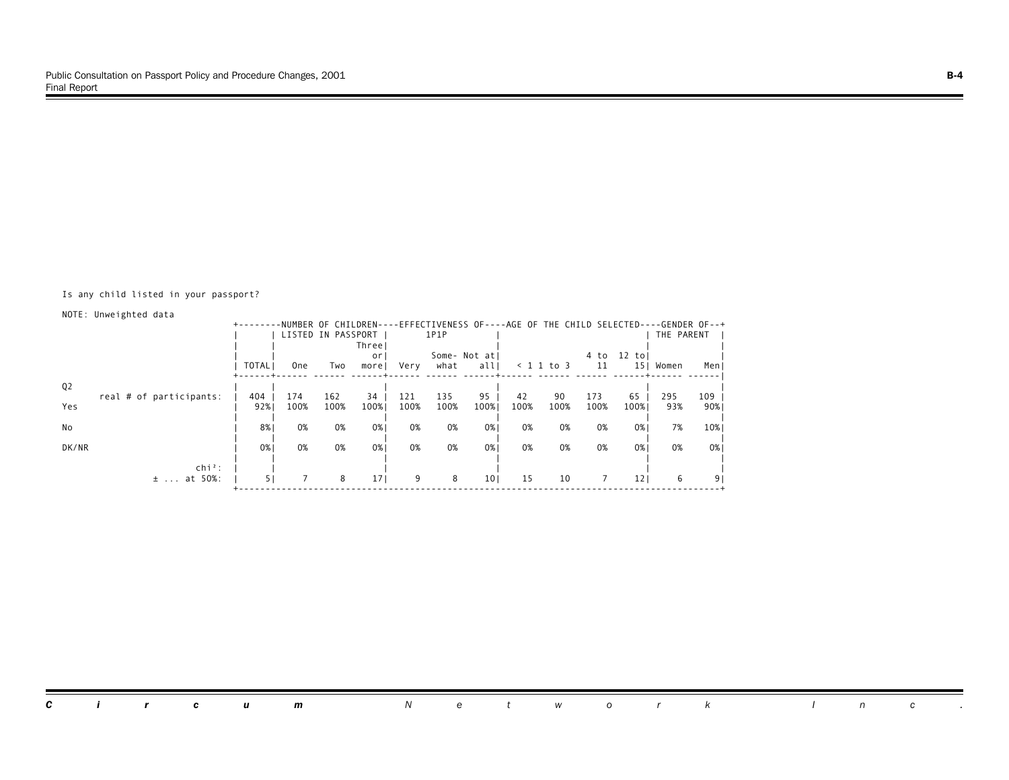#### Is any child listed in your passport?

NOTE: Unweighted data

|                |                         |              |                    |      |                 |      |      |                 |      |                    | -NUMBER OF CHILDREN----EFFECTIVENESS OF----AGE OF THE CHILD SELECTED----GENDER OF--+ |                 |            |       |
|----------------|-------------------------|--------------|--------------------|------|-----------------|------|------|-----------------|------|--------------------|--------------------------------------------------------------------------------------|-----------------|------------|-------|
|                |                         |              | LISTED IN PASSPORT |      |                 |      | 1P1P |                 |      |                    |                                                                                      |                 | THE PARENT |       |
|                |                         |              |                    |      | Three           |      |      |                 |      |                    |                                                                                      |                 |            |       |
|                |                         |              |                    |      | <sub>or</sub>   |      |      | Some- Not atl   |      |                    | 4 to                                                                                 | 12 tol          |            |       |
|                |                         | <b>TOTAL</b> | 0ne                | Two  | morel           | Very | what | all             |      | $\langle$ 1 1 to 3 | 11                                                                                   | 15 <sub>1</sub> | Women      | Men J |
|                |                         |              |                    |      |                 |      |      |                 |      |                    |                                                                                      |                 |            |       |
| Q <sub>2</sub> | real # of participants: | 404          | 174                | 162  | 34              | 121  | 135  | 95              | 42   | 90                 | 173                                                                                  | 65              | 295        | $109$ |
| Yes            |                         | 92%          | 100%               | 100% | 100%            | 100% | 100% | 100%            | 100% | 100%               | 100%                                                                                 | 100%            | 93%        | 90%   |
|                |                         |              |                    |      |                 |      |      |                 |      |                    |                                                                                      |                 |            |       |
| No             |                         | 8%           | 0%                 | 0%   | 0%1             | 0%   | 0%   | 0%              | 0%   | 0%                 | 0%                                                                                   | 0%1             | 7%         | 10%   |
|                |                         |              |                    |      |                 |      |      |                 |      |                    |                                                                                      |                 |            |       |
| DK/NR          |                         | 0%           | 0%                 | 0%   | 0%              | 0%   | 0%   | 0%              | 0%   | 0%                 | 0%                                                                                   | 0%              | 0%         | 0%    |
|                |                         |              |                    |      |                 |      |      |                 |      |                    |                                                                                      |                 |            |       |
|                | $chi^2$ :               |              |                    |      |                 |      |      |                 |      |                    |                                                                                      |                 |            |       |
|                | at 50%:<br>$\pm$        | 51           |                    | 8    | 17 <sub>1</sub> | 9    | 8    | 10 <sub>1</sub> | 15   | 10                 | 7                                                                                    | 121             | 6          | 9     |
|                |                         |              |                    |      |                 |      |      |                 |      |                    |                                                                                      |                 |            |       |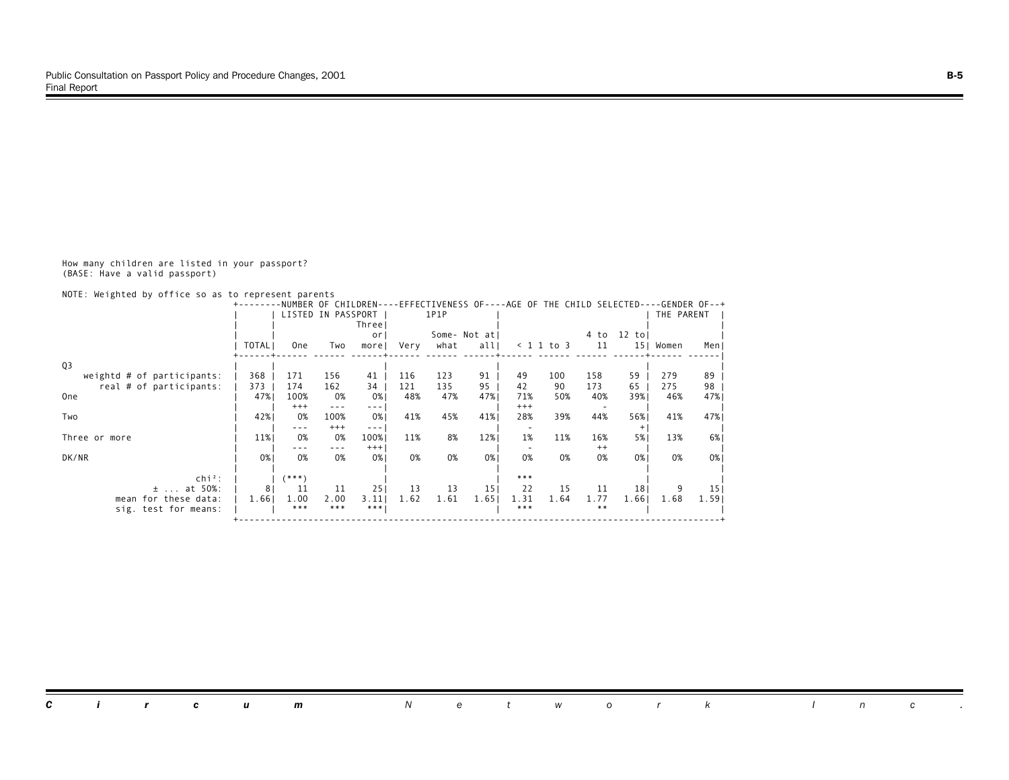How many children are listed in your passport? (BASE: Have a valid passport)

NOTE: Weighted by office so as to represent parents

|                              |                | NUMBER OF CHILDREN- |         |                                                                                                                                                                                                                                                                                                                                                                                              |      |      |                 |          |              | EFFECTIVENESS OF----AGE OF THE CHILD SELECTED----GENDER OF--+ |                 |            |       |
|------------------------------|----------------|---------------------|---------|----------------------------------------------------------------------------------------------------------------------------------------------------------------------------------------------------------------------------------------------------------------------------------------------------------------------------------------------------------------------------------------------|------|------|-----------------|----------|--------------|---------------------------------------------------------------|-----------------|------------|-------|
|                              |                | LISTED IN PASSPORT  |         |                                                                                                                                                                                                                                                                                                                                                                                              |      | 1P1P |                 |          |              |                                                               |                 | THE PARENT |       |
|                              |                |                     |         | Three                                                                                                                                                                                                                                                                                                                                                                                        |      |      |                 |          |              |                                                               |                 |            |       |
|                              |                |                     |         | <sub>or</sub>                                                                                                                                                                                                                                                                                                                                                                                |      |      | Some- Not atl   |          |              | 4 to                                                          | $12$ tol        |            |       |
|                              | <b>TOTAL</b>   | <b>One</b>          | Two     | morel                                                                                                                                                                                                                                                                                                                                                                                        | Very | what | all             |          | $< 1$ 1 to 3 | 11                                                            | 15 <sub>1</sub> | Women      | Men   |
| Q <sub>3</sub>               |                |                     |         |                                                                                                                                                                                                                                                                                                                                                                                              |      |      |                 |          |              |                                                               |                 |            |       |
| weightd $#$ of participants: | 368            | 171                 | 156     | 41                                                                                                                                                                                                                                                                                                                                                                                           | 116  | 123  | 91              | 49       | 100          | 158                                                           | 59              | 279        | 89    |
| real # of participants:      | 373            | 174                 | 162     | 34                                                                                                                                                                                                                                                                                                                                                                                           | 121  | 135  | 95              | 42       | 90           | 173                                                           | 65              | 275        | 98    |
| 0 <sub>ne</sub>              | 47%            | 100%                | 0%      | 0%                                                                                                                                                                                                                                                                                                                                                                                           | 48%  | 47%  | 47%             | 71%      | 50%          | 40%                                                           | 39%             | 46%        | 47%   |
|                              |                | $^{+++}$            | $- - -$ | $\frac{1}{2} \frac{1}{2} \frac{1}{2} \frac{1}{2} \frac{1}{2} \frac{1}{2} \frac{1}{2} \frac{1}{2} \frac{1}{2} \frac{1}{2} \frac{1}{2} \frac{1}{2} \frac{1}{2} \frac{1}{2} \frac{1}{2} \frac{1}{2} \frac{1}{2} \frac{1}{2} \frac{1}{2} \frac{1}{2} \frac{1}{2} \frac{1}{2} \frac{1}{2} \frac{1}{2} \frac{1}{2} \frac{1}{2} \frac{1}{2} \frac{1}{2} \frac{1}{2} \frac{1}{2} \frac{1}{2} \frac{$ |      |      |                 | $^{+++}$ |              |                                                               |                 |            |       |
| Two                          | 42%            | 0%                  | 100%    | 0%                                                                                                                                                                                                                                                                                                                                                                                           | 41%  | 45%  | 41%             | 28%      | 39%          | 44%                                                           | 56%             | 41%        | 47%   |
|                              |                | ---                 | $+++$   | $- - -$                                                                                                                                                                                                                                                                                                                                                                                      |      |      |                 |          |              |                                                               | $^{+}$          |            |       |
| Three or more                | 11%            | 0%                  | 0%      | 100%                                                                                                                                                                                                                                                                                                                                                                                         | 11%  | 8%   | 12%             | 1%       | 11%          | 16%                                                           | 5%              | 13%        | 6%    |
|                              |                | ---                 | ---     | $+++$                                                                                                                                                                                                                                                                                                                                                                                        |      |      |                 |          |              | $^{++}$                                                       |                 |            |       |
| DK/NR                        | 0%             | 0%                  | 0%      | 0%                                                                                                                                                                                                                                                                                                                                                                                           | 0%   | 0%   | 0%              | 0%       | 0%           | 0%                                                            | 0%1             | 0%         | 0%    |
| $\mathsf{chi}^2$ :           |                | $(***")$            |         |                                                                                                                                                                                                                                                                                                                                                                                              |      |      |                 | $***$    |              |                                                               |                 |            |       |
| at 50%:<br>$\pm$             | 8 <sup>1</sup> | 11                  | 11      | 251                                                                                                                                                                                                                                                                                                                                                                                          | 13   | 13   | 15 <sub>1</sub> | 22       | 15           | 11                                                            | 18 <sup>1</sup> |            | 15    |
| mean for these data:         | 1.66           | 1.00                | 2.00    | 3.11                                                                                                                                                                                                                                                                                                                                                                                         | 1.62 | 1.61 | 1.65            | 1.31     | 1.64         | 1.77                                                          | 1.661           | 1.68       | 1.591 |
| sig. test for means:         |                | ***                 | $***$   | $***$                                                                                                                                                                                                                                                                                                                                                                                        |      |      |                 | $***$    |              | $***$                                                         |                 |            |       |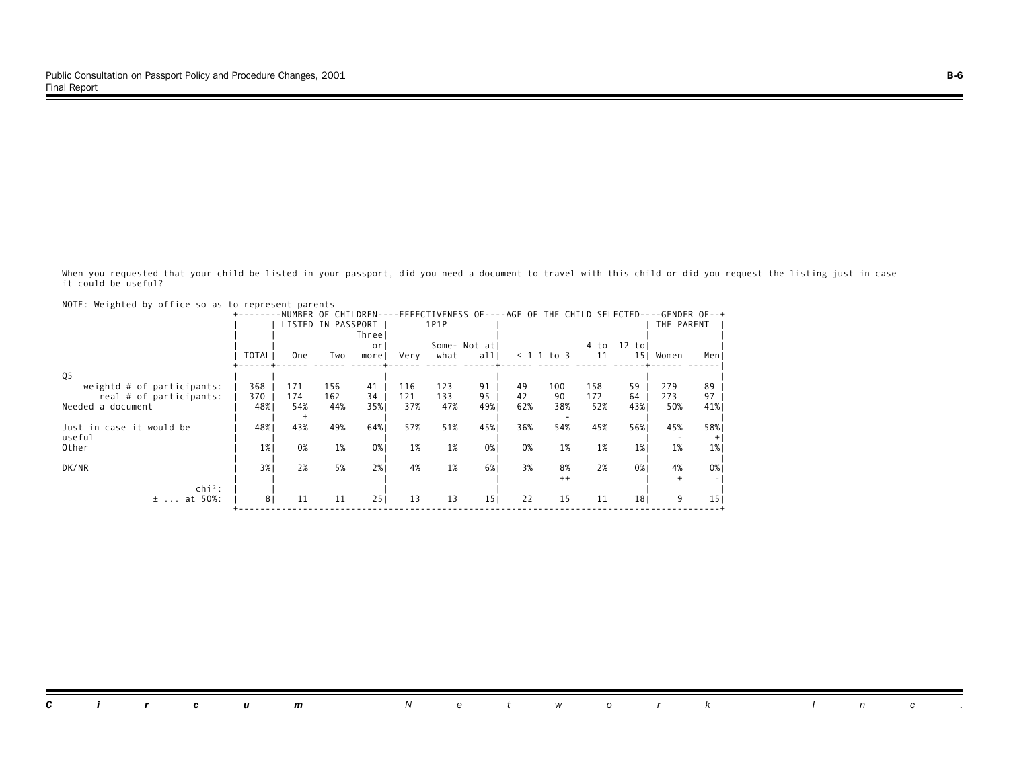When you requested that your child be listed in your passport, did you need a document to travel with this child or did you request the listing just in case it could be useful?

|                              |                | NUMBER OF          |     | CHILDREN- |      |      |                 |     |            |      | -EFFECTIVENESS OF----AGE OF THE CHILD SELECTED----GENDER OF--+ |            |                 |
|------------------------------|----------------|--------------------|-----|-----------|------|------|-----------------|-----|------------|------|----------------------------------------------------------------|------------|-----------------|
|                              |                | LISTED IN PASSPORT |     |           |      | 1P1P |                 |     |            |      |                                                                | THE PARENT |                 |
|                              |                |                    |     | Three     |      |      |                 |     |            |      |                                                                |            |                 |
|                              |                |                    |     | or        |      |      | Some- Not atl   |     |            | 4 to | $12$ tol                                                       |            |                 |
|                              | <b>TOTAL</b>   | <b>One</b>         | Two | morel     | Very | what | all             |     | < 1 1 to 3 |      | 11                                                             | 15  Women  | Men J           |
|                              |                |                    |     |           |      |      |                 |     |            |      |                                                                |            |                 |
| Q <sub>5</sub>               |                |                    |     |           |      |      |                 |     |            |      |                                                                |            |                 |
| weightd $#$ of participants: | 368            | 171                | 156 | 41        | 116  | 123  | 91              | 49  | 100        | 158  | 59                                                             | 279        | 89              |
| real # of participants:      | 370            | 174                | 162 | 34        | 121  | 133  | 95              | 42  | 90         | 172  | 64                                                             | 273        | 97              |
| Needed a document            | 48%            | 54%                | 44% | 35%       | 37%  | 47%  | 49%             | 62% | 38%        | 52%  | 43%                                                            | 50%        | 41%             |
|                              |                | $^{+}$             |     |           |      |      |                 |     |            |      |                                                                |            |                 |
| Just in case it would be     | 48%            | 43%                | 49% | 64%       | 57%  | 51%  | 45%             | 36% | 54%        | 45%  | 56%                                                            | 45%        | 58%             |
| useful                       |                |                    |     |           |      |      |                 |     |            |      |                                                                |            | $+$             |
| Other                        | 1%             | 0%                 | 1%  | 0%        | 1%   | 1%   | 0%              | 0%  | 1%         |      | 1%<br>1%                                                       | 1%         | 1%              |
|                              |                |                    |     |           |      |      |                 |     |            |      |                                                                |            |                 |
| DK/NR                        | 3%             | 2%                 | 5%  | 2%1       | 4%   | 1%   | 6%              | 3%  | 8%         |      | 2%<br>0%                                                       | 4%         | $0\%$           |
|                              |                |                    |     |           |      |      |                 |     | $++$       |      |                                                                |            |                 |
| $chi^2$ :                    |                |                    |     |           |      |      |                 |     |            |      |                                                                |            |                 |
| at 50%:<br>$\pm$             | 8 <sub>1</sub> | 11                 | 11  | 251       | 13   | 13   | 15 <sub>1</sub> | 22  | 15         |      | 11<br>18 <sub>1</sub>                                          | 9          | 15 <sub>1</sub> |
|                              |                |                    |     |           |      |      |                 |     |            |      |                                                                |            |                 |

NOTE: Weighted by office so as to represent parents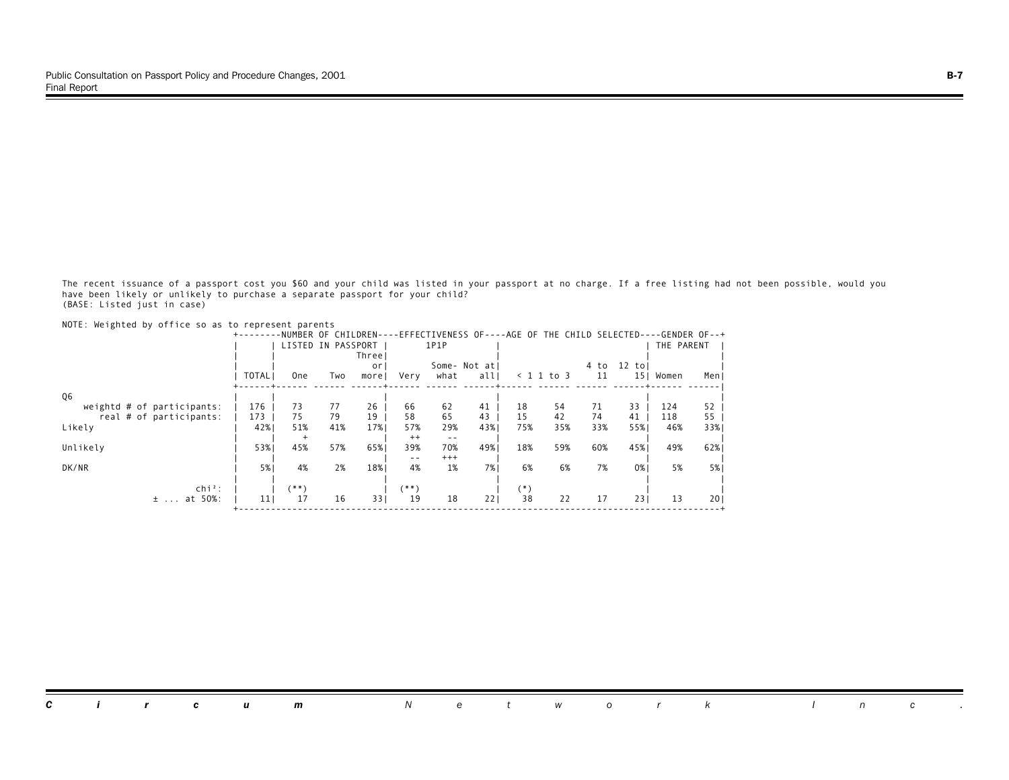The recent issuance of a passport cost you \$60 and your child was listed in your passport at no charge. If a free listing had not been possible, would you have been likely or unlikely to purchase a separate passport for your child? (BASE: Listed just in case)

| NOTE: Weighted by office so as to represent parents | +-------     |            |                    |             |                |              |                      |           |                    |            |                            | -NUMBER OF CHILDREN----EFFECTIVENESS OF----AGE OF THE CHILD SELECTED----GENDER OF--+ |           |
|-----------------------------------------------------|--------------|------------|--------------------|-------------|----------------|--------------|----------------------|-----------|--------------------|------------|----------------------------|--------------------------------------------------------------------------------------|-----------|
|                                                     |              |            | LISTED IN PASSPORT | Threel      |                | 1P1P         |                      |           |                    |            |                            | THE PARENT                                                                           |           |
|                                                     | <b>TOTAL</b> | <b>One</b> | Two                | or<br>morel | Very           | what         | Some- Not atl<br>all |           | $\langle$ 1 1 to 3 | 4 to<br>11 | $12$ to<br>15 <sub>1</sub> | Women                                                                                | Men       |
| Q6                                                  |              |            |                    |             |                |              |                      |           |                    |            |                            |                                                                                      |           |
| weightd $#$ of participants:                        | 176          | 73         | 77                 | 26          | 66             | 62           | 41                   | 18        | 54                 | 71         | 33                         | 124                                                                                  | 52        |
| real # of participants:<br>Likely                   | 173<br>42%   | 75<br>51%  | 79<br>41%          | 19<br>17%   | 58<br>57%      | 65<br>29%    | 43<br>43%            | 15<br>75% | 42<br>35%          | 74<br>33%  | 41<br>55%                  | 118<br>46%                                                                           | 55<br>33% |
| Unlikely                                            | 53%          | $+$<br>45% | 57%                | 65%         | $^{++}$<br>39% | $- -$<br>70% | 49%                  | 18%       | 59%                | 60%        | 45%                        | 49%                                                                                  | 62%       |
| DK/NR                                               | 5%           | 4%         | 2%                 | 18%         | $ -$<br>4%     | $+++$<br>1%  | 7% l                 | 6%        | 6%                 | 7%         | 0%1                        | 5%                                                                                   | 5% l      |
| $\ch{i}^2$ :                                        |              | (**)       |                    |             | (**)           |              |                      | $(*)$     |                    |            |                            |                                                                                      |           |
| at 50%:<br>$\pm$                                    | 11           | 17         | 16                 | 331         | 19             | 18           | 221                  | 38        | 22                 | 17         | 231                        | 13                                                                                   | 201       |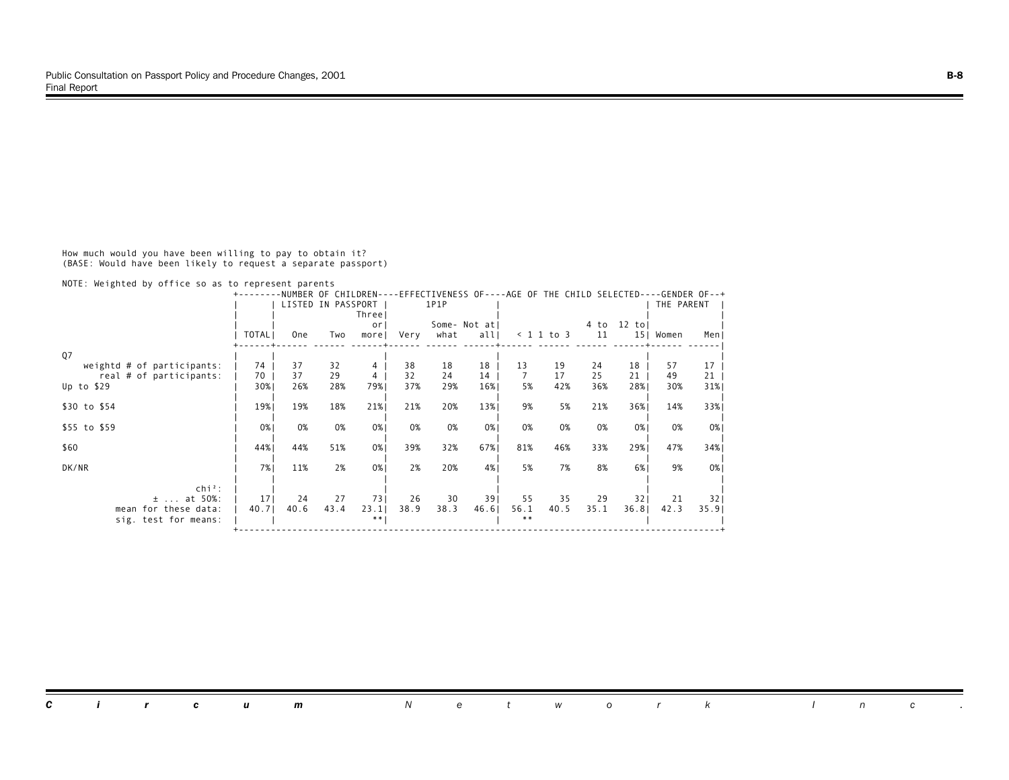How much would you have been willing to pay to obtain it? (BASE: Would have been likely to request a separate passport)

NOTE: Weighted by office so as to represent parents

|                                              |                 | NUMBER OF CHILDREN- |      |               |      |      |               |               |              |      | -EFFECTIVENESS OF----AGE OF THE CHILD SELECTED----GENDER OF--+ |            |                 |
|----------------------------------------------|-----------------|---------------------|------|---------------|------|------|---------------|---------------|--------------|------|----------------------------------------------------------------|------------|-----------------|
|                                              |                 | LISTED IN PASSPORT  |      |               |      | 1P1P |               |               |              |      |                                                                | THE PARENT |                 |
|                                              |                 |                     |      | Three         |      |      |               |               |              |      |                                                                |            |                 |
|                                              |                 |                     |      | or            |      |      | Some- Not atl |               |              |      | 4 to 12 tol                                                    |            |                 |
|                                              | TOTAL           | <b>One</b>          | Two  | morel         | Very | what | all           |               | $< 1$ 1 to 3 | 11   | 15 <sub>1</sub>                                                | Women      | Men J           |
| Q7                                           |                 |                     |      |               |      |      |               |               |              |      |                                                                |            |                 |
| weightd $#$ of participants:                 | 74              | 37                  | 32   | 4             | 38   | 18   | 18            | 13            | 19           | 24   | 18                                                             | 57         | 17 <sup>1</sup> |
| real # of participants:                      | 70              | 37                  | 29   | 4             | 32   | 24   | 14            | 7             | 17           | 25   | 21                                                             | 49         | 21              |
| Up to $$29$                                  | 30%             | 26%                 | 28%  | 79%           | 37%  | 29%  | 16%           | 5%            | 42%          | 36%  | 28%                                                            | 30%        | 31%             |
| \$30 to \$54                                 | 19%             | 19%                 | 18%  | 21%           | 21%  | 20%  | 13%           | 9%            | 5%           | 21%  | 36%1                                                           | 14%        | 33%             |
| \$55 to \$59                                 | 0%              | 0%                  | 0%   | 0%            | 0%   | 0%   | 0%            | 0%            | 0%           | 0%   | 0%                                                             | 0%         | 0%              |
| \$60                                         | 44%             | 44%                 | 51%  | 0%            | 39%  | 32%  | 67%           | 81%           | 46%          | 33%  | 29%                                                            | 47%        | 34%             |
| DK/NR                                        | 7%              | 11%                 | 2%   | 0%            | 2%   | 20%  | 4%            | 5%            | 7%           | 8%   | 6%                                                             | 9%         | $0\%$           |
| $chi^2$ :<br>at 50%:<br>$\pm$                | 17 <sup>1</sup> | 24                  | 27   | 731           | 26   | 30   | 391           | 55            | 35           | 29   | 321                                                            | 21         | 32              |
| mean for these data:<br>sig. test for means: | 40.7            | 40.6                | 43.4 | 23.1<br>$***$ | 38.9 | 38.3 | 46.6          | 56.1<br>$***$ | 40.5         | 35.1 | 36.81                                                          | 42.3       | 35.91           |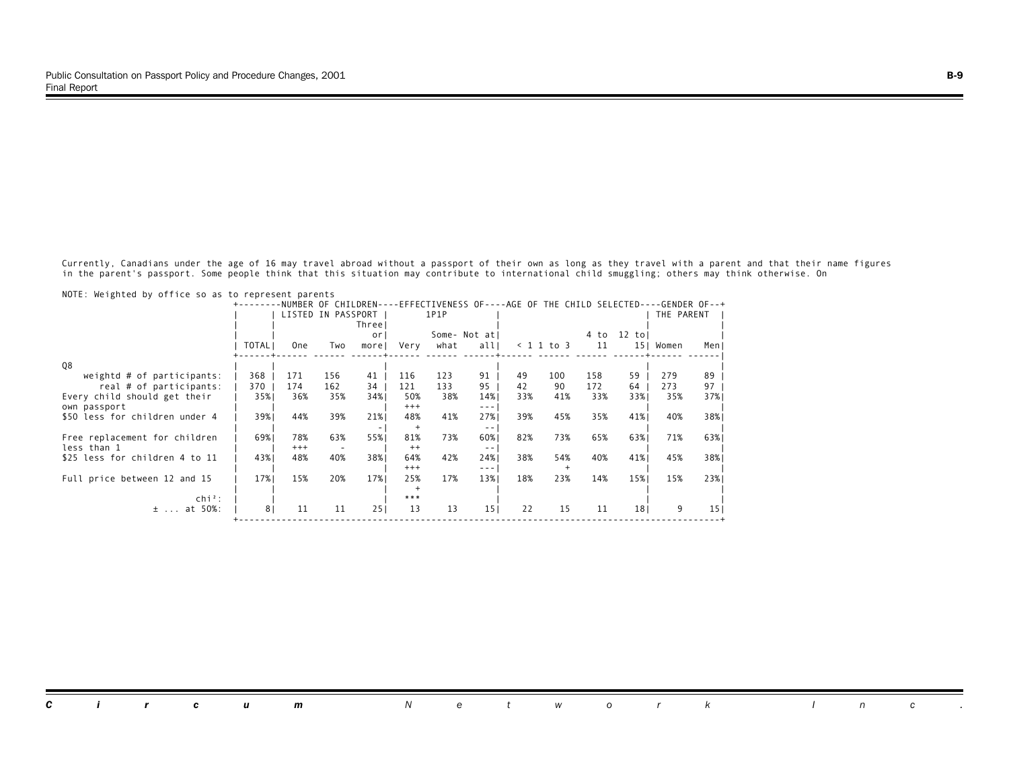Currently, Canadians under the age of 16 may travel abroad without a passport of their own as long as they travel with a parent and that their name figures in the parent's passport. Some people think that this situation may contribute to international child smuggling; others may think otherwise. On

| NOTE. MCTANECO DY OTTTCC 30 US CO TCPTCSCNC PUTCHCS |                |                     |                    |        |          |      |                                                                                                                                                                                                                                                                                                                                                                                              |                             |              |      |                       |            |               |
|-----------------------------------------------------|----------------|---------------------|--------------------|--------|----------|------|----------------------------------------------------------------------------------------------------------------------------------------------------------------------------------------------------------------------------------------------------------------------------------------------------------------------------------------------------------------------------------------------|-----------------------------|--------------|------|-----------------------|------------|---------------|
|                                                     |                | NUMBER OF CHILDREN- |                    |        |          |      |                                                                                                                                                                                                                                                                                                                                                                                              | -EFFECTIVENESS OF----AGE OF |              |      | THE CHILD SELECTED-   |            | -GENDER OF--+ |
|                                                     |                |                     | LISTED IN PASSPORT |        |          | 1P1P |                                                                                                                                                                                                                                                                                                                                                                                              |                             |              |      |                       | THE PARENT |               |
|                                                     |                |                     |                    | Threel |          |      |                                                                                                                                                                                                                                                                                                                                                                                              |                             |              |      |                       |            |               |
|                                                     |                |                     |                    | 0r     |          |      | Some- Not atl                                                                                                                                                                                                                                                                                                                                                                                |                             |              | 4 to | $12$ tol              |            |               |
|                                                     | <b>TOTAL</b>   | 0ne                 | Two                | morel  | Very     | what | all                                                                                                                                                                                                                                                                                                                                                                                          |                             | $< 1$ 1 to 3 |      | 11<br>151             | Women      | Men           |
|                                                     |                |                     |                    |        |          |      |                                                                                                                                                                                                                                                                                                                                                                                              |                             |              |      |                       |            |               |
| 08                                                  |                |                     |                    |        |          |      |                                                                                                                                                                                                                                                                                                                                                                                              |                             |              |      |                       |            |               |
| weightd $#$ of participants:                        | 368            | 171                 | 156                | 41     | 116      | 123  | 91                                                                                                                                                                                                                                                                                                                                                                                           | 49                          | 100          | 158  | 59                    | 279        | 89            |
| real # of participants:                             | 370            | 174                 | 162                | 34     | 121      | 133  | 95                                                                                                                                                                                                                                                                                                                                                                                           | 42                          | 90           | 172  | 64                    | 273        | 97            |
| Every child should get their                        | 35%            | 36%                 | 35%                | 34%    | 50%      | 38%  | 14%                                                                                                                                                                                                                                                                                                                                                                                          | 33%                         | 41%          |      | 33%<br>33%            | 35%        | 37%           |
| own passport                                        |                |                     |                    |        | $^{+++}$ |      | $\frac{1}{2} \frac{1}{2} \frac{1}{2} \frac{1}{2} \frac{1}{2} \frac{1}{2} \frac{1}{2} \frac{1}{2} \frac{1}{2} \frac{1}{2} \frac{1}{2} \frac{1}{2} \frac{1}{2} \frac{1}{2} \frac{1}{2} \frac{1}{2} \frac{1}{2} \frac{1}{2} \frac{1}{2} \frac{1}{2} \frac{1}{2} \frac{1}{2} \frac{1}{2} \frac{1}{2} \frac{1}{2} \frac{1}{2} \frac{1}{2} \frac{1}{2} \frac{1}{2} \frac{1}{2} \frac{1}{2} \frac{$ |                             |              |      |                       |            |               |
| \$50 less for children under 4                      | 39%            | 44%                 | 39%                | 21%    | 48%      | 41%  | 27%                                                                                                                                                                                                                                                                                                                                                                                          | 39%                         | 45%          |      | 35%<br>41%            | 40%        | 38%           |
|                                                     |                |                     |                    |        |          |      | $\frac{1}{2}$                                                                                                                                                                                                                                                                                                                                                                                |                             |              |      |                       |            |               |
| Free replacement for children                       | 69%            | 78%                 | 63%                | 55%    | 81%      | 73%  | 60%                                                                                                                                                                                                                                                                                                                                                                                          | 82%                         | 73%          |      | 65%<br>63%            | 71%        | 63%           |
| less than 1                                         |                | $^{+++}$            |                    |        | $^{++}$  |      | $- -$                                                                                                                                                                                                                                                                                                                                                                                        |                             |              |      |                       |            |               |
| \$25 less for children 4 to 11                      | 43%            | 48%                 | 40%                | 38%    | 64%      | 42%  | 24%                                                                                                                                                                                                                                                                                                                                                                                          | 38%                         | 54%          |      | 40%<br>41%            | 45%        | 38%           |
|                                                     |                |                     |                    |        | $^{+++}$ |      | ---                                                                                                                                                                                                                                                                                                                                                                                          |                             |              |      |                       |            |               |
| Full price between 12 and 15                        | 17%            | 15%                 | 20%                | 17%    | 25%      | 17%  | 13%                                                                                                                                                                                                                                                                                                                                                                                          | 18%                         | 23%          |      | 15%<br>14%            | 15%        | 23%           |
|                                                     |                |                     |                    |        |          |      |                                                                                                                                                                                                                                                                                                                                                                                              |                             |              |      |                       |            |               |
| $\mathsf{chi}^2$ :                                  |                |                     |                    |        | ***      |      |                                                                                                                                                                                                                                                                                                                                                                                              |                             |              |      |                       |            |               |
| at 50%:<br>$\pm$                                    | 8 <sub>1</sub> | 11                  | 11                 | 251    | 13       | 13   | 15 <sub>1</sub>                                                                                                                                                                                                                                                                                                                                                                              | 22                          | 15           |      | 11<br>18 <sub>1</sub> | 9          | 15            |
|                                                     |                |                     |                    |        |          |      |                                                                                                                                                                                                                                                                                                                                                                                              |                             |              |      |                       |            |               |

NOTE: Weighted by office so as to represent parents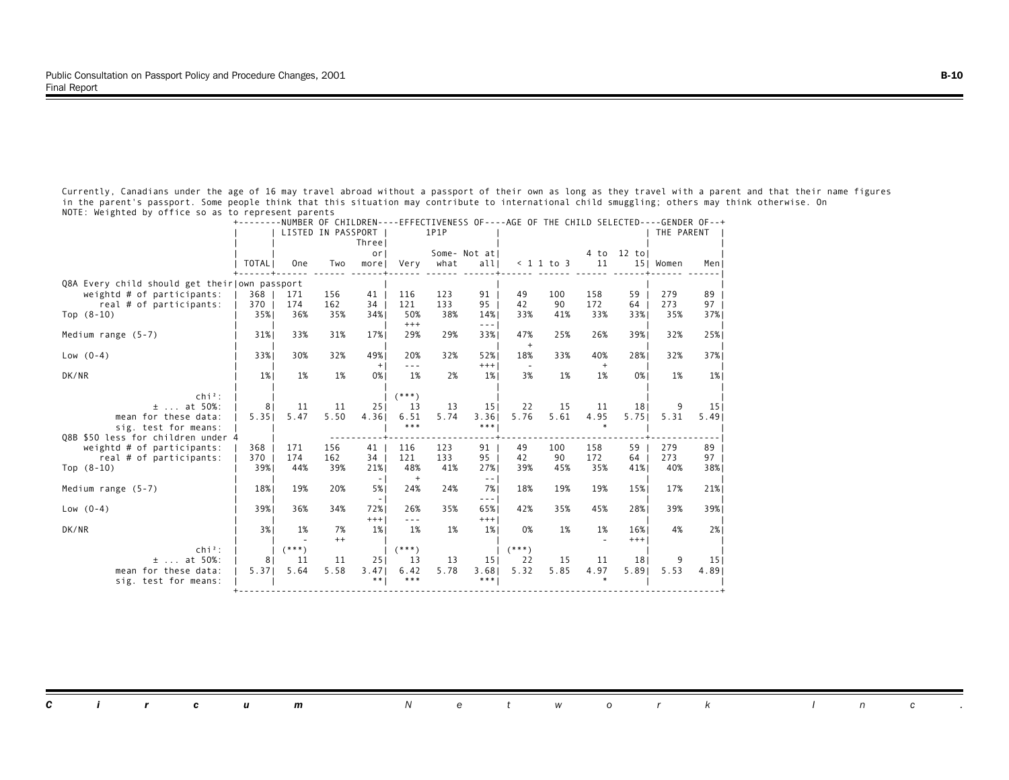Currently, Canadians under the age of 16 may travel abroad without a passport of their own as long as they travel with a parent and that their name figures in the parent's passport. Some people think that this situation may contribute to international child smuggling; others may think otherwise. On NOTE: Weighted by office so as to represent parents

|                                               |                |            | LISTED IN PASSPORT | Threel        |                                                                                                                                                                                                                                                                                                                                                                                                     | 1P1P       | NUMBER OF CHILDREN----EFFECTIVENESS OF----AGE OF THE CHILD SELECTED--- |            |              |                  |                 | THE PARENT | -GENDER OF--7           |
|-----------------------------------------------|----------------|------------|--------------------|---------------|-----------------------------------------------------------------------------------------------------------------------------------------------------------------------------------------------------------------------------------------------------------------------------------------------------------------------------------------------------------------------------------------------------|------------|------------------------------------------------------------------------|------------|--------------|------------------|-----------------|------------|-------------------------|
|                                               | TOTAL          | <b>One</b> | Two                | or<br>morel   | Very                                                                                                                                                                                                                                                                                                                                                                                                | what       | Some- Not atl<br>alll                                                  |            | $< 1$ 1 to 3 | 4 to<br>11       | 12 tol<br>151   | Women      | Menl                    |
| Q8A Every child should get their own passport |                |            |                    |               |                                                                                                                                                                                                                                                                                                                                                                                                     |            |                                                                        |            |              |                  |                 |            |                         |
| weightd $#$ of participants:                  | 368            | 171        | 156                | 41            | 116                                                                                                                                                                                                                                                                                                                                                                                                 | 123        | 91                                                                     | 49         | 100          | 158              | 59              | 279        | 89                      |
| real # of participants:                       | 370            | 174        | 162                | 34            | 121                                                                                                                                                                                                                                                                                                                                                                                                 | 133        | 95                                                                     | 42         | 90           | 172              | 64              | 273        | 97 <sub>1</sub>         |
| Top $(8-10)$                                  | 35%            | 36%        | 35%                | 34%           | 50%                                                                                                                                                                                                                                                                                                                                                                                                 | 38%        | 14%                                                                    | 33%        | 41%          | 33%              | 33%             | 35%        | 37%                     |
| Medium range $(5-7)$                          | 31%            | 33%        | 31%                | 17%           | $^{+++}$<br>29%                                                                                                                                                                                                                                                                                                                                                                                     | 29%        | --- 1<br>33%                                                           | 47%<br>$+$ | 25%          | 26%              | 39%             | 32%        | 25%                     |
| Low $(0-4)$                                   | 33%            | 30%        | 32%                | 49%<br>$+$    | 20%<br>$\omega = \omega$                                                                                                                                                                                                                                                                                                                                                                            | 32%        | 52%<br>$+++$                                                           | 18%        | 33%          | 40%<br>$\ddot{}$ | 28%             | 32%        | 37%                     |
| DK/NR                                         | $1\%$          | 1%         | 1%                 | 0%            | 1%                                                                                                                                                                                                                                                                                                                                                                                                  | 2%         | $1\%$                                                                  | 3%         | 1%           | 1%               | 0%              | 1%         | $1\%$                   |
| $chi^2$ :                                     |                |            |                    |               | $(***)$                                                                                                                                                                                                                                                                                                                                                                                             |            |                                                                        |            |              |                  |                 |            |                         |
| $±$ at 50%:                                   | 8 <sup>1</sup> | 11         | 11                 | 251           | 13                                                                                                                                                                                                                                                                                                                                                                                                  | 13         | 15 <sub>1</sub>                                                        | 22         | 15           | 11               | 18 <sub>1</sub> | 9          | 15 <sub>1</sub>         |
| mean for these data:<br>sig. test for means:  | 5.35           | 5.47       | 5.50               | 4.36          | 6.51<br>$***$                                                                                                                                                                                                                                                                                                                                                                                       | 5.74       | 3.36<br>$* * *  $                                                      | 5.76       | 5.61         | 4.95             | 5.751           | 5.31       | 5.49                    |
| 08B \$50 less for children under 4            |                |            |                    |               |                                                                                                                                                                                                                                                                                                                                                                                                     |            |                                                                        |            |              |                  |                 |            |                         |
| weightd $#$ of participants:                  | 368            | 171        | 156                | 41            | 116                                                                                                                                                                                                                                                                                                                                                                                                 | 123        | 91                                                                     | 49         | 100          | 158              | 59              | 279        | 89                      |
| real # of participants:                       | 370            | 174        | 162                | 34            | 121                                                                                                                                                                                                                                                                                                                                                                                                 | 133        | 95                                                                     | 42         | 90           | 172              | 64              | 273        | 97                      |
| Top $(8-10)$                                  | 39%            | 44%        | 39%                | 21%<br>$\sim$ | 48%<br>$^{+}$                                                                                                                                                                                                                                                                                                                                                                                       | 41%        | 27%<br>$\sim$ $-$                                                      | 39%        | 45%          | 35%              | 41%             | 40%        | 38%                     |
| Medium range $(5-7)$                          | 18%            | 19%        | 20%                | 5%<br>- 1     | 24%                                                                                                                                                                                                                                                                                                                                                                                                 | 24%        | 7% l<br>--- 1                                                          | 18%        | 19%          | 19%              | 15%             | 17%        | 21%                     |
| Low $(0-4)$                                   | 39%            | 36%        | 34%                | 72%<br>$+++$  | 26%<br>$\frac{1}{2} \frac{1}{2} \frac{1}{2} \frac{1}{2} \frac{1}{2} \frac{1}{2} \frac{1}{2} \frac{1}{2} \frac{1}{2} \frac{1}{2} \frac{1}{2} \frac{1}{2} \frac{1}{2} \frac{1}{2} \frac{1}{2} \frac{1}{2} \frac{1}{2} \frac{1}{2} \frac{1}{2} \frac{1}{2} \frac{1}{2} \frac{1}{2} \frac{1}{2} \frac{1}{2} \frac{1}{2} \frac{1}{2} \frac{1}{2} \frac{1}{2} \frac{1}{2} \frac{1}{2} \frac{1}{2} \frac{$ | 35%        | 65%<br>$+++$                                                           | 42%        | 35%          | 45%              | 28%             | 39%        | 39%                     |
| DK/NR                                         | 3%1            | 1%         | 7%                 | 1%            | 1%                                                                                                                                                                                                                                                                                                                                                                                                  | 1%         | 1%                                                                     | 0%         | 1%           | 1%               | 16%             | 4%         | 2%1                     |
|                                               |                |            | $^{++}$            |               |                                                                                                                                                                                                                                                                                                                                                                                                     |            |                                                                        |            |              |                  | $+++$           |            |                         |
| $Chi2$ :                                      |                | $(***)$    |                    |               | $(***)$                                                                                                                                                                                                                                                                                                                                                                                             |            |                                                                        | $(***)$    |              |                  |                 |            |                         |
| $\pm$ at 50%:<br>mean for these data:         | 8<br>5.37      | 11<br>5.64 | 11<br>5.58         | 251<br>3.47   | 13<br>6.42                                                                                                                                                                                                                                                                                                                                                                                          | 13<br>5.78 | 15 <sub>1</sub><br>3.68                                                | 22<br>5.32 | 15<br>5.85   | 11<br>4.97       | 181<br>5.891    | 9<br>5.53  | 15 <sub>1</sub><br>4.89 |
| sig. test for means:                          |                |            |                    | * *           | ***                                                                                                                                                                                                                                                                                                                                                                                                 |            | $***$                                                                  |            |              |                  |                 |            |                         |

+--------NUMBER OF CHILDREN----EFFECTIVENESS OF----AGE OF THE CHILD SELECTED----GENDER OF--+

|  |  |  | <b>Circum</b> Network Inc. |  |  |  |  |  |  |
|--|--|--|----------------------------|--|--|--|--|--|--|
|  |  |  |                            |  |  |  |  |  |  |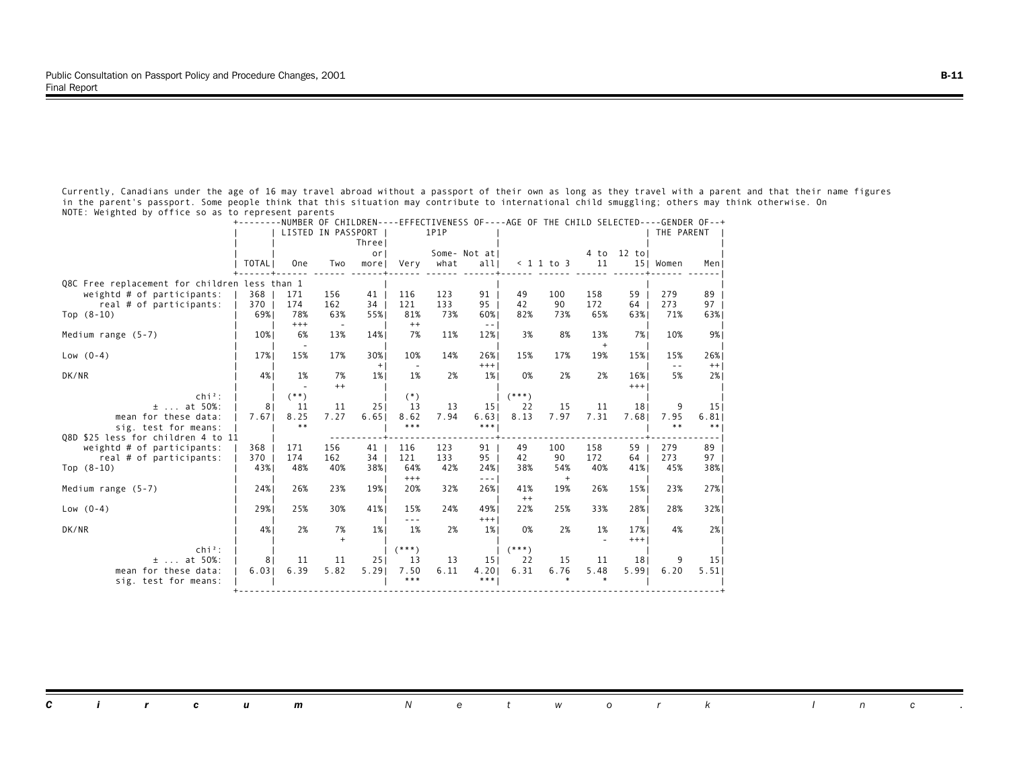Currently, Canadians under the age of 16 may travel abroad without a passport of their own as long as they travel with a parent and that their name figures in the parent's passport. Some people think that this situation may contribute to international child smuggling; others may think otherwise. On NOTE: Weighted by office so as to represent parents

|                                               |                |                                 | LISTED IN PASSPORT              |              |                 | 1P1P | NUMBER OF CHILDREN----LEFECTIVENESS OF----AGE OF THE CHILD SELECTED----GENDER OF |                |               |            |                 | THE PARENT    |                 |
|-----------------------------------------------|----------------|---------------------------------|---------------------------------|--------------|-----------------|------|----------------------------------------------------------------------------------|----------------|---------------|------------|-----------------|---------------|-----------------|
|                                               |                |                                 |                                 | Threel<br>or |                 |      | Some- Not atl                                                                    |                |               | 4 to       | $12$ to         |               |                 |
|                                               | TOTAL          | <b>One</b>                      | Two                             | more         | Very            | what | alll                                                                             |                | $< 1$ 1 to 3  | 11         |                 | 15  Women     | Men J           |
| Q8C Free replacement for children less than 1 |                |                                 |                                 |              |                 |      |                                                                                  |                |               |            |                 |               |                 |
| weightd $#$ of participants:                  | 368            | 171                             | 156                             | 41           | 116             | 123  | 91                                                                               | 49             | 100           | 158        | 59              | 279           | 89              |
| real # of participants:                       | 370            | 174                             | 162                             | 34           | 121             | 133  | 95                                                                               | 42             | 90            | 172        | 64              | 273           | 97              |
| Top $(8-10)$                                  | 69%            | 78%<br>$^{+++}$                 | 63%<br>$\overline{\phantom{a}}$ | 55%          | 81%<br>$^{++}$  | 73%  | 60%<br>$\sim$ $-$                                                                | 82%            | 73%           | 65%        | 63%             | 71%           | 63%             |
| Medium range $(5-7)$                          | 10%            | 6%                              | 13%                             | 14%          | 7%              | 11%  | 12%                                                                              | 3%             | 8%            | 13%        | 7%              | 10%           | 9%              |
| Low $(0-4)$                                   | 17%            | $\overline{\phantom{a}}$<br>15% | 17%                             | 30%          | 10%             | 14%  | 26%                                                                              | 15%            | 17%           | $+$<br>19% | 15%             | 15%           | 26%             |
|                                               |                |                                 |                                 | $+$          |                 |      | $+++$                                                                            |                |               |            |                 | $\sim$ $\sim$ | $++$            |
| DK/NR                                         | 4%             | 1%                              | 7%<br>$^{++}$                   | 1%           | 1%              | 2%   | 1%                                                                               | 0%             | 2%            | 2%         | 16%<br>$+++$    | 5%            | 2%              |
| $chi^2$ :                                     |                | $(***)$                         |                                 |              | $(*)$           |      |                                                                                  | $(***)$        |               |            |                 |               |                 |
| at 50%:<br>$\pm$                              | 8              | 11                              | 11                              | 251          | 13              | 13   | 15 <sub>1</sub>                                                                  | 22             | 15            | 11         | 18 <sub>1</sub> | 9             | 15 <sub>1</sub> |
| mean for these data:<br>sig. test for means:  | 7.67           | 8.25<br>$***$                   | 7.27                            | 6.651        | 8.62<br>$***$   | 7.94 | 6.63<br>***                                                                      | 8.13           | 7.97          | 7.31       | 7.68            | 7.95<br>$***$ | 6.81<br>$***$   |
| Q8D \$25 less for children 4 to 11            |                |                                 |                                 |              |                 |      |                                                                                  |                |               |            |                 |               |                 |
| weightd $#$ of participants:                  | 368            | 171                             | 156                             | 41           | 116             | 123  | 91                                                                               | 49             | 100           | 158        | 59              | 279           | 89              |
| real # of participants:                       | 370            | 174                             | 162                             | 34           | 121             | 133  | 95                                                                               | 42             | 90            | 172        | 64              | 273           | 97              |
| Top $(8-10)$                                  | 43%            | 48%                             | 40%                             | 38%          | 64%<br>$^{+++}$ | 42%  | 24%<br>$\sim$ $\sim$ $\sim$                                                      | 38%            | 54%<br>$^{+}$ | 40%        | 41%             | 45%           | 38%             |
| Medium range $(5-7)$                          | 24%            | 26%                             | 23%                             | 19%          | 20%             | 32%  | 26%                                                                              | 41%            | 19%           | 26%        | 15%             | 23%           | 27%             |
| Low $(0-4)$                                   | 29%            | 25%                             | 30%                             | 41%          | 15%             | 24%  | 49%                                                                              | $^{++}$<br>22% | 25%           | 33%        | 28%             | 28%           | 32%             |
|                                               |                |                                 |                                 |              | $- - -$         |      | $+++$                                                                            |                |               |            |                 |               |                 |
| DK/NR                                         | 4%             | 2%                              | 7%                              | $1\%$        | 1%              | 2%   | $1\%$                                                                            | 0%             | 2%            | 1%         | 17%             | 4%            | 2%1             |
| $Chi2$ :                                      |                |                                 | $+$                             |              | $(***)$         |      |                                                                                  | $(***)$        |               |            | $^{+++}$        |               |                 |
| $\pm$ at 50%:                                 | 8 <sup>1</sup> | 11                              | 11                              | 251          | 13              | 13   | 15 <sub>1</sub>                                                                  | 22             | 15            | 11         | 181             | 9             | 15 <sub>1</sub> |
| mean for these data:                          | 6.03           | 6.39                            | 5.82                            | 5.29         | 7.50            | 6.11 | 4.201                                                                            | 6.31           | 6.76          | 5.48       | 5.991           | 6.20          | 5.51            |
| sig. test for means:                          |                |                                 |                                 |              | ***             |      | $* * *  $                                                                        |                |               |            |                 |               |                 |

+--------NUMBER OF CHILDREN----EFFECTIVENESS OF----AGE OF THE CHILD SELECTED----GENDER OF--+

| <b>Circum</b> Network Inc. |
|----------------------------|
|----------------------------|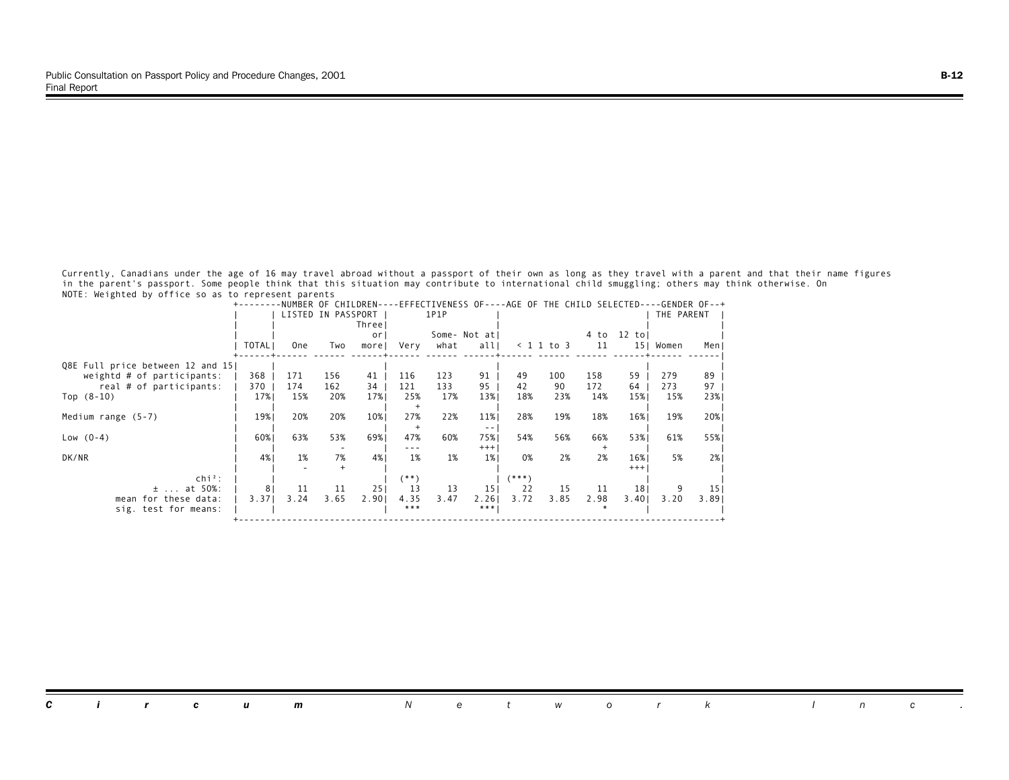Currently, Canadians under the age of 16 may travel abroad without a passport of their own as long as they travel with a parent and that their name figures in the parent's passport. Some people think that this situation may contribute to international child smuggling; others may think otherwise. On NOTE: Weighted by office so as to represent parents

|                                  |       |                    |      | NUMBER OF CHILDREN- |       |      |                 |       |              |      | EFFECTIVENESS OF----AGE OF THE CHILD SELECTED----GENDER OF--+ |            |                 |
|----------------------------------|-------|--------------------|------|---------------------|-------|------|-----------------|-------|--------------|------|---------------------------------------------------------------|------------|-----------------|
|                                  |       | LISTED IN PASSPORT |      |                     |       | 1P1P |                 |       |              |      |                                                               | THE PARENT |                 |
|                                  |       |                    |      | Threel              |       |      |                 |       |              |      |                                                               |            |                 |
|                                  |       |                    |      | <sub>or</sub>       |       |      | Some- Not atl   |       |              | 4 to | 12 tol                                                        |            |                 |
|                                  | TOTAL | <b>One</b>         | Two  | morel               | Very  | what | all             |       | $< 1$ 1 to 3 | 11   | 15 <sub>1</sub>                                               | Women      | Men             |
| Q8E Full price between 12 and 15 |       |                    |      |                     |       |      |                 |       |              |      |                                                               |            |                 |
| weightd # of participants:       | 368   | 171                | 156  | 41                  | 116   | 123  | 91              | 49    | 100          | 158  | 59                                                            | 279        | 89              |
| real # of participants:          | 370   | 174                | 162  | 34                  | 121   | 133  | 95              | 42    | 90           | 172  | 64                                                            | 273        | 97              |
| Top $(8-10)$                     | 17%   | 15%                | 20%  | 17%                 | 25%   | 17%  | 13%             | 18%   | 23%          | 14%  | 15%                                                           | 15%        | 23%             |
|                                  |       |                    |      |                     |       |      |                 |       |              |      |                                                               |            |                 |
| Medium range $(5-7)$             | 19%   | 20%                | 20%  | 10%                 | 27%   | 22%  | 11%             | 28%   | 19%          | 18%  | 16%                                                           | 19%        | 20%             |
|                                  |       |                    |      |                     |       |      | $- -$           |       |              |      |                                                               |            |                 |
| $Low (0-4)$                      | 60%   | 63%                | 53%  | 69%                 | 47%   | 60%  | 75%             | 54%   | 56%          | 66%  | 53%1                                                          | 61%        | 55%             |
|                                  |       |                    |      |                     | ---   |      | $+++$           |       |              |      |                                                               |            |                 |
| DK/NR                            | 4%    | 1%                 | 7%   | 4%                  | 1%    | 1%   | $1\%$           | 0%    | 2%           | 2%   | 16%                                                           | 5%         | 2%              |
|                                  |       |                    |      |                     |       |      |                 |       |              |      | $^{+++}$                                                      |            |                 |
| $\ch{i}^2$ :                     |       |                    |      |                     | (**)  |      |                 | (***) |              |      |                                                               |            |                 |
| $±$ at 50%:                      | 8     | 11                 | 11   | 251                 | 13    | 13   | 15 <sub>1</sub> | 22    | 15           | 11   | 18 <sub>1</sub>                                               |            | 15 <sub>1</sub> |
| mean for these data:             | 3.371 | 3.24               | 3.65 | 2.901               | 4.35  | 3.47 | 2.261           | 3.72  | 3.85         | 2.98 | 3.401                                                         | 3.20       | 3.89            |
| sig. test for means:             |       |                    |      |                     | $***$ |      | $***$           |       |              |      |                                                               |            |                 |
|                                  |       |                    |      |                     |       |      |                 |       |              |      |                                                               |            |                 |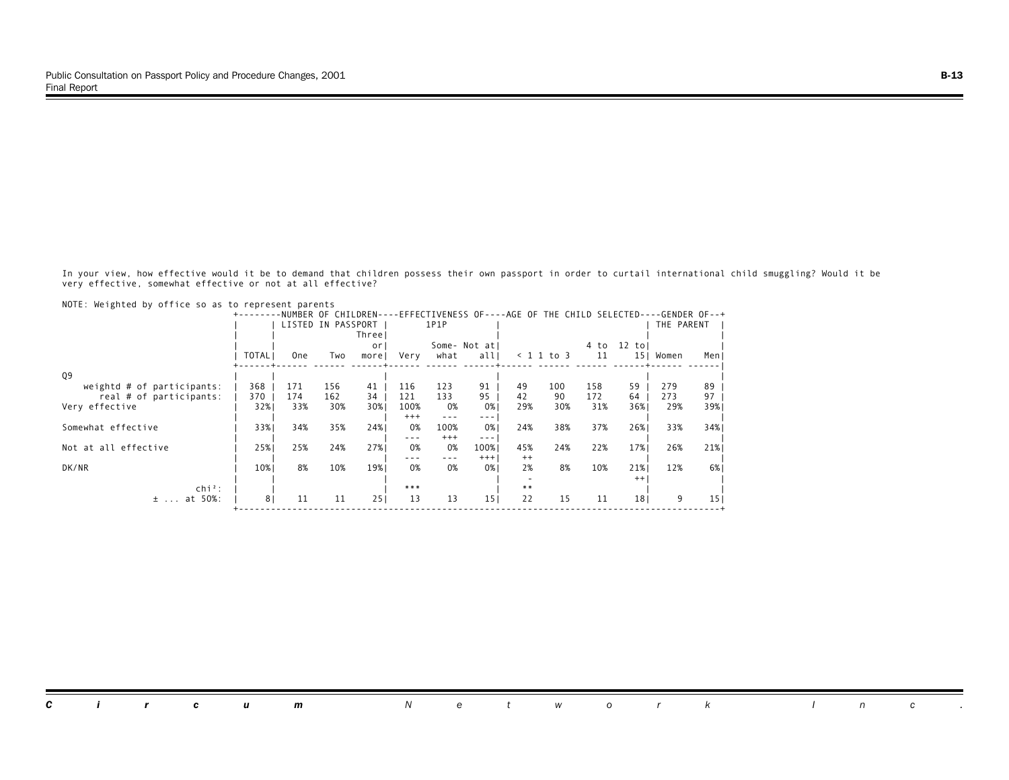In your view, how effective would it be to demand that children possess their own passport in order to curtail international child smuggling? Would it be very effective, somewhat effective or not at all effective?

|                              |                |                    |     | NUMBER OF CHILDREN- |          |                                                                                                                                                                                                                                                                                                                                                                                              |                 |         |            |      | -EFFECTIVENESS OF----AGE OF THE CHILD SELECTED----GENDER OF--+ |            |      |
|------------------------------|----------------|--------------------|-----|---------------------|----------|----------------------------------------------------------------------------------------------------------------------------------------------------------------------------------------------------------------------------------------------------------------------------------------------------------------------------------------------------------------------------------------------|-----------------|---------|------------|------|----------------------------------------------------------------|------------|------|
|                              |                | LISTED IN PASSPORT |     |                     |          | 1P1P                                                                                                                                                                                                                                                                                                                                                                                         |                 |         |            |      |                                                                | THE PARENT |      |
|                              |                |                    |     | Three               |          |                                                                                                                                                                                                                                                                                                                                                                                              |                 |         |            |      |                                                                |            |      |
|                              |                |                    |     | or                  |          |                                                                                                                                                                                                                                                                                                                                                                                              | Some- Not atl   |         |            | 4 to | $12$ to                                                        |            |      |
|                              | <b>TOTAL</b>   | 0ne                | Two | morel               | Very     | what                                                                                                                                                                                                                                                                                                                                                                                         | alll            |         | < 1 1 to 3 |      | 11<br>15 <sub>1</sub>                                          | Women      | Men  |
|                              |                |                    |     |                     |          |                                                                                                                                                                                                                                                                                                                                                                                              |                 |         |            |      |                                                                |            |      |
| Q9                           |                |                    |     |                     |          |                                                                                                                                                                                                                                                                                                                                                                                              |                 |         |            |      |                                                                |            |      |
| weightd $#$ of participants: | 368            | 171                | 156 | 41                  | 116      | 123                                                                                                                                                                                                                                                                                                                                                                                          | 91              | 49      | 100        | 158  | 59                                                             | 279        | 89   |
| real # of participants:      | 370            | 174                | 162 | 34                  | 121      | 133                                                                                                                                                                                                                                                                                                                                                                                          | 95              | 42      | 90         | 172  | 64                                                             | 273        | 97   |
| Very effective               | 32%            | 33%                | 30% | 30%                 | 100%     | 0%                                                                                                                                                                                                                                                                                                                                                                                           | 0%              | 29%     | 30%        | 31%  | 36%1                                                           | 29%        | 39%1 |
|                              |                |                    |     |                     | $^{+++}$ | $\frac{1}{2} \frac{1}{2} \frac{1}{2} \frac{1}{2} \frac{1}{2} \frac{1}{2} \frac{1}{2} \frac{1}{2} \frac{1}{2} \frac{1}{2} \frac{1}{2} \frac{1}{2} \frac{1}{2} \frac{1}{2} \frac{1}{2} \frac{1}{2} \frac{1}{2} \frac{1}{2} \frac{1}{2} \frac{1}{2} \frac{1}{2} \frac{1}{2} \frac{1}{2} \frac{1}{2} \frac{1}{2} \frac{1}{2} \frac{1}{2} \frac{1}{2} \frac{1}{2} \frac{1}{2} \frac{1}{2} \frac{$ | $- - -$         |         |            |      |                                                                |            |      |
| Somewhat effective           | 33%            | 34%                | 35% | 24%                 | 0%       | 100%                                                                                                                                                                                                                                                                                                                                                                                         | 0%              | 24%     | 38%        | 37%  | 26%                                                            | 33%        | 34%  |
|                              |                |                    |     |                     | ---      | $+++$                                                                                                                                                                                                                                                                                                                                                                                        | $- - -$         |         |            |      |                                                                |            |      |
| Not at all effective         | 25%            | 25%                | 24% | 27%                 | 0%       | 0%                                                                                                                                                                                                                                                                                                                                                                                           | 100%            | 45%     | 24%        | 22%  | 17%                                                            | 26%        | 21%  |
|                              |                |                    |     |                     | $- - -$  | $- - -$                                                                                                                                                                                                                                                                                                                                                                                      | $+++$           | $^{++}$ |            |      |                                                                |            |      |
| DK/NR                        | 10%            | 8%                 | 10% | 19%                 | 0%       | 0%                                                                                                                                                                                                                                                                                                                                                                                           | 0%              | 2%      | 8%         | 10%  | 21%                                                            | 12%        | 6%   |
|                              |                |                    |     |                     |          |                                                                                                                                                                                                                                                                                                                                                                                              |                 |         |            |      | $^{++}$                                                        |            |      |
| $\ch{i}^2$ :                 |                |                    |     |                     | ***      |                                                                                                                                                                                                                                                                                                                                                                                              |                 | $**$    |            |      |                                                                |            |      |
| at 50%:<br>$\pm$             | 8 <sub>1</sub> | 11                 | 11  | 251                 | 13       | 13                                                                                                                                                                                                                                                                                                                                                                                           | 15 <sub>1</sub> | 22      | 15         |      | 11<br>18 <sub>1</sub>                                          | 9          | 15 I |
|                              |                |                    |     |                     |          |                                                                                                                                                                                                                                                                                                                                                                                              |                 |         |            |      |                                                                |            |      |

NOTE: Weighted by office so as to represent parents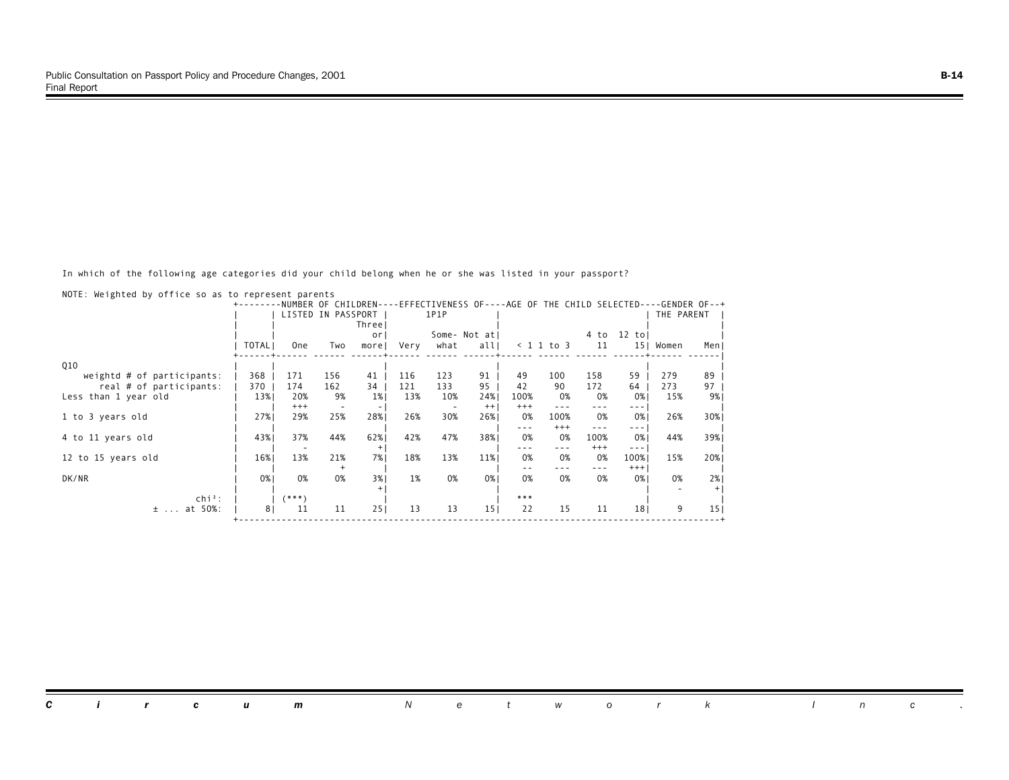In which of the following age categories did your child belong when he or she was listed in your passport?

|                              |                |            |                    | NUMBER OF CHILDREN--     |      |      |                 |          |              |          | -EFFECTIVENESS OF----AGE OF THE CHILD SELECTED----GENDER OF--+                                                                                                                                                                                                                                                                                                                               |            |                 |
|------------------------------|----------------|------------|--------------------|--------------------------|------|------|-----------------|----------|--------------|----------|----------------------------------------------------------------------------------------------------------------------------------------------------------------------------------------------------------------------------------------------------------------------------------------------------------------------------------------------------------------------------------------------|------------|-----------------|
|                              |                |            | LISTED IN PASSPORT |                          |      | 1P1P |                 |          |              |          |                                                                                                                                                                                                                                                                                                                                                                                              | THE PARENT |                 |
|                              |                |            |                    | Threel                   |      |      |                 |          |              |          |                                                                                                                                                                                                                                                                                                                                                                                              |            |                 |
|                              |                |            |                    | <sub>or</sub>            |      |      | Some- Not atl   |          |              | 4 to     | 12 tol                                                                                                                                                                                                                                                                                                                                                                                       |            |                 |
|                              | TOTAL          | <b>One</b> | Two                | morel                    | Very | what | alll            |          | $< 1$ 1 to 3 | 11       | 15 <sub>1</sub>                                                                                                                                                                                                                                                                                                                                                                              | Women      | Men             |
| <b>Q10</b>                   |                |            |                    |                          |      |      |                 |          |              |          |                                                                                                                                                                                                                                                                                                                                                                                              |            |                 |
| weightd $#$ of participants: | 368            | 171        | 156                | 41                       | 116  | 123  | 91              | 49       | 100          | 158      | 59                                                                                                                                                                                                                                                                                                                                                                                           | 279        | 89              |
| real # of participants:      | 370            | 174        | 162                | 34                       | 121  | 133  | 95              | 42       | 90           | 172      | 64                                                                                                                                                                                                                                                                                                                                                                                           | 273        | 97              |
| Less than 1 year old         | 13%            | 20%        | 9%                 | $1\%$                    | 13%  | 10%  | 24%             | 100%     | 0%           | 0%       | 0%                                                                                                                                                                                                                                                                                                                                                                                           | 15%        | 9%              |
|                              |                | $^{+++}$   |                    | $\overline{\phantom{0}}$ |      |      | $^{++}$         | $^{+++}$ |              |          | $- - - -$                                                                                                                                                                                                                                                                                                                                                                                    |            |                 |
| 1 to 3 years old             | 27%            | 29%        | 25%                | 28%                      | 26%  | 30%  | 26%             | 0%       | 100%         | 0%       | 0%                                                                                                                                                                                                                                                                                                                                                                                           | 26%        | 30%             |
|                              |                |            |                    |                          |      |      |                 | $- - -$  | $^{+++}$     | $- - -$  | $\frac{1}{2} \frac{1}{2} \frac{1}{2} \frac{1}{2} \frac{1}{2} \frac{1}{2} \frac{1}{2} \frac{1}{2} \frac{1}{2} \frac{1}{2} \frac{1}{2} \frac{1}{2} \frac{1}{2} \frac{1}{2} \frac{1}{2} \frac{1}{2} \frac{1}{2} \frac{1}{2} \frac{1}{2} \frac{1}{2} \frac{1}{2} \frac{1}{2} \frac{1}{2} \frac{1}{2} \frac{1}{2} \frac{1}{2} \frac{1}{2} \frac{1}{2} \frac{1}{2} \frac{1}{2} \frac{1}{2} \frac{$ |            |                 |
| 4 to 11 years old            | 43%            | 37%        | 44%                | 62%                      | 42%  | 47%  | 38%             | 0%       | 0%           | 100%     | 0%                                                                                                                                                                                                                                                                                                                                                                                           | 44%        | 39%             |
|                              |                |            |                    |                          |      |      |                 |          |              | $^{+++}$ | $\frac{1}{2} \frac{1}{2} \frac{1}{2} \frac{1}{2} \frac{1}{2} \frac{1}{2} \frac{1}{2} \frac{1}{2} \frac{1}{2} \frac{1}{2} \frac{1}{2} \frac{1}{2} \frac{1}{2} \frac{1}{2} \frac{1}{2} \frac{1}{2} \frac{1}{2} \frac{1}{2} \frac{1}{2} \frac{1}{2} \frac{1}{2} \frac{1}{2} \frac{1}{2} \frac{1}{2} \frac{1}{2} \frac{1}{2} \frac{1}{2} \frac{1}{2} \frac{1}{2} \frac{1}{2} \frac{1}{2} \frac{$ |            |                 |
| 12 to 15 years old           | 16%            | 13%        | 21%                | 7%1                      | 18%  | 13%  | 11%             | 0%       | 0%           | 0%       | 100%                                                                                                                                                                                                                                                                                                                                                                                         | 15%        | 20%             |
|                              |                |            | $\overline{+}$     |                          |      |      |                 |          |              | $- - -$  | $+++$                                                                                                                                                                                                                                                                                                                                                                                        |            |                 |
| DK/NR                        | 0%             | 0%         | 0%                 | 3%                       | 1%   | 0%   | 0%1             | 0%       | 0%           | 0%       | 0%1                                                                                                                                                                                                                                                                                                                                                                                          | 0%         | 2%              |
|                              |                |            |                    |                          |      |      |                 |          |              |          |                                                                                                                                                                                                                                                                                                                                                                                              |            | $^{+}$          |
| $\mathsf{chi}^2$ :           |                | (***)      |                    |                          |      |      |                 | $***$    |              |          |                                                                                                                                                                                                                                                                                                                                                                                              |            |                 |
| at 50%:<br>$\pm$             | 8 <sub>1</sub> | 11         | 11                 | 251                      | 13   | 13   | 15 <sub>1</sub> | 22       | 15           | 11       | 18 <sub>1</sub>                                                                                                                                                                                                                                                                                                                                                                              | 9          | 15 <sub>1</sub> |
|                              |                |            |                    |                          |      |      |                 |          |              |          |                                                                                                                                                                                                                                                                                                                                                                                              |            |                 |

NOTE: Weighted by office so as to represent parents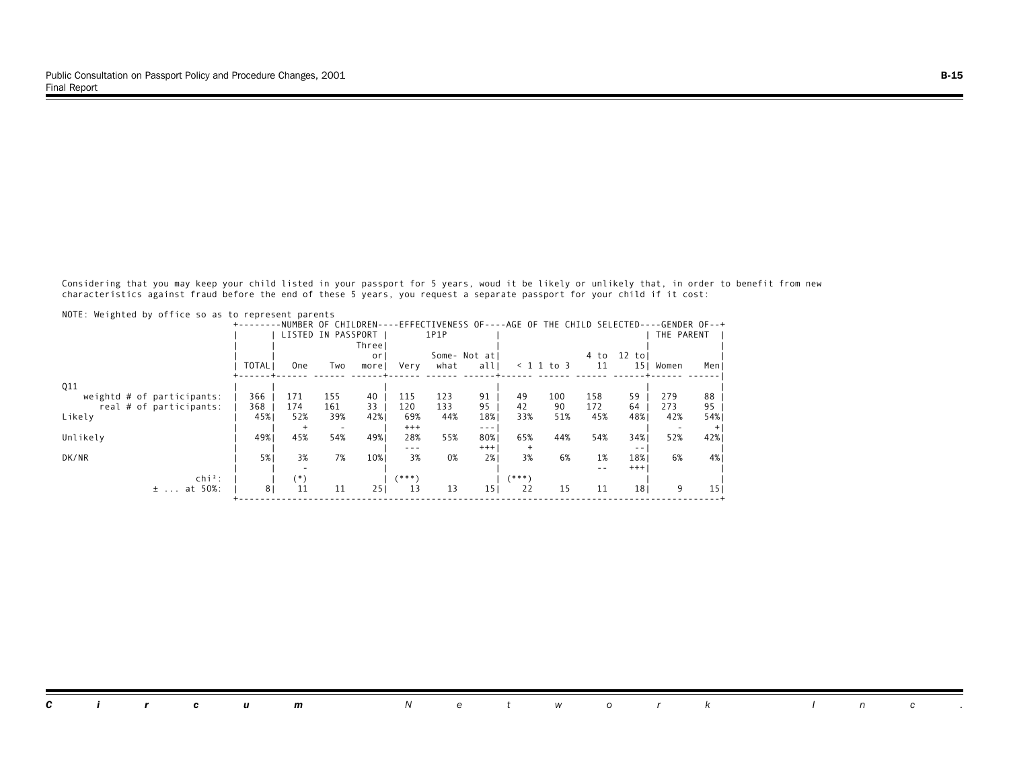Considering that you may keep your child listed in your passport for 5 years, woud it be likely or unlikely that, in order to benefit from new characteristics against fraud before the end of these 5 years, you request a separate passport for your child if it cost:

| NUTE: Weighted by Ottice so as to represent parents |                |                |                          |        |          |      |                 |        |                    |                                                                                      |                 |            |       |
|-----------------------------------------------------|----------------|----------------|--------------------------|--------|----------|------|-----------------|--------|--------------------|--------------------------------------------------------------------------------------|-----------------|------------|-------|
|                                                     |                |                |                          |        |          |      |                 |        |                    | -NUMBER OF CHILDREN----EFFECTIVENESS OF----AGE OF THE CHILD SELECTED----GENDER OF--+ |                 |            |       |
|                                                     |                |                | LISTED IN PASSPORT       |        |          | 1P1P |                 |        |                    |                                                                                      |                 | THE PARENT |       |
|                                                     |                |                |                          | Threel |          |      |                 |        |                    |                                                                                      |                 |            |       |
|                                                     |                |                |                          | or     |          |      | Some- Not atl   |        |                    | 4 to                                                                                 | 12<br>tol       |            |       |
|                                                     | TOTAL          | 0ne            | Two                      | morel  | Very     | what | all             |        | $\langle$ 1 1 to 3 | 11                                                                                   | 15 <sub>1</sub> | Women      | Men J |
|                                                     |                |                |                          |        |          |      |                 |        |                    |                                                                                      |                 |            |       |
| Q11                                                 |                |                |                          |        |          |      |                 |        |                    |                                                                                      |                 |            |       |
| weightd $#$ of participants:                        | 366            | 171            | 155                      | 40     | 115      | 123  | 91              | 49     | 100                | 158                                                                                  | 59              | 279        | 88    |
| real # of participants:                             | 368            | 174            | 161                      | 33     | 120      | 133  | 95              | 42     | 90                 | 172                                                                                  | 64              | 273        | 95    |
| Likely                                              | 45%            | 52%            | 39%                      | 42%    | 69%      | 44%  | 18%             | 33%    | 51%                | 45%                                                                                  | 48%             | 42%        | 54%   |
|                                                     |                | $\overline{+}$ | $\overline{\phantom{0}}$ |        | $^{+++}$ |      | $- - -$         |        |                    |                                                                                      |                 |            | $+$   |
| Unlikely                                            | 49%            | 45%            | 54%                      | 49%    | 28%      | 55%  | 80%             | 65%    | 44%                | 54%                                                                                  | 34%             | 52%        | 42%   |
|                                                     |                |                |                          |        | $- - -$  |      | $^{+++}$        | $^{+}$ |                    |                                                                                      | $ -$            |            |       |
| DK/NR                                               | 5%             | 3%             | 7%                       | 10%    | 3%       | 0%   | 2%              | 3%     | 6%                 | 1%                                                                                   | 18%             | 6%         | 4%    |
|                                                     |                |                |                          |        |          |      |                 |        |                    |                                                                                      | $+++$           |            |       |
| $chi^2$ :                                           |                | (*)            |                          |        | $(***)$  |      |                 | (***)  |                    |                                                                                      |                 |            |       |
| at 50%:<br>$\pm$                                    | 8 <sub>1</sub> | 11             | 11                       | 251    | 13       | 13   | 15 <sub>1</sub> | 22     | 15                 | 11                                                                                   | 18 <sub>1</sub> | 9          | 15    |
|                                                     |                |                |                          |        |          |      |                 |        |                    |                                                                                      |                 |            |       |

 $NOTF: Waitahtad by offica so as to$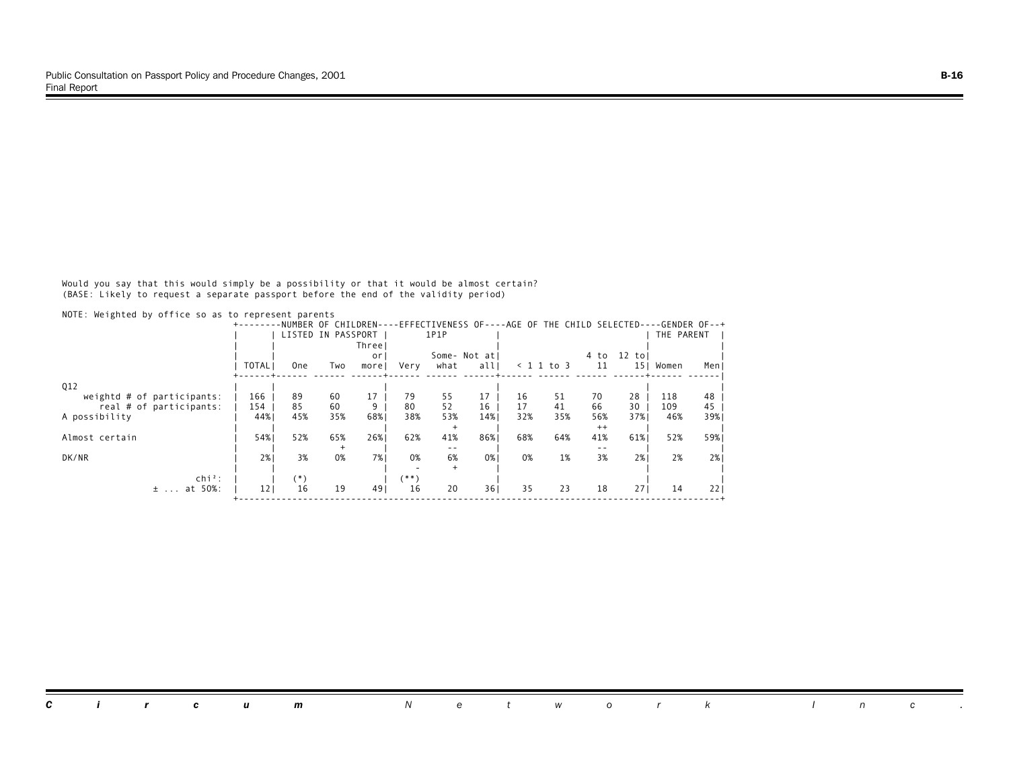Would you say that this would simply be a possibility or that it would be almost certain? (BASE: Likely to request a separate passport before the end of the validity period)

|                            |                 |       |                    |        |         |      | -NUMBER OF CHILDREN----EFFECTIVENESS OF----AGE OF THE CHILD SELECTED----GENDER OF--+ |     |                    |         |                 |            |       |
|----------------------------|-----------------|-------|--------------------|--------|---------|------|--------------------------------------------------------------------------------------|-----|--------------------|---------|-----------------|------------|-------|
|                            |                 |       | LISTED IN PASSPORT |        |         | 1P1P |                                                                                      |     |                    |         |                 | THE PARENT |       |
|                            |                 |       |                    | Three! |         |      |                                                                                      |     |                    |         |                 |            |       |
|                            |                 |       |                    | or     |         |      | Some- Not atl                                                                        |     |                    | 4 to    | 12<br>tol       |            |       |
|                            | <b>TOTAL</b>    | 0ne   | Two                | morel  | Very    | what | all                                                                                  |     | $\langle$ 1 1 to 3 | 11      | 15 <sub>1</sub> | Women      | Men J |
| Q12                        |                 |       |                    |        |         |      |                                                                                      |     |                    |         |                 |            |       |
| weightd # of participants: | 166             | 89    | 60                 | 17     | 79      | 55   | 17                                                                                   | 16  | 51                 | 70      | 28              | 118        | 48    |
| real # of participants:    | 154             | 85    | 60                 | 9      | 80      | 52   | 16                                                                                   | 17  | 41                 | 66      | 30              | 109        | 45    |
| A possibility              | 44%             | 45%   | 35%                | 68%    | 38%     | 53%  | 14%                                                                                  | 32% | 35%                | 56%     | 37%             | 46%        | 39%   |
|                            |                 |       |                    |        |         |      |                                                                                      |     |                    | $^{++}$ |                 |            |       |
| Almost certain             | 54%             | 52%   | 65%                | 26%    | 62%     | 41%  | 86%                                                                                  | 68% | 64%                | 41%     | 61%             | 52%        | 59%1  |
|                            |                 |       |                    |        |         | $ -$ |                                                                                      |     |                    | $ -$    |                 |            |       |
| DK/NR                      | 2%1             | 3%    | 0%                 | 7% I   | 0%      | 6%   | 0%                                                                                   | 0%  | 1%                 | 3%      | 2%1             | 2%         | 2%    |
|                            |                 |       |                    |        |         |      |                                                                                      |     |                    |         |                 |            |       |
| $\ch{i}^2$ :               |                 | $(*)$ |                    |        | $(***)$ |      |                                                                                      |     |                    |         |                 |            |       |
| at 50%:<br>$\pm$           | 12 <sub>1</sub> | 16    | 19                 | 491    | 16      | 20   | 361                                                                                  | 35  | 23                 | 18      | 27'             | 14         | 221   |

*Circum Network Inc .*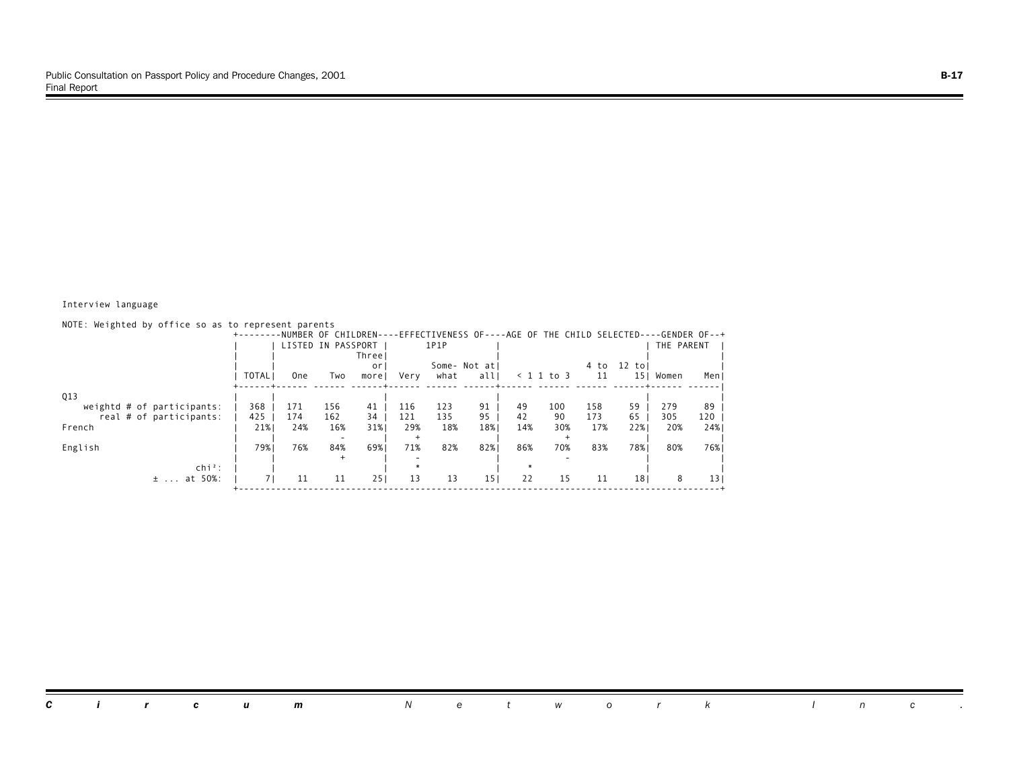#### Interview language

| NOTE: Weighted by office so as to represent parents   |              |            |                    |          |            |            | -NUMBER OF CHILDREN----EFFECTIVENESS OF----AGE OF THE CHILD SELECTED----GENDER OF--+ |          |              |            |                 |            |                 |
|-------------------------------------------------------|--------------|------------|--------------------|----------|------------|------------|--------------------------------------------------------------------------------------|----------|--------------|------------|-----------------|------------|-----------------|
|                                                       |              |            | LISTED IN PASSPORT | Three    |            | 1P1P       |                                                                                      |          |              |            |                 | THE PARENT |                 |
|                                                       |              |            |                    | or       |            |            | Some- Not atl                                                                        |          |              | 4 to       | $12$ tol        |            |                 |
|                                                       | <b>TOTAL</b> | 0ne        | Two                | morel    | Very       | what       | allI                                                                                 |          | $< 1$ 1 to 3 | 11         | 15 <sub>1</sub> | Women      | Men             |
| Q13                                                   |              |            |                    |          |            |            |                                                                                      |          |              |            |                 |            |                 |
| weightd # of participants:<br>real # of participants: | 368<br>425   | 171<br>174 | 156<br>162         | 41<br>34 | 116<br>121 | 123<br>135 | 91<br>95                                                                             | 49<br>42 | 100<br>90    | 158<br>173 | 59<br>65        | 279<br>305 | 89<br>120       |
| French                                                | 21%          | 24%        | 16%                | 31%      | 29%        | 18%        | 18%                                                                                  | 14%      | 30%          | 17%        | 22%             | 20%        | 24%             |
| English                                               | 79%1         | 76%        | 84%                | 69%      | 71%        | 82%        | 82%                                                                                  | 86%      | 70%          | 83%        | 78%             | 80%        | 76%             |
| $chi^2$ :                                             |              |            |                    |          |            |            |                                                                                      |          |              |            |                 |            |                 |
| at 50%:<br>$\pm$                                      |              | 11         | 11                 | 251      | 13         | 13         | 15 <sub>1</sub>                                                                      | 22       | 15           | 11         | 18 <sub>1</sub> | 8          | 13 <sub>1</sub> |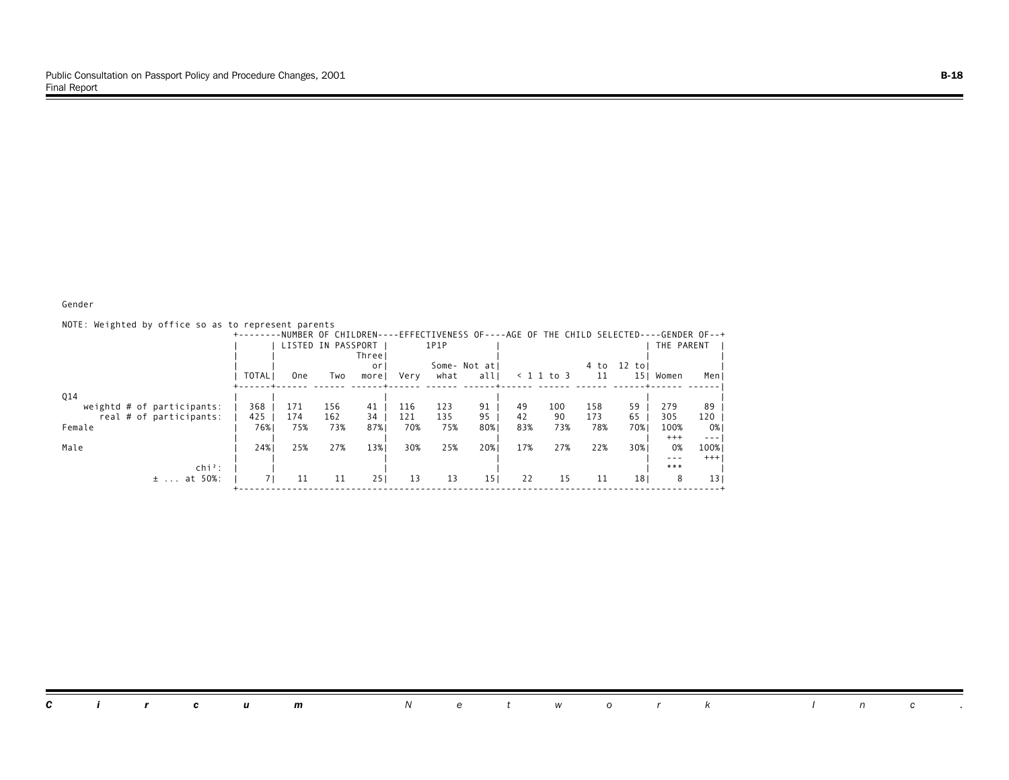#### Gender

| NOTE: Weighted by office so as to represent parents |              |                 |                    |        |      |      |                 |     |                    |                                                                                      |                 |            |                                                                                                                                                                                                                                                                                                                                                                                              |
|-----------------------------------------------------|--------------|-----------------|--------------------|--------|------|------|-----------------|-----|--------------------|--------------------------------------------------------------------------------------|-----------------|------------|----------------------------------------------------------------------------------------------------------------------------------------------------------------------------------------------------------------------------------------------------------------------------------------------------------------------------------------------------------------------------------------------|
|                                                     |              |                 |                    |        |      |      |                 |     |                    | -NUMBER OF CHILDREN----EFFECTIVENESS OF----AGE OF THE CHILD SELECTED----GENDER OF--+ |                 |            |                                                                                                                                                                                                                                                                                                                                                                                              |
|                                                     |              |                 | LISTED IN PASSPORT |        |      | 1P1P |                 |     |                    |                                                                                      |                 | THE PARENT |                                                                                                                                                                                                                                                                                                                                                                                              |
|                                                     |              |                 |                    | Three' |      |      |                 |     |                    |                                                                                      |                 |            |                                                                                                                                                                                                                                                                                                                                                                                              |
|                                                     |              |                 |                    | or     |      |      | Some- Not at    |     |                    | 4 to                                                                                 | $12$ to         |            |                                                                                                                                                                                                                                                                                                                                                                                              |
|                                                     | <b>TOTAL</b> | 0 <sub>ne</sub> | Two                | morel  | Very | what | all             |     | $\langle$ 1 1 to 3 | 11                                                                                   | 15 <sub>1</sub> | Women      | Menl                                                                                                                                                                                                                                                                                                                                                                                         |
| Q14                                                 |              |                 |                    |        |      |      |                 |     |                    |                                                                                      |                 |            |                                                                                                                                                                                                                                                                                                                                                                                              |
| weightd $#$ of participants:                        | 368          | 171             | 156                | 41     | 116  | 123  | 91              | 49  | 100                | 158                                                                                  | 59              | 279        | 89                                                                                                                                                                                                                                                                                                                                                                                           |
| real # of participants:                             | 425          | 174             | 162                | 34     | 121  | 135  | 95              | 42  | 90                 | 173                                                                                  | 65              | 305        | 120                                                                                                                                                                                                                                                                                                                                                                                          |
| Female                                              | 76%          | 75%             | 73%                | 87%    | 70%  | 75%  | 80%             | 83% | 73%                | 78%                                                                                  | 70%             | 100%       | 0%                                                                                                                                                                                                                                                                                                                                                                                           |
|                                                     |              |                 |                    |        |      |      |                 |     |                    |                                                                                      |                 | $^{+++}$   | $\frac{1}{2} \frac{1}{2} \frac{1}{2} \frac{1}{2} \frac{1}{2} \frac{1}{2} \frac{1}{2} \frac{1}{2} \frac{1}{2} \frac{1}{2} \frac{1}{2} \frac{1}{2} \frac{1}{2} \frac{1}{2} \frac{1}{2} \frac{1}{2} \frac{1}{2} \frac{1}{2} \frac{1}{2} \frac{1}{2} \frac{1}{2} \frac{1}{2} \frac{1}{2} \frac{1}{2} \frac{1}{2} \frac{1}{2} \frac{1}{2} \frac{1}{2} \frac{1}{2} \frac{1}{2} \frac{1}{2} \frac{$ |
| Male                                                | 24%          | 25%             | 27%                | 13%    | 30%  | 25%  | 20%             | 17% | 27%                | 22%                                                                                  | 30%             | 0%         | 100%                                                                                                                                                                                                                                                                                                                                                                                         |
|                                                     |              |                 |                    |        |      |      |                 |     |                    |                                                                                      |                 | $- - -$    | $+++$                                                                                                                                                                                                                                                                                                                                                                                        |
| $chi^2$ :                                           |              |                 |                    |        |      |      |                 |     |                    |                                                                                      |                 | ***        |                                                                                                                                                                                                                                                                                                                                                                                              |
| $±$ at 50%:                                         | 71           | 11              | 11                 | 251    | 13   | 13   | 15 <sub>1</sub> | 22  | 15                 | 11                                                                                   | 18 <sub>1</sub> | 8          | 13 <sub>1</sub>                                                                                                                                                                                                                                                                                                                                                                              |

#### *Circum Network Inc .*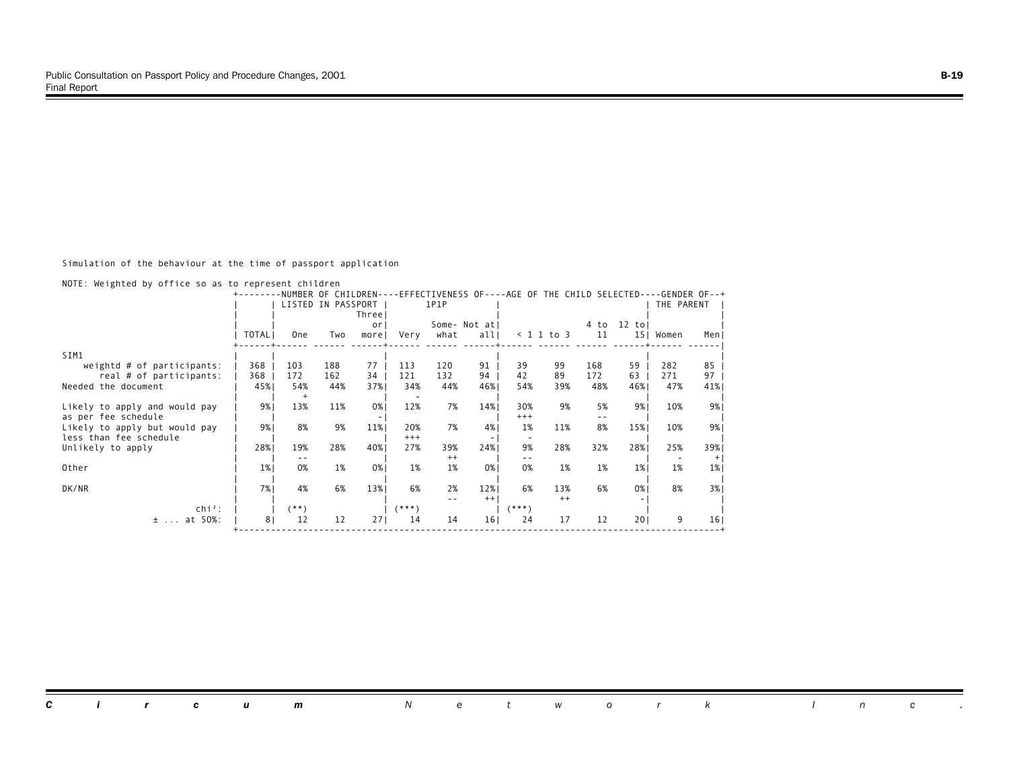Simulation of the behaviour at the time of passport application

|  |  |  |  |  |  |  |  |  | NOTE: Weighted by office so as to represent children |  |
|--|--|--|--|--|--|--|--|--|------------------------------------------------------|--|
|--|--|--|--|--|--|--|--|--|------------------------------------------------------|--|

| 1P1P<br>LISTED IN PASSPORT<br>THE PARENT<br>Threel<br>12 tol<br>Some- Not atl<br>4 to<br>0r<br>TOTAL I<br>11<br><b>One</b><br>what<br>all<br>$< 1$ 1 to 3<br>15  Women<br>Very<br>Men J<br>Two<br>morel<br>SIM1<br>368<br>77<br>113<br>120<br>91<br>99<br>59<br>85<br>103<br>188<br>39<br>168<br>282<br>weightd $#$ of participants:<br>34<br>132<br>94<br>42<br>89<br>97<br>368<br>172<br>162<br>121<br>172<br>271<br>real # of participants:<br>63<br>Needed the document<br>45%<br>54%<br>37%<br>34%<br>44%<br>54%<br>39%<br>48%<br>46%<br>47%<br>41%<br>44%<br>46%<br>$\ddot{}$<br>13%<br>9%<br>11%<br>0%<br>12%<br>7%<br>9%1<br>9%<br>14%<br>9%<br>5%<br>30%<br>10%<br>Likely to apply and would pay<br>as per fee schedule<br>$^{+++}$<br>8%<br>9%<br>9%<br>11%<br>7%<br>11%<br>8%<br>9%  <br>20%<br>4%<br>1%<br>15%<br>10%<br>Likely to apply but would pay<br>less than fee schedule<br>$^{+++}$<br>٠<br>28%<br>40%<br>28%<br>32%<br>28%<br>19%<br>27%<br>39%<br>24%<br>9%<br>28%<br>25%<br>39%<br>Unlikely to apply<br>$^{++}$<br>$^{+}$<br>- -<br>$ -$<br>1%<br>0%<br>1%<br>0%<br>1%<br>Other<br>1%<br>0%<br>0%<br>1%<br>1%<br>1%<br>1%<br>1%<br>7% I<br>4%<br>6%<br>13%<br>8%<br>DK/NR<br>6%<br>2%<br>12%<br>6%<br>13%<br>6%<br>3%<br>0%<br>$^{++}$<br>$++$ |              |         | NUMBER OF CHILDREN- |         |  |          | -EFFECTIVENESS OF----AGE OF THE CHILD SELECTED-- | $-$ -GENDER OF--+ |  |
|------------------------------------------------------------------------------------------------------------------------------------------------------------------------------------------------------------------------------------------------------------------------------------------------------------------------------------------------------------------------------------------------------------------------------------------------------------------------------------------------------------------------------------------------------------------------------------------------------------------------------------------------------------------------------------------------------------------------------------------------------------------------------------------------------------------------------------------------------------------------------------------------------------------------------------------------------------------------------------------------------------------------------------------------------------------------------------------------------------------------------------------------------------------------------------------------------------------------------------------------------------------------|--------------|---------|---------------------|---------|--|----------|--------------------------------------------------|-------------------|--|
|                                                                                                                                                                                                                                                                                                                                                                                                                                                                                                                                                                                                                                                                                                                                                                                                                                                                                                                                                                                                                                                                                                                                                                                                                                                                        |              |         |                     |         |  |          |                                                  |                   |  |
|                                                                                                                                                                                                                                                                                                                                                                                                                                                                                                                                                                                                                                                                                                                                                                                                                                                                                                                                                                                                                                                                                                                                                                                                                                                                        |              |         |                     |         |  |          |                                                  |                   |  |
|                                                                                                                                                                                                                                                                                                                                                                                                                                                                                                                                                                                                                                                                                                                                                                                                                                                                                                                                                                                                                                                                                                                                                                                                                                                                        |              |         |                     |         |  |          |                                                  |                   |  |
|                                                                                                                                                                                                                                                                                                                                                                                                                                                                                                                                                                                                                                                                                                                                                                                                                                                                                                                                                                                                                                                                                                                                                                                                                                                                        |              |         |                     |         |  |          |                                                  |                   |  |
|                                                                                                                                                                                                                                                                                                                                                                                                                                                                                                                                                                                                                                                                                                                                                                                                                                                                                                                                                                                                                                                                                                                                                                                                                                                                        |              |         |                     |         |  |          |                                                  |                   |  |
|                                                                                                                                                                                                                                                                                                                                                                                                                                                                                                                                                                                                                                                                                                                                                                                                                                                                                                                                                                                                                                                                                                                                                                                                                                                                        |              |         |                     |         |  |          |                                                  |                   |  |
|                                                                                                                                                                                                                                                                                                                                                                                                                                                                                                                                                                                                                                                                                                                                                                                                                                                                                                                                                                                                                                                                                                                                                                                                                                                                        |              |         |                     |         |  |          |                                                  |                   |  |
|                                                                                                                                                                                                                                                                                                                                                                                                                                                                                                                                                                                                                                                                                                                                                                                                                                                                                                                                                                                                                                                                                                                                                                                                                                                                        |              |         |                     |         |  |          |                                                  |                   |  |
|                                                                                                                                                                                                                                                                                                                                                                                                                                                                                                                                                                                                                                                                                                                                                                                                                                                                                                                                                                                                                                                                                                                                                                                                                                                                        |              |         |                     |         |  |          |                                                  |                   |  |
|                                                                                                                                                                                                                                                                                                                                                                                                                                                                                                                                                                                                                                                                                                                                                                                                                                                                                                                                                                                                                                                                                                                                                                                                                                                                        |              |         |                     |         |  |          |                                                  |                   |  |
|                                                                                                                                                                                                                                                                                                                                                                                                                                                                                                                                                                                                                                                                                                                                                                                                                                                                                                                                                                                                                                                                                                                                                                                                                                                                        |              |         |                     |         |  |          |                                                  |                   |  |
|                                                                                                                                                                                                                                                                                                                                                                                                                                                                                                                                                                                                                                                                                                                                                                                                                                                                                                                                                                                                                                                                                                                                                                                                                                                                        |              |         |                     |         |  |          |                                                  |                   |  |
|                                                                                                                                                                                                                                                                                                                                                                                                                                                                                                                                                                                                                                                                                                                                                                                                                                                                                                                                                                                                                                                                                                                                                                                                                                                                        |              |         |                     |         |  |          |                                                  |                   |  |
|                                                                                                                                                                                                                                                                                                                                                                                                                                                                                                                                                                                                                                                                                                                                                                                                                                                                                                                                                                                                                                                                                                                                                                                                                                                                        |              |         |                     |         |  |          |                                                  |                   |  |
|                                                                                                                                                                                                                                                                                                                                                                                                                                                                                                                                                                                                                                                                                                                                                                                                                                                                                                                                                                                                                                                                                                                                                                                                                                                                        |              |         |                     |         |  |          |                                                  |                   |  |
|                                                                                                                                                                                                                                                                                                                                                                                                                                                                                                                                                                                                                                                                                                                                                                                                                                                                                                                                                                                                                                                                                                                                                                                                                                                                        |              |         |                     |         |  |          |                                                  |                   |  |
|                                                                                                                                                                                                                                                                                                                                                                                                                                                                                                                                                                                                                                                                                                                                                                                                                                                                                                                                                                                                                                                                                                                                                                                                                                                                        |              |         |                     |         |  |          |                                                  |                   |  |
|                                                                                                                                                                                                                                                                                                                                                                                                                                                                                                                                                                                                                                                                                                                                                                                                                                                                                                                                                                                                                                                                                                                                                                                                                                                                        |              |         |                     |         |  |          |                                                  |                   |  |
|                                                                                                                                                                                                                                                                                                                                                                                                                                                                                                                                                                                                                                                                                                                                                                                                                                                                                                                                                                                                                                                                                                                                                                                                                                                                        |              |         |                     |         |  |          |                                                  |                   |  |
|                                                                                                                                                                                                                                                                                                                                                                                                                                                                                                                                                                                                                                                                                                                                                                                                                                                                                                                                                                                                                                                                                                                                                                                                                                                                        | $\ch{i}^2$ : | $(***)$ |                     | $(***)$ |  | $(***")$ |                                                  |                   |  |
| at 50%:<br>8 <sub>1</sub><br>12<br>12<br>9<br>12<br>271<br>14<br>24<br>17<br>201<br>14<br>16 <sub>1</sub><br>16 <sub>1</sub><br>$\pm$                                                                                                                                                                                                                                                                                                                                                                                                                                                                                                                                                                                                                                                                                                                                                                                                                                                                                                                                                                                                                                                                                                                                  |              |         |                     |         |  |          |                                                  |                   |  |
|                                                                                                                                                                                                                                                                                                                                                                                                                                                                                                                                                                                                                                                                                                                                                                                                                                                                                                                                                                                                                                                                                                                                                                                                                                                                        |              |         |                     |         |  |          |                                                  |                   |  |